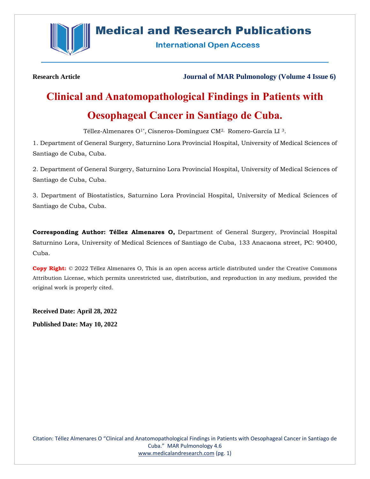

# **Medical and Research Publications**

**International Open Access** 

**Research Article Journal of MAR Pulmonology (Volume 4 Issue 6)**

# **Clinical and Anatomopathological Findings in Patients with Oesophageal Cancer in Santiago de Cuba.**

Téllez-Almenares O1\* , Cisneros-Domínguez CM2, Romero-García LI <sup>3</sup>.

1. Department of General Surgery, Saturnino Lora Provincial Hospital, University of Medical Sciences of Santiago de Cuba, Cuba.

2. Department of General Surgery, Saturnino Lora Provincial Hospital, University of Medical Sciences of Santiago de Cuba, Cuba.

3. Department of Biostatistics, Saturnino Lora Provincial Hospital, University of Medical Sciences of Santiago de Cuba, Cuba.

**Corresponding Author: Téllez Almenares O,** Department of General Surgery, Provincial Hospital Saturnino Lora, University of Medical Sciences of Santiago de Cuba, 133 Anacaona street, PC: 90400, Cuba.

**Copy Right:** © 2022 Téllez Almenares O, This is an open access article distributed under the Creative Commons Attribution License, which permits unrestricted use, distribution, and reproduction in any medium, provided the original work is properly cited.

**Received Date: April 28, 2022 Published Date: May 10, 2022**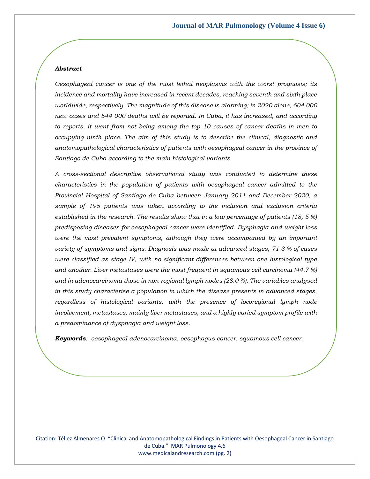#### *Abstract*

*Oesophageal cancer is one of the most lethal neoplasms with the worst prognosis; its incidence and mortality have increased in recent decades, reaching seventh and sixth place worldwide, respectively. The magnitude of this disease is alarming; in 2020 alone, 604 000 new cases and 544 000 deaths will be reported. In Cuba, it has increased, and according to reports, it went from not being among the top 10 causes of cancer deaths in men to occupying ninth place. The aim of this study is to describe the clinical, diagnostic and anatomopathological characteristics of patients with oesophageal cancer in the province of Santiago de Cuba according to the main histological variants.* 

*A cross-sectional descriptive observational study was conducted to determine these characteristics in the population of patients with oesophageal cancer admitted to the Provincial Hospital of Santiago de Cuba between January 2011 and December 2020, a sample of 195 patients was taken according to the inclusion and exclusion criteria established in the research. The results show that in a low percentage of patients (18, 5 %) predisposing diseases for oesophageal cancer were identified. Dysphagia and weight loss were the most prevalent symptoms, although they were accompanied by an important variety of symptoms and signs. Diagnosis was made at advanced stages, 71.3 % of cases were classified as stage IV, with no significant differences between one histological type and another. Liver metastases were the most frequent in squamous cell carcinoma (44.7 %) and in adenocarcinoma those in non-regional lymph nodes (28.0 %). The variables analysed in this study characterise a population in which the disease presents in advanced stages, regardless of histological variants, with the presence of locoregional lymph node involvement, metastases, mainly liver metastases, and a highly varied symptom profile with a predominance of dysphagia and weight loss.*

*Keywords: oesophageal adenocarcinoma, oesophagus cancer, squamous cell cancer.*

Citation: Téllez Almenares O "Clinical and Anatomopathological Findings in Patients with Oesophageal Cancer in Santiago de Cuba." MAR Pulmonology 4.6 [www.medicalandresearch.com](http://www.medicalandresearch.com/) (pg. 2)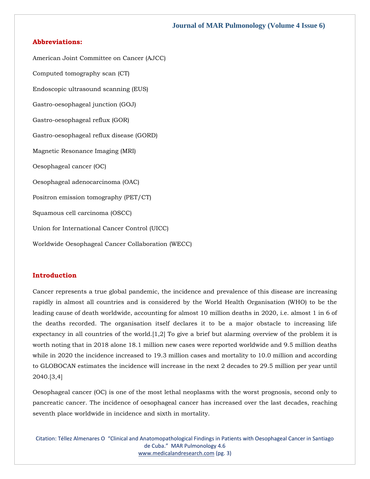# **Abbreviations:**

American Joint Committee on Cancer (AJCC) Computed tomography scan (CT) Endoscopic ultrasound scanning (EUS) Gastro-oesophageal junction (GOJ) Gastro-oesophageal reflux (GOR) Gastro-oesophageal reflux disease (GORD) Magnetic Resonance Imaging (MRI) Oesophageal cancer (OC) Oesophageal adenocarcinoma (OAC) Positron emission tomography (PET/CT) Squamous cell carcinoma (OSCC) Union for International Cancer Control (UICC) Worldwide Oesophageal Cancer Collaboration (WECC)

# **Introduction**

Cancer represents a true global pandemic, the incidence and prevalence of this disease are increasing rapidly in almost all countries and is considered by the World Health Organisation (WHO) to be the leading cause of death worldwide, accounting for almost 10 million deaths in 2020, i.e. almost 1 in 6 of the deaths recorded. The organisation itself declares it to be a major obstacle to increasing life expectancy in all countries of the world.[1,2] To give a brief but alarming overview of the problem it is worth noting that in 2018 alone 18.1 million new cases were reported worldwide and 9.5 million deaths while in 2020 the incidence increased to 19.3 million cases and mortality to 10.0 million and according to GLOBOCAN estimates the incidence will increase in the next 2 decades to 29.5 million per year until 2040.[3,4]

Oesophageal cancer (OC) is one of the most lethal neoplasms with the worst prognosis, second only to pancreatic cancer. The incidence of oesophageal cancer has increased over the last decades, reaching seventh place worldwide in incidence and sixth in mortality.

Citation: Téllez Almenares O "Clinical and Anatomopathological Findings in Patients with Oesophageal Cancer in Santiago de Cuba." MAR Pulmonology 4.6 [www.medicalandresearch.com](http://www.medicalandresearch.com/) (pg. 3)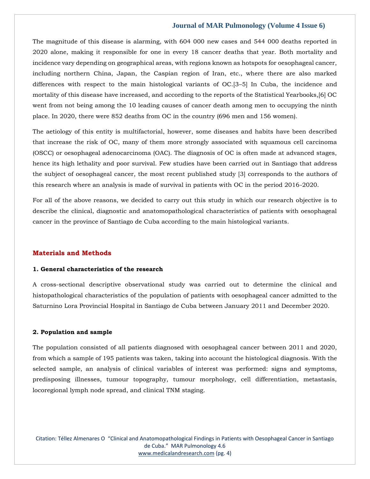The magnitude of this disease is alarming, with 604 000 new cases and 544 000 deaths reported in 2020 alone, making it responsible for one in every 18 cancer deaths that year. Both mortality and incidence vary depending on geographical areas, with regions known as hotspots for oesophageal cancer, including northern China, Japan, the Caspian region of Iran, etc., where there are also marked differences with respect to the main histological variants of OC.[3–5] In Cuba, the incidence and mortality of this disease have increased, and according to the reports of the Statistical Yearbooks,[6] OC went from not being among the 10 leading causes of cancer death among men to occupying the ninth place. In 2020, there were 852 deaths from OC in the country (696 men and 156 women).

The aetiology of this entity is multifactorial, however, some diseases and habits have been described that increase the risk of OC, many of them more strongly associated with squamous cell carcinoma (OSCC) or oesophageal adenocarcinoma (OAC). The diagnosis of OC is often made at advanced stages, hence its high lethality and poor survival. Few studies have been carried out in Santiago that address the subject of oesophageal cancer, the most recent published study [3] corresponds to the authors of this research where an analysis is made of survival in patients with OC in the period 2016-2020.

For all of the above reasons, we decided to carry out this study in which our research objective is to describe the clinical, diagnostic and anatomopathological characteristics of patients with oesophageal cancer in the province of Santiago de Cuba according to the main histological variants.

# **Materials and Methods**

# **1. General characteristics of the research**

A cross-sectional descriptive observational study was carried out to determine the clinical and histopathological characteristics of the population of patients with oesophageal cancer admitted to the Saturnino Lora Provincial Hospital in Santiago de Cuba between January 2011 and December 2020.

# **2. Population and sample**

The population consisted of all patients diagnosed with oesophageal cancer between 2011 and 2020, from which a sample of 195 patients was taken, taking into account the histological diagnosis. With the selected sample, an analysis of clinical variables of interest was performed: signs and symptoms, predisposing illnesses, tumour topography, tumour morphology, cell differentiation, metastasis, locoregional lymph node spread, and clinical TNM staging.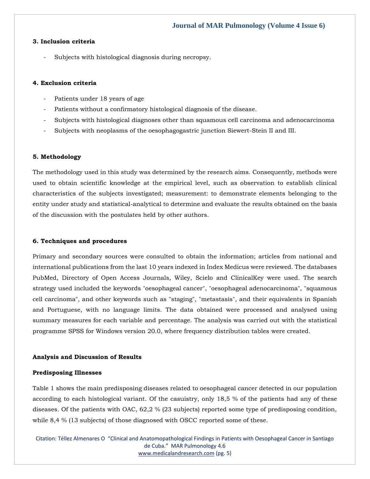# **3. Inclusion criteria**

Subjects with histological diagnosis during necropsy.

# **4. Exclusion criteria**

- Patients under 18 years of age
- Patients without a confirmatory histological diagnosis of the disease.
- Subjects with histological diagnoses other than squamous cell carcinoma and adenocarcinoma
- Subjects with neoplasms of the oesophagogastric junction Siewert-Stein II and III.

# **5. Methodology**

The methodology used in this study was determined by the research aims. Consequently, methods were used to obtain scientific knowledge at the empirical level, such as observation to establish clinical characteristics of the subjects investigated; measurement: to demonstrate elements belonging to the entity under study and statistical-analytical to determine and evaluate the results obtained on the basis of the discussion with the postulates held by other authors.

#### **6. Techniques and procedures**

Primary and secondary sources were consulted to obtain the information; articles from national and international publications from the last 10 years indexed in Index Medicus were reviewed. The databases PubMed, Directory of Open Access Journals, Wiley, Scielo and ClinicalKey were used. The search strategy used included the keywords "oesophageal cancer", "oesophageal adenocarcinoma", "squamous cell carcinoma", and other keywords such as "staging", "metastasis", and their equivalents in Spanish and Portuguese, with no language limits. The data obtained were processed and analysed using summary measures for each variable and percentage. The analysis was carried out with the statistical programme SPSS for Windows version 20.0, where frequency distribution tables were created.

#### **Analysis and Discussion of Results**

#### **Predisposing Illnesses**

Table 1 shows the main predisposing diseases related to oesophageal cancer detected in our population according to each histological variant. Of the casuistry, only 18,5 % of the patients had any of these diseases. Of the patients with OAC, 62,2 % (23 subjects) reported some type of predisposing condition, while 8,4 % (13 subjects) of those diagnosed with OSCC reported some of these.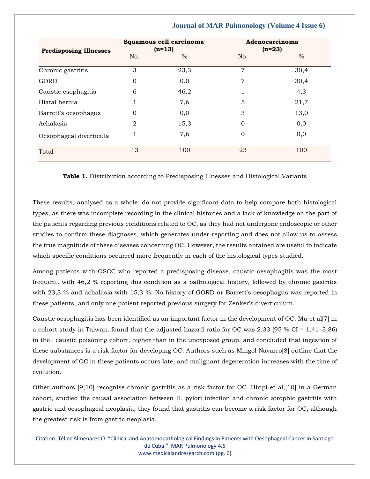| <b>Predisposing Illnesses</b> | Squamous cell carcinoma<br>$(n=13)$ |               | Adenocarcinoma<br>$(n=23)$ |               |
|-------------------------------|-------------------------------------|---------------|----------------------------|---------------|
|                               | No.                                 | $\frac{0}{0}$ | No.                        | $\frac{0}{0}$ |
| Chronic gastritis             | 3                                   | 23,3          | $\overline{7}$             | 30,4          |
| GORD                          | $\Omega$                            | 0.0           | 7                          | 30,4          |
| Caustic esophagitis           | 6                                   | 46,2          | T                          | 4,3           |
| Hiatal hernia                 |                                     | 7,6           | 5                          | 21,7          |
| Barrett's oesophagus          | $\Omega$                            | 0,0           | 3                          | 13,0          |
| Achalasia                     | 2                                   | 15,3          | $\Omega$                   | 0,0           |
| Oesophageal diverticula       |                                     | 7,6           | 0                          | 0,0           |
| Total                         | 13                                  | 100           | 23                         | 100           |

**Table 1.** Distribution according to Predisposing Illnesses and Histological Variants

These results, analysed as a whole, do not provide significant data to help compare both histological types, as there was incomplete recording in the clinical histories and a lack of knowledge on the part of the patients regarding previous conditions related to OC, as they had not undergone endoscopic or other studies to confirm these diagnoses, which generates under-reporting and does not allow us to assess the true magnitude of these diseases concerning OC. However, the results obtained are useful to indicate which specific conditions occurred more frequently in each of the histological types studied.

Among patients with OSCC who reported a predisposing disease, caustic oesophagitis was the most frequent, with 46,2 % reporting this condition as a pathological history, followed by chronic gastritis with 23,3 % and achalasia with 15,3 %. No history of GORD or Barrett's oesophagus was reported in these patients, and only one patient reported previous surgery for Zenker's diverticulum.

Caustic oesophagitis has been identified as an important factor in the development of OC. Mu et al[7] in a cohort study in Taiwan, found that the adjusted hazard ratio for OC was 2,33 (95 % CI = 1,41–3,86) in the¬ caustic poisoning cohort, higher than in the unexposed group, and concluded that ingestion of these substances is a risk factor for developing OC. Authors such as Mingol Navarro[8] outline that the development of OC in these patients occurs late, and malignant degeneration increases with the time of evolution.

Other authors [9,10] recognise chronic gastritis as a risk factor for OC. Hiripi et al,[10] in a German cohort, studied the causal association between H. pylori infection and chronic atrophic gastritis with gastric and oesophageal neoplasia; they found that gastritis can become a risk factor for OC, although the greatest risk is from gastric neoplasia.

Citation: Téllez Almenares O "Clinical and Anatomopathological Findings in Patients with Oesophageal Cancer in Santiago de Cuba." MAR Pulmonology 4.6 [www.medicalandresearch.com](http://www.medicalandresearch.com/) (pg. 6)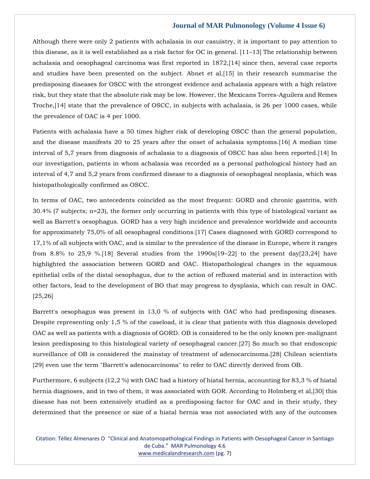Although there were only 2 patients with achalasia in our casuistry, it is important to pay attention to this disease, as it is well established as a risk factor for OC in general. [11–13] The relationship between achalasia and oesophageal carcinoma was first reported in 1872,[14] since then, several case reports and studies have been presented on the subject. Abnet et al,[15] in their research summarise the predisposing diseases for OSCC with the strongest evidence and achalasia appears with a high relative risk, but they state that the absolute risk may be low. However, the Mexicans Torres-Aguilera and Remes Troche,[14] state that the prevalence of OSCC, in subjects with achalasia, is 26 per 1000 cases, while the prevalence of OAC is 4 per 1000.

Patients with achalasia have a 50 times higher risk of developing OSCC than the general population, and the disease manifests 20 to 25 years after the onset of achalasia symptoms.[16] A median time interval of 5,7 years from diagnosis of achalasia to a diagnosis of OSCC has also been reported.[14] In our investigation, patients in whom achalasia was recorded as a personal pathological history had an interval of 4,7 and 5,2 years from confirmed disease to a diagnosis of oesophageal neoplasia, which was histopathologically confirmed as OSCC.

In terms of OAC, two antecedents coincided as the most frequent: GORD and chronic gastritis, with 30.4% (7 subjects; n=23), the former only occurring in patients with this type of histological variant as well as Barrett's oesophagus. GORD has a very high incidence and prevalence worldwide and accounts for approximately 75,0% of all oesophageal conditions.[17] Cases diagnosed with GORD correspond to 17,1% of all subjects with OAC, and is similar to the prevalence of the disease in Europe, where it ranges from 8.8% to 25,9 %.[18] Several studies from the 1990s[19–22] to the present day[23,24] have highlighted the association between GORD and OAC. Histopathological changes in the squamous epithelial cells of the distal oesophagus, due to the action of refluxed material and in interaction with other factors, lead to the development of BO that may progress to dysplasia, which can result in OAC. [25,26]

Barrett's oesophagus was present in 13,0 % of subjects with OAC who had predisposing diseases. Despite representing only 1,5 % of the caseload, it is clear that patients with this diagnosis developed OAC as well as patients with a diagnosis of GORD. OB is considered to be the only known pre-malignant lesion predisposing to this histological variety of oesophageal cancer.[27] So much so that endoscopic surveillance of OB is considered the mainstay of treatment of adenocarcinoma.[28] Chilean scientists [29] even use the term "Barrett's adenocarcinoma" to refer to OAC directly derived from OB.

Furthermore, 6 subjects (12,2 %) with OAC had a history of hiatal hernia, accounting for 83,3 % of hiatal hernia diagnoses, and in two of them, it was associated with GOR. According to Holmberg et al,[30] this disease has not been extensively studied as a predisposing factor for OAC and in their study, they determined that the presence or size of a hiatal hernia was not associated with any of the outcomes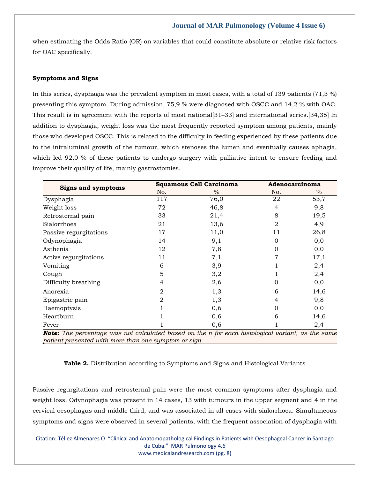when estimating the Odds Ratio (OR) on variables that could constitute absolute or relative risk factors for OAC specifically.

# **Symptoms and Signs**

In this series, dysphagia was the prevalent symptom in most cases, with a total of 139 patients (71,3 %) presenting this symptom. During admission, 75,9 % were diagnosed with OSCC and 14,2 % with OAC. This result is in agreement with the reports of most national[31–33] and international series.[34,35] In addition to dysphagia, weight loss was the most frequently reported symptom among patients, mainly those who developed OSCC. This is related to the difficulty in feeding experienced by these patients due to the intraluminal growth of the tumour, which stenoses the lumen and eventually causes aphagia, which led 92,0 % of these patients to undergo surgery with palliative intent to ensure feeding and improve their quality of life, mainly gastrostomies.

|                                                                                                         |                | <b>Squamous Cell Carcinoma</b> | Adenocarcinoma |      |  |
|---------------------------------------------------------------------------------------------------------|----------------|--------------------------------|----------------|------|--|
| <b>Signs and symptoms</b>                                                                               | No.            | $\%$                           | No.            | $\%$ |  |
| Dysphagia                                                                                               | 117            | 76,0                           | 22             | 53,7 |  |
| Weight loss                                                                                             | 72             | 46,8                           | 4              | 9,8  |  |
| Retrosternal pain                                                                                       | 33             | 21,4                           | 8              | 19,5 |  |
| Sialorrhoea                                                                                             | 21             | 13,6                           | $\overline{2}$ | 4,9  |  |
| Passive regurgitations                                                                                  | 17             | 11,0                           | 11             | 26,8 |  |
| Odynophagia                                                                                             | 14             | 9,1                            | $\Omega$       | 0,0  |  |
| Asthenia                                                                                                | 12             | 7,8                            | $\Omega$       | 0,0  |  |
| Active regurgitations                                                                                   | 11             | 7,1                            | 7              | 17,1 |  |
| Vomiting                                                                                                | 6              | 3,9                            |                | 2,4  |  |
| Cough                                                                                                   | 5              | 3,2                            |                | 2,4  |  |
| Difficulty breathing                                                                                    | 4              | 2,6                            | 0              | 0,0  |  |
| Anorexia                                                                                                | $\overline{2}$ | 1,3                            | 6              | 14,6 |  |
| Epigastric pain                                                                                         | $\overline{2}$ | 1,3                            | 4              | 9,8  |  |
| Haemoptysis                                                                                             |                | 0,6                            | $\Omega$       | 0.0  |  |
| Heartburn                                                                                               |                | 0,6                            | 6              | 14,6 |  |
| Fever                                                                                                   |                | 0,6                            |                | 2,4  |  |
| <b>Note:</b> The perceptage was not calculated based on the n for each histological variant as the same |                |                                |                |      |  |

*Note: The percentage was not calculated based on the n for each histological variant, as the same patient presented with more than one symptom or sign.*

# **Table 2.** Distribution according to Symptoms and Signs and Histological Variants

Passive regurgitations and retrosternal pain were the most common symptoms after dysphagia and weight loss. Odynophagia was present in 14 cases, 13 with tumours in the upper segment and 4 in the cervical oesophagus and middle third, and was associated in all cases with sialorrhoea. Simultaneous symptoms and signs were observed in several patients, with the frequent association of dysphagia with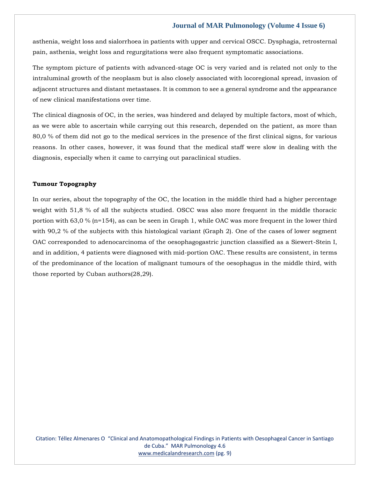asthenia, weight loss and sialorrhoea in patients with upper and cervical OSCC. Dysphagia, retrosternal pain, asthenia, weight loss and regurgitations were also frequent symptomatic associations.

The symptom picture of patients with advanced-stage OC is very varied and is related not only to the intraluminal growth of the neoplasm but is also closely associated with locoregional spread, invasion of adjacent structures and distant metastases. It is common to see a general syndrome and the appearance of new clinical manifestations over time.

The clinical diagnosis of OC, in the series, was hindered and delayed by multiple factors, most of which, as we were able to ascertain while carrying out this research, depended on the patient, as more than 80,0 % of them did not go to the medical services in the presence of the first clinical signs, for various reasons. In other cases, however, it was found that the medical staff were slow in dealing with the diagnosis, especially when it came to carrying out paraclinical studies.

#### **Tumour Topography**

In our series, about the topography of the OC, the location in the middle third had a higher percentage weight with 51,8 % of all the subjects studied. OSCC was also more frequent in the middle thoracic portion with 63,0 % (n=154), as can be seen in Graph 1, while OAC was more frequent in the lower third with 90,2 % of the subjects with this histological variant (Graph 2). One of the cases of lower segment OAC corresponded to adenocarcinoma of the oesophagogastric junction classified as a Siewert-Stein I, and in addition, 4 patients were diagnosed with mid-portion OAC. These results are consistent, in terms of the predominance of the location of malignant tumours of the oesophagus in the middle third, with those reported by Cuban authors(28,29).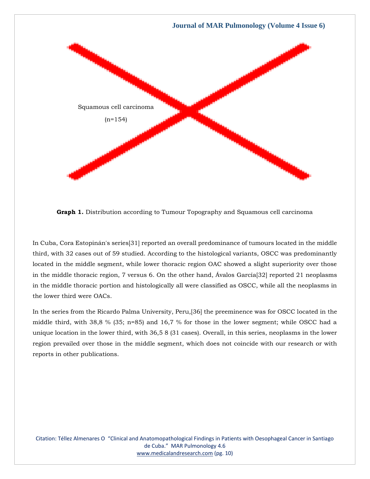

**Graph 1.** Distribution according to Tumour Topography and Squamous cell carcinoma

In Cuba, Cora Estopinán's series[31] reported an overall predominance of tumours located in the middle third, with 32 cases out of 59 studied. According to the histological variants, OSCC was predominantly located in the middle segment, while lower thoracic region OAC showed a slight superiority over those in the middle thoracic region, 7 versus 6. On the other hand, Ávalos García[32] reported 21 neoplasms in the middle thoracic portion and histologically all were classified as OSCC, while all the neoplasms in the lower third were OACs.

In the series from the Ricardo Palma University, Peru,[36] the preeminence was for OSCC located in the middle third, with 38,8 % (35; n=85) and 16,7 % for those in the lower segment; while OSCC had a unique location in the lower third, with 36,5 8 (31 cases). Overall, in this series, neoplasms in the lower region prevailed over those in the middle segment, which does not coincide with our research or with reports in other publications.

Citation: Téllez Almenares O "Clinical and Anatomopathological Findings in Patients with Oesophageal Cancer in Santiago de Cuba." MAR Pulmonology 4.6 [www.medicalandresearch.com](http://www.medicalandresearch.com/) (pg. 10)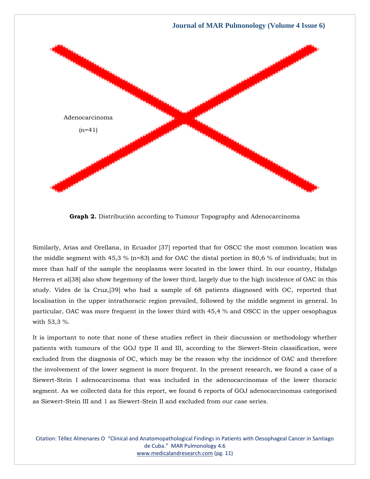

**Graph 2.** Distribución according to Tumour Topography and Adenocarcinoma

Similarly, Arias and Orellana, in Ecuador [37] reported that for OSCC the most common location was the middle segment with 45,3 % (n=83) and for OAC the distal portion in 80,6 % of individuals; but in more than half of the sample the neoplasms were located in the lower third. In our country, Hidalgo Herrera et al[38] also show hegemony of the lower third, largely due to the high incidence of OAC in this study. Vides de la Cruz,[39] who had a sample of 68 patients diagnosed with OC, reported that localisation in the upper intrathoracic region prevailed, followed by the middle segment in general. In particular, OAC was more frequent in the lower third with 45,4 % and OSCC in the upper oesophagus with 53,3 %.

It is important to note that none of these studies reflect in their discussion or methodology whether patients with tumours of the GOJ type II and III, according to the Siewert-Stein classification, were excluded from the diagnosis of OC, which may be the reason why the incidence of OAC and therefore the involvement of the lower segment is more frequent. In the present research, we found a case of a Siewert-Stein I adenocarcinoma that was included in the adenocarcinomas of the lower thoracic segment. As we collected data for this report, we found 6 reports of GOJ adenocarcinomas categorised as Siewert-Stein III and 1 as Siewert-Stein II and excluded from our case series.

Citation: Téllez Almenares O "Clinical and Anatomopathological Findings in Patients with Oesophageal Cancer in Santiago de Cuba." MAR Pulmonology 4.6 [www.medicalandresearch.com](http://www.medicalandresearch.com/) (pg. 11)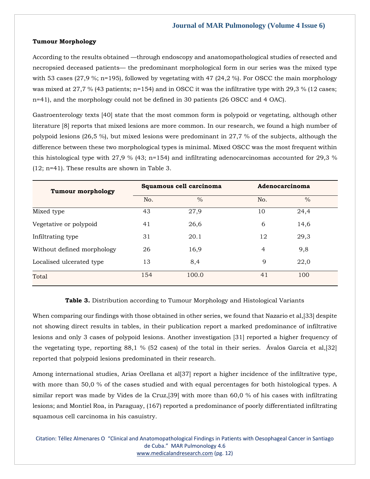#### **Tumour Morphology**

According to the results obtained —through endoscopy and anatomopathological studies of resected and necropsied deceased patients— the predominant morphological form in our series was the mixed type with 53 cases (27,9 %; n=195), followed by vegetating with 47 (24,2 %). For OSCC the main morphology was mixed at 27,7 % (43 patients; n=154) and in OSCC it was the infiltrative type with 29,3 % (12 cases; n=41), and the morphology could not be defined in 30 patients (26 OSCC and 4 OAC).

Gastroenterology texts [40] state that the most common form is polypoid or vegetating, although other literature [8] reports that mixed lesions are more common. In our research, we found a high number of polypoid lesions (26,5 %), but mixed lesions were predominant in 27,7 % of the subjects, although the difference between these two morphological types is minimal. Mixed OSCC was the most frequent within this histological type with 27,9 % (43; n=154) and infiltrating adenocarcinomas accounted for 29,3 % (12; n=41). These results are shown in Table 3.

| <b>Tumour morphology</b>   | Squamous cell carcinoma |               | Adenocarcinoma |      |
|----------------------------|-------------------------|---------------|----------------|------|
|                            | No.                     | $\frac{0}{0}$ | No.            | $\%$ |
| Mixed type                 | 43                      | 27,9          | 10             | 24,4 |
| Vegetative or polypoid     | 41                      | 26,6          | 6              | 14,6 |
| Infiltrating type          | 31                      | 20.1          | 12             | 29,3 |
| Without defined morphology | 26                      | 16,9          | $\overline{4}$ | 9,8  |
| Localised ulcerated type   | 13                      | 8,4           | 9              | 22,0 |
| Total                      | 154                     | 100.0         | 41             | 100  |

# **Table 3.** Distribution according to Tumour Morphology and Histological Variants

When comparing our findings with those obtained in other series, we found that Nazario et al,[33] despite not showing direct results in tables, in their publication report a marked predominance of infiltrative lesions and only 3 cases of polypoid lesions. Another investigation [31] reported a higher frequency of the vegetating type, reporting 88,1 % (52 cases) of the total in their series. Ávalos García et al,[32] reported that polypoid lesions predominated in their research.

Among international studies, Arias Orellana et al[37] report a higher incidence of the infiltrative type, with more than 50,0 % of the cases studied and with equal percentages for both histological types. A similar report was made by Vides de la Cruz,[39] with more than 60,0 % of his cases with infiltrating lesions; and Montiel Roa, in Paraguay, (167) reported a predominance of poorly differentiated infiltrating squamous cell carcinoma in his casuistry.

Citation: Téllez Almenares O "Clinical and Anatomopathological Findings in Patients with Oesophageal Cancer in Santiago de Cuba." MAR Pulmonology 4.6 [www.medicalandresearch.com](http://www.medicalandresearch.com/) (pg. 12)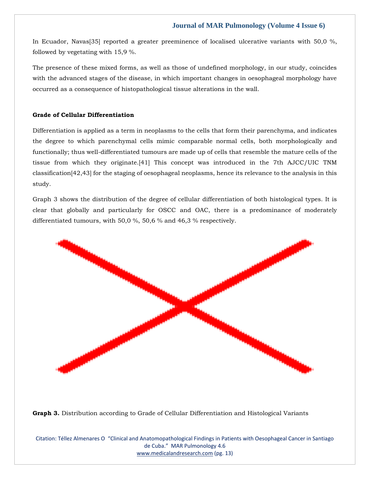In Ecuador, Navas[35] reported a greater preeminence of localised ulcerative variants with 50,0 %, followed by vegetating with 15,9 %.

The presence of these mixed forms, as well as those of undefined morphology, in our study, coincides with the advanced stages of the disease, in which important changes in oesophageal morphology have occurred as a consequence of histopathological tissue alterations in the wall.

# **Grade of Cellular Differentiation**

Differentiation is applied as a term in neoplasms to the cells that form their parenchyma, and indicates the degree to which parenchymal cells mimic comparable normal cells, both morphologically and functionally; thus well-differentiated tumours are made up of cells that resemble the mature cells of the tissue from which they originate.[41] This concept was introduced in the 7th AJCC/UIC TNM classification[42,43] for the staging of oesophageal neoplasms, hence its relevance to the analysis in this study.

Graph 3 shows the distribution of the degree of cellular differentiation of both histological types. It is clear that globally and particularly for OSCC and OAC, there is a predominance of moderately differentiated tumours, with 50,0 %, 50,6 % and 46,3 % respectively.



**Graph 3.** Distribution according to Grade of Cellular Differentiation and Histological Variants

Citation: Téllez Almenares O "Clinical and Anatomopathological Findings in Patients with Oesophageal Cancer in Santiago de Cuba." MAR Pulmonology 4.6 [www.medicalandresearch.com](http://www.medicalandresearch.com/) (pg. 13)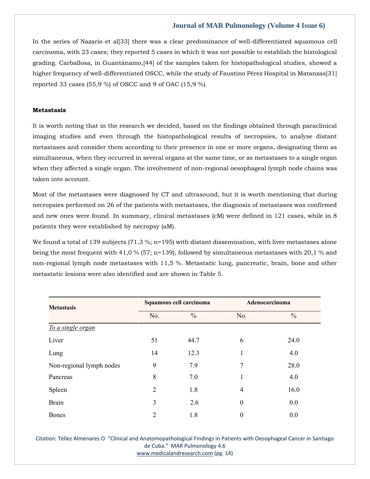In the series of Nazario et al[33] there was a clear predominance of well-differentiated squamous cell carcinoma, with 23 cases; they reported 5 cases in which it was not possible to establish the histological grading. Carballosa, in Guantánamo,[44] of the samples taken for histopathological studies, showed a higher frequency of well-differentiated OSCC, while the study of Faustino Pérez Hospital in Matanzas[31] reported 33 cases (55,9 %) of OSCC and 9 of OAC (15,9 %).

# **Metastasis**

It is worth noting that in the research we decided, based on the findings obtained through paraclinical imaging studies and even through the histopathological results of necropsies, to analyse distant metastases and consider them according to their presence in one or more organs, designating them as simultaneous, when they occurred in several organs at the same time, or as metastases to a single organ when they affected a single organ. The involvement of non-regional oesophageal lymph node chains was taken into account.

Most of the metastases were diagnosed by CT and ultrasound, but it is worth mentioning that during necropsies performed on 26 of the patients with metastases, the diagnosis of metastases was confirmed and new ones were found. In summary, clinical metastases (cM) were defined in 121 cases, while in 8 patients they were established by necropsy (aM).

We found a total of 139 subjects (71,3 %; n=195) with distant dissemination, with liver metastases alone being the most frequent with 41,0 % (57; n=139), followed by simultaneous metastases with 20,1 % and non-regional lymph node metastases with 11,5 %. Metastatic lung, pancreatic, brain, bone and other metastatic lesions were also identified and are shown in Table 5.

| <b>Metastasis</b>        | Squamous cell carcinoma |               | Adenocarcinoma   |               |
|--------------------------|-------------------------|---------------|------------------|---------------|
|                          | No.                     | $\frac{0}{0}$ | No.              | $\frac{0}{0}$ |
| To a single organ        |                         |               |                  |               |
| Liver                    | 51                      | 44.7          | 6                | 24.0          |
| Lung                     | 14                      | 12.3          |                  | 4.0           |
| Non-regional lymph nodes | 9                       | 7.9           | 7                | 28.0          |
| Pancreas                 | 8                       | 7.0           | 1                | 4.0           |
| Spleen                   | $\overline{2}$          | 1.8           | $\overline{4}$   | 16.0          |
| <b>Brain</b>             | 3                       | 2.6           | $\boldsymbol{0}$ | 0.0           |
| Bones                    | $\overline{2}$          | 1.8           | $\boldsymbol{0}$ | 0.0           |

Citation: Téllez Almenares O "Clinical and Anatomopathological Findings in Patients with Oesophageal Cancer in Santiago de Cuba." MAR Pulmonology 4.6 [www.medicalandresearch.com](http://www.medicalandresearch.com/) (pg. 14)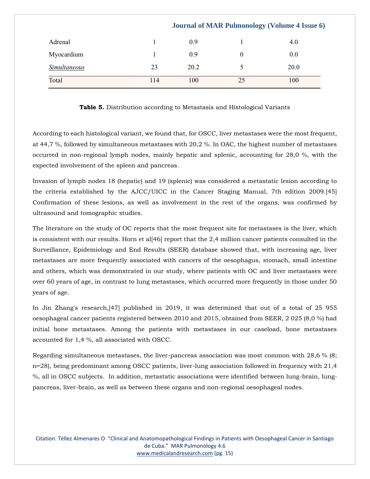|              | <b>Journal of MAR Pulmonology (Volume 4 Issue 6)</b> |      |          |      |
|--------------|------------------------------------------------------|------|----------|------|
| Adrenal      |                                                      | 0.9  |          | 4.0  |
| Myocardium   |                                                      | 0.9  | $\theta$ | 0.0  |
| Simultaneous | 23                                                   | 20.2 |          | 20.0 |
| Total        | 114                                                  | 100  | 25       | 100  |

#### **Table 5.** Distribution according to Metastasis and Histological Variants

According to each histological variant, we found that, for OSCC, liver metastases were the most frequent, at 44,7 %, followed by simultaneous metastases with 20,2 %. In OAC, the highest number of metastases occurred in non-regional lymph nodes, mainly hepatic and splenic, accounting for 28,0 %, with the expected involvement of the spleen and pancreas.

Invasion of lymph nodes 18 (hepatic) and 19 (splenic) was considered a metastatic lesion according to the criteria established by the AJCC/UICC in the Cancer Staging Manual, 7th edition 2009.[45] Confirmation of these lesions, as well as involvement in the rest of the organs, was confirmed by ultrasound and tomographic studies.

The literature on the study of OC reports that the most frequent site for metastases is the liver, which is consistent with our results. Horn et al[46] report that the 2,4 million cancer patients consulted in the Surveillance, Epidemiology and End Results (SEER) database showed that, with increasing age, liver metastases are more frequently associated with cancers of the oesophagus, stomach, small intestine and others, which was demonstrated in our study, where patients with OC and liver metastases were over 60 years of age, in contrast to lung metastases, which occurred more frequently in those under 50 years of age.

In Jin Zhang's research,[47] published in 2019, it was determined that out of a total of 25 955 oesophageal cancer patients registered between 2010 and 2015, obtained from SEER, 2 025 (8,0 %) had initial bone metastases. Among the patients with metastases in our caseload, bone metastases accounted for 1,4 %, all associated with OSCC.

Regarding simultaneous metastases, the liver-pancreas association was most common with 28,6 % (8; n=28), being predominant among OSCC patients, liver-lung association followed in frequency with 21,4 %, all in OSCC subjects. In addition, metastatic associations were identified between lung-brain, lungpancreas, liver-brain, as well as between these organs and non-regional oesophageal nodes.

Citation: Téllez Almenares O "Clinical and Anatomopathological Findings in Patients with Oesophageal Cancer in Santiago de Cuba." MAR Pulmonology 4.6 [www.medicalandresearch.com](http://www.medicalandresearch.com/) (pg. 15)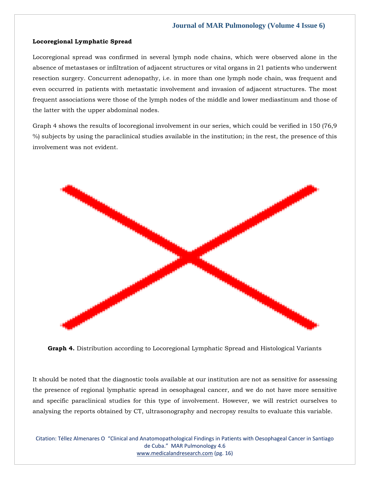#### **Locoregional Lymphatic Spread**

Locoregional spread was confirmed in several lymph node chains, which were observed alone in the absence of metastases or infiltration of adjacent structures or vital organs in 21 patients who underwent resection surgery. Concurrent adenopathy, i.e. in more than one lymph node chain, was frequent and even occurred in patients with metastatic involvement and invasion of adjacent structures. The most frequent associations were those of the lymph nodes of the middle and lower mediastinum and those of the latter with the upper abdominal nodes.

Graph 4 shows the results of locoregional involvement in our series, which could be verified in 150 (76,9 %) subjects by using the paraclinical studies available in the institution; in the rest, the presence of this involvement was not evident.



**Graph 4.** Distribution according to Locoregional Lymphatic Spread and Histological Variants

It should be noted that the diagnostic tools available at our institution are not as sensitive for assessing the presence of regional lymphatic spread in oesophageal cancer, and we do not have more sensitive and specific paraclinical studies for this type of involvement. However, we will restrict ourselves to analysing the reports obtained by CT, ultrasonography and necropsy results to evaluate this variable.

Citation: Téllez Almenares O "Clinical and Anatomopathological Findings in Patients with Oesophageal Cancer in Santiago de Cuba." MAR Pulmonology 4.6 [www.medicalandresearch.com](http://www.medicalandresearch.com/) (pg. 16)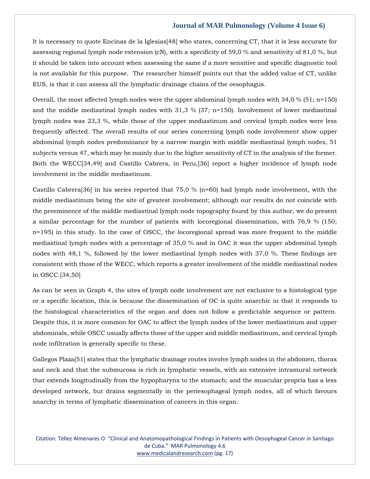It is necessary to quote Encinas de la Iglesias[48] who states, concerning CT, that it is less accurate for assessing regional lymph node extension (cN), with a specificity of 59,0 % and sensitivity of 81,0 %, but it should be taken into account when assessing the same if a more sensitive and specific diagnostic tool is not available for this purpose. The researcher himself points out that the added value of CT, unlike EUS, is that it can assess all the lymphatic drainage chains of the oesophagus.

Overall, the most affected lymph nodes were the upper abdominal lymph nodes with 34,0 % (51; n=150) and the middle mediastinal lymph nodes with  $31.3 \%$  (37; n=150). Involvement of lower mediastinal lymph nodes was 23,3 %, while those of the upper mediastinum and cervical lymph nodes were less frequently affected. The overall results of our series concerning lymph node involvement show upper abdominal lymph nodes predominance by a narrow margin with middle mediastinal lymph nodes, 51 subjects versus 47, which may be mainly due to the higher sensitivity of CT in the analysis of the former. Both the WECC[34,49] and Castillo Cabrera, in Peru,[36] report a higher incidence of lymph node involvement in the middle mediastinum.

Castillo Cabrera<sup>[36]</sup> in his series reported that 75,0 % ( $n=60$ ) had lymph node involvement, with the middle mediastinum being the site of greatest involvement; although our results do not coincide with the preeminence of the middle mediastinal lymph node topography found by this author, we do present a similar percentage for the number of patients with locoregional dissemination, with 76,9 % (150; n=195) in this study. In the case of OSCC, the locoregional spread was more frequent to the middle mediastinal lymph nodes with a percentage of 35,0 % and in OAC it was the upper abdominal lymph nodes with 48,1 %, followed by the lower mediastinal lymph nodes with 37,0 %. These findings are consistent with those of the WECC, which reports a greater involvement of the middle mediastinal nodes in OSCC.[34,50]

As can be seen in Graph 4, the sites of lymph node involvement are not exclusive to a histological type or a specific location, this is because the dissemination of OC is quite anarchic in that it responds to the histological characteristics of the organ and does not follow a predictable sequence or pattern. Despite this, it is more common for OAC to affect the lymph nodes of the lower mediastinum and upper abdominals, while OSCC usually affects those of the upper and middle mediastinum, and cervical lymph node infiltration is generally specific to these.

Gallegos Plaza[51] states that the lymphatic drainage routes involve lymph nodes in the abdomen, thorax and neck and that the submucosa is rich in lymphatic vessels, with an extensive intramural network that extends longitudinally from the hypopharynx to the stomach; and the muscular propria has a less developed network, but drains segmentally in the periesophageal lymph nodes, all of which favours anarchy in terms of lymphatic dissemination of cancers in this organ.

Citation: Téllez Almenares O "Clinical and Anatomopathological Findings in Patients with Oesophageal Cancer in Santiago de Cuba." MAR Pulmonology 4.6 [www.medicalandresearch.com](http://www.medicalandresearch.com/) (pg. 17)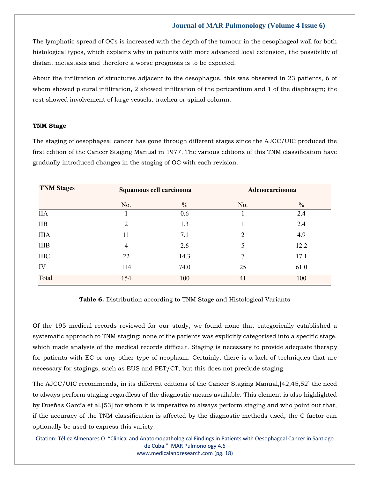The lymphatic spread of OCs is increased with the depth of the tumour in the oesophageal wall for both histological types, which explains why in patients with more advanced local extension, the possibility of distant metastasis and therefore a worse prognosis is to be expected.

About the infiltration of structures adjacent to the oesophagus, this was observed in 23 patients, 6 of whom showed pleural infiltration, 2 showed infiltration of the pericardium and 1 of the diaphragm; the rest showed involvement of large vessels, trachea or spinal column.

# **TNM Stage**

The staging of oesophageal cancer has gone through different stages since the AJCC/UIC produced the first edition of the Cancer Staging Manual in 1977. The various editions of this TNM classification have gradually introduced changes in the staging of OC with each revision.

| <b>TNM Stages</b> | Squamous cell carcinoma |               | Adenocarcinoma |               |
|-------------------|-------------------------|---------------|----------------|---------------|
|                   | No.                     | $\frac{0}{0}$ | No.            | $\frac{0}{0}$ |
| <b>IIA</b>        |                         | 0.6           |                | 2.4           |
| <b>IIB</b>        | $\overline{2}$          | 1.3           |                | 2.4           |
| <b>IIIA</b>       | 11                      | 7.1           | $\overline{2}$ | 4.9           |
| <b>IIIB</b>       | $\overline{4}$          | 2.6           | 5              | 12.2          |
| <b>IIIC</b>       | 22                      | 14.3          | 7              | 17.1          |
| IV                | 114                     | 74.0          | 25             | 61.0          |
| Total             | 154                     | 100           | 41             | 100           |

# **Table 6.** Distribution according to TNM Stage and Histological Variants

Of the 195 medical records reviewed for our study, we found none that categorically established a systematic approach to TNM staging; none of the patients was explicitly categorised into a specific stage, which made analysis of the medical records difficult. Staging is necessary to provide adequate therapy for patients with EC or any other type of neoplasm. Certainly, there is a lack of techniques that are necessary for stagings, such as EUS and PET/CT, but this does not preclude staging.

The AJCC/UIC recommends, in its different editions of the Cancer Staging Manual,[42,45,52] the need to always perform staging regardless of the diagnostic means available. This element is also highlighted by Dueñas García et al,[53] for whom it is imperative to always perform staging and who point out that, if the accuracy of the TNM classification is affected by the diagnostic methods used, the C factor can optionally be used to express this variety:

Citation: Téllez Almenares O "Clinical and Anatomopathological Findings in Patients with Oesophageal Cancer in Santiago de Cuba." MAR Pulmonology 4.6 [www.medicalandresearch.com](http://www.medicalandresearch.com/) (pg. 18)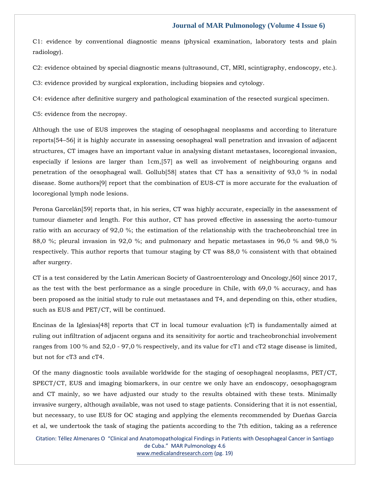C1: evidence by conventional diagnostic means (physical examination, laboratory tests and plain radiology).

C2: evidence obtained by special diagnostic means (ultrasound, CT, MRI, scintigraphy, endoscopy, etc.).

C3: evidence provided by surgical exploration, including biopsies and cytology.

C4: evidence after definitive surgery and pathological examination of the resected surgical specimen.

C5: evidence from the necropsy.

Although the use of EUS improves the staging of oesophageal neoplasms and according to literature reports[54–56] it is highly accurate in assessing oesophageal wall penetration and invasion of adjacent structures, CT images have an important value in analysing distant metastases, locoregional invasion, especially if lesions are larger than 1cm,[57] as well as involvement of neighbouring organs and penetration of the oesophageal wall. Gollub[58] states that CT has a sensitivity of 93,0 % in nodal disease. Some authors[9] report that the combination of EUS-CT is more accurate for the evaluation of locoregional lymph node lesions.

Perona Garcelán[59] reports that, in his series, CT was highly accurate, especially in the assessment of tumour diameter and length. For this author, CT has proved effective in assessing the aorto-tumour ratio with an accuracy of 92,0 %; the estimation of the relationship with the tracheobronchial tree in 88,0 %; pleural invasion in 92,0 %; and pulmonary and hepatic metastases in 96,0 % and 98,0 % respectively. This author reports that tumour staging by CT was 88,0 % consistent with that obtained after surgery.

CT is a test considered by the Latin American Society of Gastroenterology and Oncology,[60] since 2017, as the test with the best performance as a single procedure in Chile, with 69,0 % accuracy, and has been proposed as the initial study to rule out metastases and T4, and depending on this, other studies, such as EUS and PET/CT, will be continued.

Encinas de la Iglesias[48] reports that CT in local tumour evaluation (cT) is fundamentally aimed at ruling out infiltration of adjacent organs and its sensitivity for aortic and tracheobronchial involvement ranges from 100 % and 52,0 - 97,0 % respectively, and its value for cT1 and cT2 stage disease is limited, but not for cT3 and cT4.

Of the many diagnostic tools available worldwide for the staging of oesophageal neoplasms, PET/CT, SPECT/CT, EUS and imaging biomarkers, in our centre we only have an endoscopy, oesophagogram and CT mainly, so we have adjusted our study to the results obtained with these tests. Minimally invasive surgery, although available, was not used to stage patients. Considering that it is not essential, but necessary, to use EUS for OC staging and applying the elements recommended by Dueñas García et al, we undertook the task of staging the patients according to the 7th edition, taking as a reference

Citation: Téllez Almenares O "Clinical and Anatomopathological Findings in Patients with Oesophageal Cancer in Santiago de Cuba." MAR Pulmonology 4.6 [www.medicalandresearch.com](http://www.medicalandresearch.com/) (pg. 19)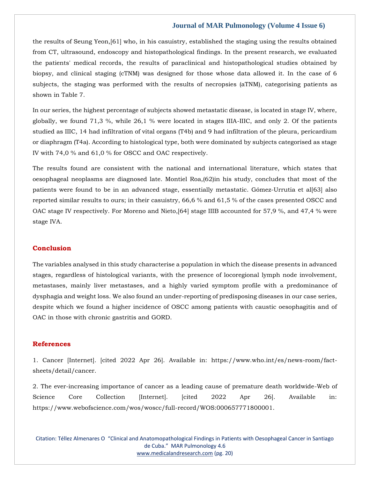the results of Seung Yeon,[61] who, in his casuistry, established the staging using the results obtained from CT, ultrasound, endoscopy and histopathological findings. In the present research, we evaluated the patients' medical records, the results of paraclinical and histopathological studies obtained by biopsy, and clinical staging (cTNM) was designed for those whose data allowed it. In the case of 6 subjects, the staging was performed with the results of necropsies (aTNM), categorising patients as shown in Table 7.

In our series, the highest percentage of subjects showed metastatic disease, is located in stage IV, where, globally, we found 71,3 %, while 26,1 % were located in stages IIIA-IIIC, and only 2. Of the patients studied as IIIC, 14 had infiltration of vital organs (T4b) and 9 had infiltration of the pleura, pericardium or diaphragm (T4a). According to histological type, both were dominated by subjects categorised as stage IV with 74,0 % and 61,0 % for OSCC and OAC respectively.

The results found are consistent with the national and international literature, which states that oesophageal neoplasms are diagnosed late. Montiel Roa,(62)in his study, concludes that most of the patients were found to be in an advanced stage, essentially metastatic. Gómez-Urrutia et al[63] also reported similar results to ours; in their casuistry, 66,6 % and 61,5 % of the cases presented OSCC and OAC stage IV respectively. For Moreno and Nieto,[64] stage IIIB accounted for 57,9 %, and 47,4 % were stage IVA.

# **Conclusion**

The variables analysed in this study characterise a population in which the disease presents in advanced stages, regardless of histological variants, with the presence of locoregional lymph node involvement, metastases, mainly liver metastases, and a highly varied symptom profile with a predominance of dysphagia and weight loss. We also found an under-reporting of predisposing diseases in our case series, despite which we found a higher incidence of OSCC among patients with caustic oesophagitis and of OAC in those with chronic gastritis and GORD.

# **References**

[1. Cancer \[Internet\]. \[cited 2022 Apr 26\]. Available in: https://www.who.int/es/news-room/fact](file:///C:/Users/Arief%20Mahimudh/Desktop/April/PY/1.%20Cancer%20%5bInternet%5d.%20%5bcited%202022%20Apr%2026%5d.%20Available%20in:%20https:/www.who.int/es/news-room/fact-sheets/detail/cancer)[sheets/detail/cancer.](file:///C:/Users/Arief%20Mahimudh/Desktop/April/PY/1.%20Cancer%20%5bInternet%5d.%20%5bcited%202022%20Apr%2026%5d.%20Available%20in:%20https:/www.who.int/es/news-room/fact-sheets/detail/cancer)

[2. The ever-increasing importance of cancer as a leading cause of premature death worldwide-Web of](file:///C:/Users/Arief%20Mahimudh/Desktop/April/PY/2.%20The%20ever-increasing%20importance%20of%20cancer%20as%20a%20leading%20cause%20of%20premature%20death%20worldwide-Web%20of%20Science%20Core%20Collection%20%5bInternet%5d.%20%5bcited%202022%20Apr%2026%5d.%20Available%20in:%20https:/www.webofscience.com/wos/woscc/full-record/WOS:000657771800001.)  [Science Core Collection \[Internet\]. \[cited 2022 Apr 26\]. Available in:](file:///C:/Users/Arief%20Mahimudh/Desktop/April/PY/2.%20The%20ever-increasing%20importance%20of%20cancer%20as%20a%20leading%20cause%20of%20premature%20death%20worldwide-Web%20of%20Science%20Core%20Collection%20%5bInternet%5d.%20%5bcited%202022%20Apr%2026%5d.%20Available%20in:%20https:/www.webofscience.com/wos/woscc/full-record/WOS:000657771800001.)  [https://www.webofscience.com/wos/woscc/full-record/WOS:000657771800001.](file:///C:/Users/Arief%20Mahimudh/Desktop/April/PY/2.%20The%20ever-increasing%20importance%20of%20cancer%20as%20a%20leading%20cause%20of%20premature%20death%20worldwide-Web%20of%20Science%20Core%20Collection%20%5bInternet%5d.%20%5bcited%202022%20Apr%2026%5d.%20Available%20in:%20https:/www.webofscience.com/wos/woscc/full-record/WOS:000657771800001.)

Citation: Téllez Almenares O "Clinical and Anatomopathological Findings in Patients with Oesophageal Cancer in Santiago de Cuba." MAR Pulmonology 4.6 [www.medicalandresearch.com](http://www.medicalandresearch.com/) (pg. 20)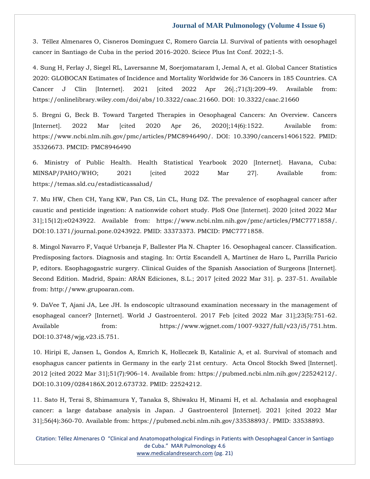[3. Téllez Almenares O, Cisneros Domínguez C, Romero García LI. Survival of patients with oesophagel](https://www.google.com/search?q=Survival+of+patients+with+oesophagel+cancer+in+Santiago+de+Cuba+in+the+period&oq=Survival+of+patients+with+oesophagel+cancer+in+Santiago+de+Cuba+in+the+period&aqs=chrome..69i57.679j0j7&sourceid=chrome&ie=UTF-8)  [cancer in Santiago de Cuba in the period 2016-2020. Sciece Plus Int Conf. 2022;1-5.](https://www.google.com/search?q=Survival+of+patients+with+oesophagel+cancer+in+Santiago+de+Cuba+in+the+period&oq=Survival+of+patients+with+oesophagel+cancer+in+Santiago+de+Cuba+in+the+period&aqs=chrome..69i57.679j0j7&sourceid=chrome&ie=UTF-8)

[4. Sung H, Ferlay J, Siegel RL, Laversanne M, Soerjomataram I, Jemal A, et al. Global Cancer Statistics](file:///C:/Users/Arief%20Mahimudh/Desktop/April/PY/4.%20Sung%20H,%20Ferlay%20J,%20Siegel%20RL,%20Laversanne%20M,%20Soerjomataram%20I,%20Jemal%20A,%20et%20al.%20Global%20Cancer%20Statistics%202020:%20GLOBOCAN%20Estimates%20of%20Incidence%20and%20Mortality%20Worldwide%20for%2036%20Cancers%20in%20185%20Countries.%20CA%20Cancer%20J%20Clin%20%5bInternet%5d.%202021%20%5bcited%202022%20Apr%2026%5d.;71(3):209-49.%20Available%20from:%20https:/onlinelibrary.wiley.com/doi/abs/10.3322/caac.21660.%20DOI:%2010.3322/caac.21660)  [2020: GLOBOCAN Estimates of Incidence and Mortality Worldwide for 36 Cancers in 185 Countries. CA](file:///C:/Users/Arief%20Mahimudh/Desktop/April/PY/4.%20Sung%20H,%20Ferlay%20J,%20Siegel%20RL,%20Laversanne%20M,%20Soerjomataram%20I,%20Jemal%20A,%20et%20al.%20Global%20Cancer%20Statistics%202020:%20GLOBOCAN%20Estimates%20of%20Incidence%20and%20Mortality%20Worldwide%20for%2036%20Cancers%20in%20185%20Countries.%20CA%20Cancer%20J%20Clin%20%5bInternet%5d.%202021%20%5bcited%202022%20Apr%2026%5d.;71(3):209-49.%20Available%20from:%20https:/onlinelibrary.wiley.com/doi/abs/10.3322/caac.21660.%20DOI:%2010.3322/caac.21660)  [Cancer J Clin \[Internet\]. 2021 \[cited 2022 Apr 26\].;71\(3\):209-49. Available from:](file:///C:/Users/Arief%20Mahimudh/Desktop/April/PY/4.%20Sung%20H,%20Ferlay%20J,%20Siegel%20RL,%20Laversanne%20M,%20Soerjomataram%20I,%20Jemal%20A,%20et%20al.%20Global%20Cancer%20Statistics%202020:%20GLOBOCAN%20Estimates%20of%20Incidence%20and%20Mortality%20Worldwide%20for%2036%20Cancers%20in%20185%20Countries.%20CA%20Cancer%20J%20Clin%20%5bInternet%5d.%202021%20%5bcited%202022%20Apr%2026%5d.;71(3):209-49.%20Available%20from:%20https:/onlinelibrary.wiley.com/doi/abs/10.3322/caac.21660.%20DOI:%2010.3322/caac.21660)  [https://onlinelibrary.wiley.com/doi/abs/10.3322/caac.21660. DOI: 10.3322/caac.21660](file:///C:/Users/Arief%20Mahimudh/Desktop/April/PY/4.%20Sung%20H,%20Ferlay%20J,%20Siegel%20RL,%20Laversanne%20M,%20Soerjomataram%20I,%20Jemal%20A,%20et%20al.%20Global%20Cancer%20Statistics%202020:%20GLOBOCAN%20Estimates%20of%20Incidence%20and%20Mortality%20Worldwide%20for%2036%20Cancers%20in%20185%20Countries.%20CA%20Cancer%20J%20Clin%20%5bInternet%5d.%202021%20%5bcited%202022%20Apr%2026%5d.;71(3):209-49.%20Available%20from:%20https:/onlinelibrary.wiley.com/doi/abs/10.3322/caac.21660.%20DOI:%2010.3322/caac.21660)

[5. Bregni G, Beck B. Toward Targeted Therapies in Oesophageal Cancers: An Overview. Cancers](file:///C:/Users/Arief%20Mahimudh/Desktop/April/PY/5.%20Bregni%20G,%20Beck%20B.%20Toward%20Targeted%20Therapies%20in%20Oesophageal%20Cancers:%20An%20Overview.%20Cancers%20%5bInternet%5d.%202022%20Mar%20%5bcited%202020%20Apr%2026,%202020%5d;14(6):1522.%20%20Available%20from:%20https:/www.ncbi.nlm.nih.gov/pmc/articles/PMC8946490/.%20DOI:%2010.3390/cancers14061522.%20PMID:%2035326673.%20PMCID:%20PMC8946490)  [\[Internet\]. 2022 Mar \[cited 2020 Apr 26, 2020\];14\(6\):1522. Available from:](file:///C:/Users/Arief%20Mahimudh/Desktop/April/PY/5.%20Bregni%20G,%20Beck%20B.%20Toward%20Targeted%20Therapies%20in%20Oesophageal%20Cancers:%20An%20Overview.%20Cancers%20%5bInternet%5d.%202022%20Mar%20%5bcited%202020%20Apr%2026,%202020%5d;14(6):1522.%20%20Available%20from:%20https:/www.ncbi.nlm.nih.gov/pmc/articles/PMC8946490/.%20DOI:%2010.3390/cancers14061522.%20PMID:%2035326673.%20PMCID:%20PMC8946490)  [https://www.ncbi.nlm.nih.gov/pmc/articles/PMC8946490/. DOI: 10.3390/cancers14061522. PMID:](file:///C:/Users/Arief%20Mahimudh/Desktop/April/PY/5.%20Bregni%20G,%20Beck%20B.%20Toward%20Targeted%20Therapies%20in%20Oesophageal%20Cancers:%20An%20Overview.%20Cancers%20%5bInternet%5d.%202022%20Mar%20%5bcited%202020%20Apr%2026,%202020%5d;14(6):1522.%20%20Available%20from:%20https:/www.ncbi.nlm.nih.gov/pmc/articles/PMC8946490/.%20DOI:%2010.3390/cancers14061522.%20PMID:%2035326673.%20PMCID:%20PMC8946490)  [35326673. PMCID: PMC8946490](file:///C:/Users/Arief%20Mahimudh/Desktop/April/PY/5.%20Bregni%20G,%20Beck%20B.%20Toward%20Targeted%20Therapies%20in%20Oesophageal%20Cancers:%20An%20Overview.%20Cancers%20%5bInternet%5d.%202022%20Mar%20%5bcited%202020%20Apr%2026,%202020%5d;14(6):1522.%20%20Available%20from:%20https:/www.ncbi.nlm.nih.gov/pmc/articles/PMC8946490/.%20DOI:%2010.3390/cancers14061522.%20PMID:%2035326673.%20PMCID:%20PMC8946490)

[6. Ministry of Public Health. Health Statistical Yearbook 2020 \[Internet\]. Havana, Cuba:](file:///C:/Users/Arief%20Mahimudh/Desktop/April/PY/6.%20Ministry%20of%20Public%20Health.%20Health%20Statistical%20Yearbook%202020%20%5bInternet%5d.%20Havana,%20Cuba:%20MINSAP/PAHO/WHO;%202021%20%5bcited%202022%20Mar%2027%5d.%20Available%20from:%20https:/temas.sld.cu/estadisticassalud/)  [MINSAP/PAHO/WHO; 2021 \[cited 2022 Mar 27\]. Available from:](file:///C:/Users/Arief%20Mahimudh/Desktop/April/PY/6.%20Ministry%20of%20Public%20Health.%20Health%20Statistical%20Yearbook%202020%20%5bInternet%5d.%20Havana,%20Cuba:%20MINSAP/PAHO/WHO;%202021%20%5bcited%202022%20Mar%2027%5d.%20Available%20from:%20https:/temas.sld.cu/estadisticassalud/)  [https://temas.sld.cu/estadisticassalud/](file:///C:/Users/Arief%20Mahimudh/Desktop/April/PY/6.%20Ministry%20of%20Public%20Health.%20Health%20Statistical%20Yearbook%202020%20%5bInternet%5d.%20Havana,%20Cuba:%20MINSAP/PAHO/WHO;%202021%20%5bcited%202022%20Mar%2027%5d.%20Available%20from:%20https:/temas.sld.cu/estadisticassalud/)

[7. Mu HW, Chen CH, Yang KW, Pan CS, Lin CL, Hung DZ. The prevalence of esophageal cancer after](file:///C:/Users/Arief%20Mahimudh/Desktop/April/PY/7.%20Mu%20HW,%20Chen%20CH,%20Yang%20KW,%20Pan%20CS,%20Lin%20CL,%20Hung%20DZ.%20The%20prevalence%20of%20esophageal%20cancer%20after%20caustic%20and%20pesticide%20ingestion:%20A%20nationwide%20cohort%20study.%20PloS%20One%20%5bInternet%5d.%202020%20%5bcited%202022%20Mar%2031%5d;15(12):e0243922.%20Available%20from:%20https:/www.ncbi.nlm.nih.gov/pmc/articles/PMC7771858/.%20DOI:10.1371/journal.pone.0243922.%20PMID:%2033373373.%20PMCID:%20PMC7771858.)  [caustic and pesticide ingestion: A nationwide cohort study. PloS One \[Internet\]. 2020 \[cited 2022 Mar](file:///C:/Users/Arief%20Mahimudh/Desktop/April/PY/7.%20Mu%20HW,%20Chen%20CH,%20Yang%20KW,%20Pan%20CS,%20Lin%20CL,%20Hung%20DZ.%20The%20prevalence%20of%20esophageal%20cancer%20after%20caustic%20and%20pesticide%20ingestion:%20A%20nationwide%20cohort%20study.%20PloS%20One%20%5bInternet%5d.%202020%20%5bcited%202022%20Mar%2031%5d;15(12):e0243922.%20Available%20from:%20https:/www.ncbi.nlm.nih.gov/pmc/articles/PMC7771858/.%20DOI:10.1371/journal.pone.0243922.%20PMID:%2033373373.%20PMCID:%20PMC7771858.)  [31\];15\(12\):e0243922. Available from: https://www.ncbi.nlm.nih.gov/pmc/articles/PMC7771858/.](file:///C:/Users/Arief%20Mahimudh/Desktop/April/PY/7.%20Mu%20HW,%20Chen%20CH,%20Yang%20KW,%20Pan%20CS,%20Lin%20CL,%20Hung%20DZ.%20The%20prevalence%20of%20esophageal%20cancer%20after%20caustic%20and%20pesticide%20ingestion:%20A%20nationwide%20cohort%20study.%20PloS%20One%20%5bInternet%5d.%202020%20%5bcited%202022%20Mar%2031%5d;15(12):e0243922.%20Available%20from:%20https:/www.ncbi.nlm.nih.gov/pmc/articles/PMC7771858/.%20DOI:10.1371/journal.pone.0243922.%20PMID:%2033373373.%20PMCID:%20PMC7771858.)  [DOI:10.1371/journal.pone.0243922. PMID: 33373373. PMCID: PMC7771858.](file:///C:/Users/Arief%20Mahimudh/Desktop/April/PY/7.%20Mu%20HW,%20Chen%20CH,%20Yang%20KW,%20Pan%20CS,%20Lin%20CL,%20Hung%20DZ.%20The%20prevalence%20of%20esophageal%20cancer%20after%20caustic%20and%20pesticide%20ingestion:%20A%20nationwide%20cohort%20study.%20PloS%20One%20%5bInternet%5d.%202020%20%5bcited%202022%20Mar%2031%5d;15(12):e0243922.%20Available%20from:%20https:/www.ncbi.nlm.nih.gov/pmc/articles/PMC7771858/.%20DOI:10.1371/journal.pone.0243922.%20PMID:%2033373373.%20PMCID:%20PMC7771858.)

[8. Mingol Navarro F, Vaqué Urbaneja F, Ballester Pla N. Chapter 16. Oesophageal cancer. Classification.](file:///C:/Users/Arief%20Mahimudh/Desktop/April/PY/8.%20Mingol%20Navarro%20F,%20Vaqué%20Urbaneja%20F,%20Ballester%20Pla%20N.%20Chapter%2016.%20Oesophageal%20cancer.%20Classification.%20Predisposing%20factors.%20Diagnosis%20and%20staging.%20In:%20Ortíz%20Escandell%20A,%20Martínez%20de%20Haro%20L,%20Parrilla%20Paricio%20P,%20editors.%20Esophagogastric%20surgery.%20Clinical%20Guides%20of%20the%20Spanish%20Association%20of%20Surgeons%20%5bInternet%5d.%20Second%20Edition.%20Madrid,%20Spain:%20ARÁN%20Ediciones,%20S.L.;%202017%20%5bcited%202022%20Mar%2031%5d.%20p.%20237-51.%20Available%20from:%20http:/www.grupoaran.com.)  [Predisposing factors. Diagnosis and staging. In: Ortíz Escandell A, Martínez de Haro L, Parrilla Paricio](file:///C:/Users/Arief%20Mahimudh/Desktop/April/PY/8.%20Mingol%20Navarro%20F,%20Vaqué%20Urbaneja%20F,%20Ballester%20Pla%20N.%20Chapter%2016.%20Oesophageal%20cancer.%20Classification.%20Predisposing%20factors.%20Diagnosis%20and%20staging.%20In:%20Ortíz%20Escandell%20A,%20Martínez%20de%20Haro%20L,%20Parrilla%20Paricio%20P,%20editors.%20Esophagogastric%20surgery.%20Clinical%20Guides%20of%20the%20Spanish%20Association%20of%20Surgeons%20%5bInternet%5d.%20Second%20Edition.%20Madrid,%20Spain:%20ARÁN%20Ediciones,%20S.L.;%202017%20%5bcited%202022%20Mar%2031%5d.%20p.%20237-51.%20Available%20from:%20http:/www.grupoaran.com.)  [P, editors. Esophagogastric surgery. Clinical Guides of the Spanish Association of Surgeons \[Internet\].](file:///C:/Users/Arief%20Mahimudh/Desktop/April/PY/8.%20Mingol%20Navarro%20F,%20Vaqué%20Urbaneja%20F,%20Ballester%20Pla%20N.%20Chapter%2016.%20Oesophageal%20cancer.%20Classification.%20Predisposing%20factors.%20Diagnosis%20and%20staging.%20In:%20Ortíz%20Escandell%20A,%20Martínez%20de%20Haro%20L,%20Parrilla%20Paricio%20P,%20editors.%20Esophagogastric%20surgery.%20Clinical%20Guides%20of%20the%20Spanish%20Association%20of%20Surgeons%20%5bInternet%5d.%20Second%20Edition.%20Madrid,%20Spain:%20ARÁN%20Ediciones,%20S.L.;%202017%20%5bcited%202022%20Mar%2031%5d.%20p.%20237-51.%20Available%20from:%20http:/www.grupoaran.com.)  [Second Edition. Madrid, Spain: ARÁN Ediciones, S.L.; 2017 \[cited 2022 Mar 31\]. p. 237-51. Available](file:///C:/Users/Arief%20Mahimudh/Desktop/April/PY/8.%20Mingol%20Navarro%20F,%20Vaqué%20Urbaneja%20F,%20Ballester%20Pla%20N.%20Chapter%2016.%20Oesophageal%20cancer.%20Classification.%20Predisposing%20factors.%20Diagnosis%20and%20staging.%20In:%20Ortíz%20Escandell%20A,%20Martínez%20de%20Haro%20L,%20Parrilla%20Paricio%20P,%20editors.%20Esophagogastric%20surgery.%20Clinical%20Guides%20of%20the%20Spanish%20Association%20of%20Surgeons%20%5bInternet%5d.%20Second%20Edition.%20Madrid,%20Spain:%20ARÁN%20Ediciones,%20S.L.;%202017%20%5bcited%202022%20Mar%2031%5d.%20p.%20237-51.%20Available%20from:%20http:/www.grupoaran.com.)  [from: http://www.grupoaran.com.](file:///C:/Users/Arief%20Mahimudh/Desktop/April/PY/8.%20Mingol%20Navarro%20F,%20Vaqué%20Urbaneja%20F,%20Ballester%20Pla%20N.%20Chapter%2016.%20Oesophageal%20cancer.%20Classification.%20Predisposing%20factors.%20Diagnosis%20and%20staging.%20In:%20Ortíz%20Escandell%20A,%20Martínez%20de%20Haro%20L,%20Parrilla%20Paricio%20P,%20editors.%20Esophagogastric%20surgery.%20Clinical%20Guides%20of%20the%20Spanish%20Association%20of%20Surgeons%20%5bInternet%5d.%20Second%20Edition.%20Madrid,%20Spain:%20ARÁN%20Ediciones,%20S.L.;%202017%20%5bcited%202022%20Mar%2031%5d.%20p.%20237-51.%20Available%20from:%20http:/www.grupoaran.com.)

[9. DaVee T, Ajani JA, Lee JH. Is endoscopic ultrasound examination necessary in the management of](file:///C:/Users/Arief%20Mahimudh/Desktop/April/PY/9.%20DaVee%20T,%20Ajani%20JA,%20Lee%20JH.%20Is%20endoscopic%20ultrasound%20examination%20necessary%20in%20the%20management%20of%20esophageal%20cancer?%20%5bInternet%5d.%20World%20J%20Gastroenterol.%202017%20Feb%20%5bcited%202022%20Mar%2031%5d;23(5):751-62.%20%20Available%20from:%20https://www.wjgnet.com/1007-9327/full/v23/i5/751.htm.%20DOI:10.3748/wjg.v23.i5.751.)  [esophageal cancer? \[Internet\]. World J Gastroenterol. 2017 Feb \[cited 2022 Mar 31\];23\(5\):751-62.](file:///C:/Users/Arief%20Mahimudh/Desktop/April/PY/9.%20DaVee%20T,%20Ajani%20JA,%20Lee%20JH.%20Is%20endoscopic%20ultrasound%20examination%20necessary%20in%20the%20management%20of%20esophageal%20cancer?%20%5bInternet%5d.%20World%20J%20Gastroenterol.%202017%20Feb%20%5bcited%202022%20Mar%2031%5d;23(5):751-62.%20%20Available%20from:%20https://www.wjgnet.com/1007-9327/full/v23/i5/751.htm.%20DOI:10.3748/wjg.v23.i5.751.)  [Available from: https://www.wjgnet.com/1007-9327/full/v23/i5/751.htm.](file:///C:/Users/Arief%20Mahimudh/Desktop/April/PY/9.%20DaVee%20T,%20Ajani%20JA,%20Lee%20JH.%20Is%20endoscopic%20ultrasound%20examination%20necessary%20in%20the%20management%20of%20esophageal%20cancer?%20%5bInternet%5d.%20World%20J%20Gastroenterol.%202017%20Feb%20%5bcited%202022%20Mar%2031%5d;23(5):751-62.%20%20Available%20from:%20https://www.wjgnet.com/1007-9327/full/v23/i5/751.htm.%20DOI:10.3748/wjg.v23.i5.751.)  [DOI:10.3748/wjg.v23.i5.751.](file:///C:/Users/Arief%20Mahimudh/Desktop/April/PY/9.%20DaVee%20T,%20Ajani%20JA,%20Lee%20JH.%20Is%20endoscopic%20ultrasound%20examination%20necessary%20in%20the%20management%20of%20esophageal%20cancer?%20%5bInternet%5d.%20World%20J%20Gastroenterol.%202017%20Feb%20%5bcited%202022%20Mar%2031%5d;23(5):751-62.%20%20Available%20from:%20https://www.wjgnet.com/1007-9327/full/v23/i5/751.htm.%20DOI:10.3748/wjg.v23.i5.751.)

[10. Hiripi E, Jansen L, Gondos A, Emrich K, Holleczek B, Katalinic A, et al. Survival of stomach and](file:///C:/Users/Arief%20Mahimudh/Desktop/April/PY/10.%20Hiripi%20E,%20Jansen%20L,%20Gondos%20A,%20Emrich%20K,%20Holleczek%20B,%20Katalinic%20A,%20et%20al.%20Survival%20of%20stomach%20and%20esophagus%20cancer%20patients%20in%20Germany%20in%20the%20early%2021st%20century.%20%20Acta%20Oncol%20Stockh%20Swed%20%5bInternet%5d.%202012%20%5bcited%202022%20Mar%2031%5d;51(7):906-14.%20Available%20from:%20https:/pubmed.ncbi.nlm.nih.gov/22524212/.%20DOI:10.3109/0284186X.2012.673732.%20PMID:%2022524212.)  [esophagus cancer patients in Germany in the early 21st century. Acta Oncol Stockh Swed \[Internet\].](file:///C:/Users/Arief%20Mahimudh/Desktop/April/PY/10.%20Hiripi%20E,%20Jansen%20L,%20Gondos%20A,%20Emrich%20K,%20Holleczek%20B,%20Katalinic%20A,%20et%20al.%20Survival%20of%20stomach%20and%20esophagus%20cancer%20patients%20in%20Germany%20in%20the%20early%2021st%20century.%20%20Acta%20Oncol%20Stockh%20Swed%20%5bInternet%5d.%202012%20%5bcited%202022%20Mar%2031%5d;51(7):906-14.%20Available%20from:%20https:/pubmed.ncbi.nlm.nih.gov/22524212/.%20DOI:10.3109/0284186X.2012.673732.%20PMID:%2022524212.)  [2012 \[cited 2022 Mar 31\];51\(7\):906-14. Available from: https://pubmed.ncbi.nlm.nih.gov/22524212/.](file:///C:/Users/Arief%20Mahimudh/Desktop/April/PY/10.%20Hiripi%20E,%20Jansen%20L,%20Gondos%20A,%20Emrich%20K,%20Holleczek%20B,%20Katalinic%20A,%20et%20al.%20Survival%20of%20stomach%20and%20esophagus%20cancer%20patients%20in%20Germany%20in%20the%20early%2021st%20century.%20%20Acta%20Oncol%20Stockh%20Swed%20%5bInternet%5d.%202012%20%5bcited%202022%20Mar%2031%5d;51(7):906-14.%20Available%20from:%20https:/pubmed.ncbi.nlm.nih.gov/22524212/.%20DOI:10.3109/0284186X.2012.673732.%20PMID:%2022524212.)  [DOI:10.3109/0284186X.2012.673732. PMID: 22524212.](file:///C:/Users/Arief%20Mahimudh/Desktop/April/PY/10.%20Hiripi%20E,%20Jansen%20L,%20Gondos%20A,%20Emrich%20K,%20Holleczek%20B,%20Katalinic%20A,%20et%20al.%20Survival%20of%20stomach%20and%20esophagus%20cancer%20patients%20in%20Germany%20in%20the%20early%2021st%20century.%20%20Acta%20Oncol%20Stockh%20Swed%20%5bInternet%5d.%202012%20%5bcited%202022%20Mar%2031%5d;51(7):906-14.%20Available%20from:%20https:/pubmed.ncbi.nlm.nih.gov/22524212/.%20DOI:10.3109/0284186X.2012.673732.%20PMID:%2022524212.)

[11. Sato H, Terai S, Shimamura Y, Tanaka S, Shiwaku H, Minami H, et al. Achalasia and esophageal](file:///C:/Users/Arief%20Mahimudh/Desktop/April/PY/11.%20Sato%20H,%20Terai%20S,%20Shimamura%20Y,%20Tanaka%20S,%20Shiwaku%20H,%20Minami%20H,%20et%20al.%20Achalasia%20and%20esophageal%20cancer:%20a%20large%20database%20analysis%20in%20Japan.%20J%20Gastroenterol%20%5bInternet%5d.%202021%20%5bcited%202022%20Mar%2031%5d;56(4):360-70.%20Available%20from:%20https:/pubmed.ncbi.nlm.nih.gov/33538893/.%20PMID:%2033538893.)  [cancer: a large database analysis in Japan. J Gastroenterol \[Internet\]. 2021 \[cited 2022 Mar](file:///C:/Users/Arief%20Mahimudh/Desktop/April/PY/11.%20Sato%20H,%20Terai%20S,%20Shimamura%20Y,%20Tanaka%20S,%20Shiwaku%20H,%20Minami%20H,%20et%20al.%20Achalasia%20and%20esophageal%20cancer:%20a%20large%20database%20analysis%20in%20Japan.%20J%20Gastroenterol%20%5bInternet%5d.%202021%20%5bcited%202022%20Mar%2031%5d;56(4):360-70.%20Available%20from:%20https:/pubmed.ncbi.nlm.nih.gov/33538893/.%20PMID:%2033538893.)  [31\];56\(4\):360-70. Available from: https://pubmed.ncbi.nlm.nih.gov/33538893/. PMID: 33538893.](file:///C:/Users/Arief%20Mahimudh/Desktop/April/PY/11.%20Sato%20H,%20Terai%20S,%20Shimamura%20Y,%20Tanaka%20S,%20Shiwaku%20H,%20Minami%20H,%20et%20al.%20Achalasia%20and%20esophageal%20cancer:%20a%20large%20database%20analysis%20in%20Japan.%20J%20Gastroenterol%20%5bInternet%5d.%202021%20%5bcited%202022%20Mar%2031%5d;56(4):360-70.%20Available%20from:%20https:/pubmed.ncbi.nlm.nih.gov/33538893/.%20PMID:%2033538893.)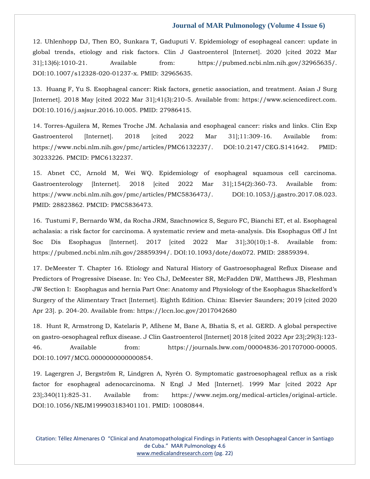[12. Uhlenhopp DJ, Then EO, Sunkara T, Gaduputi V. Epidemiology of esophageal cancer: update in](file:///C:/Users/Arief%20Mahimudh/Desktop/April/PY/12.%20Uhlenhopp%20DJ,%20Then%20EO,%20Sunkara%20T,%20Gaduputi%20V.%20Epidemiology%20of%20esophageal%20cancer:%20update%20in%20global%20trends,%20etiology%20and%20risk%20factors.%20Clin%20J%20Gastroenterol%20%5bInternet%5d.%202020%20%5bcited%202022%20Mar%2031%5d;13(6):1010-21.%20Available%20from:%20https:/pubmed.ncbi.nlm.nih.gov/32965635/.%20DOI:10.1007/s12328-020-01237-x.%20PMID:%2032965635.)  [global trends, etiology and risk factors. Clin J Gastroenterol \[Internet\]. 2020 \[cited 2022 Mar](file:///C:/Users/Arief%20Mahimudh/Desktop/April/PY/12.%20Uhlenhopp%20DJ,%20Then%20EO,%20Sunkara%20T,%20Gaduputi%20V.%20Epidemiology%20of%20esophageal%20cancer:%20update%20in%20global%20trends,%20etiology%20and%20risk%20factors.%20Clin%20J%20Gastroenterol%20%5bInternet%5d.%202020%20%5bcited%202022%20Mar%2031%5d;13(6):1010-21.%20Available%20from:%20https:/pubmed.ncbi.nlm.nih.gov/32965635/.%20DOI:10.1007/s12328-020-01237-x.%20PMID:%2032965635.)  [31\];13\(6\):1010-21. Available from:](file:///C:/Users/Arief%20Mahimudh/Desktop/April/PY/12.%20Uhlenhopp%20DJ,%20Then%20EO,%20Sunkara%20T,%20Gaduputi%20V.%20Epidemiology%20of%20esophageal%20cancer:%20update%20in%20global%20trends,%20etiology%20and%20risk%20factors.%20Clin%20J%20Gastroenterol%20%5bInternet%5d.%202020%20%5bcited%202022%20Mar%2031%5d;13(6):1010-21.%20Available%20from:%20https:/pubmed.ncbi.nlm.nih.gov/32965635/.%20DOI:10.1007/s12328-020-01237-x.%20PMID:%2032965635.) https://pubmed.ncbi.nlm.nih.gov/32965635/. [DOI:10.1007/s12328-020-01237-x. PMID: 32965635.](file:///C:/Users/Arief%20Mahimudh/Desktop/April/PY/12.%20Uhlenhopp%20DJ,%20Then%20EO,%20Sunkara%20T,%20Gaduputi%20V.%20Epidemiology%20of%20esophageal%20cancer:%20update%20in%20global%20trends,%20etiology%20and%20risk%20factors.%20Clin%20J%20Gastroenterol%20%5bInternet%5d.%202020%20%5bcited%202022%20Mar%2031%5d;13(6):1010-21.%20Available%20from:%20https:/pubmed.ncbi.nlm.nih.gov/32965635/.%20DOI:10.1007/s12328-020-01237-x.%20PMID:%2032965635.)

[13. Huang F, Yu S. Esophageal cancer: Risk factors, genetic association, and treatment. Asian J Surg](file:///C:/Users/Arief%20Mahimudh/Desktop/April/PY/13.%20%20Huang%20F,%20Yu%20S.%20Esophageal%20cancer:%20Risk%20factors,%20genetic%20association,%20and%20treatment.%20Asian%20J%20Surg%20%5bInternet%5d.%202018%20May%20%5bcited%202022%20Mar%2031%5d;41(3):210-5.%20Available%20from:%20https:/www.sciencedirect.com.%20DOI:10.1016/j.asjsur.2016.10.005.%20PMID:%2027986415.)  [\[Internet\]. 2018 May \[cited 2022 Mar 31\];41\(3\):210-5. Available from: https://www.sciencedirect.com.](file:///C:/Users/Arief%20Mahimudh/Desktop/April/PY/13.%20%20Huang%20F,%20Yu%20S.%20Esophageal%20cancer:%20Risk%20factors,%20genetic%20association,%20and%20treatment.%20Asian%20J%20Surg%20%5bInternet%5d.%202018%20May%20%5bcited%202022%20Mar%2031%5d;41(3):210-5.%20Available%20from:%20https:/www.sciencedirect.com.%20DOI:10.1016/j.asjsur.2016.10.005.%20PMID:%2027986415.)  [DOI:10.1016/j.asjsur.2016.10.005. PMID: 27986415.](file:///C:/Users/Arief%20Mahimudh/Desktop/April/PY/13.%20%20Huang%20F,%20Yu%20S.%20Esophageal%20cancer:%20Risk%20factors,%20genetic%20association,%20and%20treatment.%20Asian%20J%20Surg%20%5bInternet%5d.%202018%20May%20%5bcited%202022%20Mar%2031%5d;41(3):210-5.%20Available%20from:%20https:/www.sciencedirect.com.%20DOI:10.1016/j.asjsur.2016.10.005.%20PMID:%2027986415.)

[14. Torres-Aguilera M, Remes Troche JM. Achalasia and esophageal cancer: risks and links. Clin Exp](file:///C:/Users/Arief%20Mahimudh/Desktop/April/PY/14.%20Torres-Aguilera%20M,%20Remes%20Troche%20JM.%20Achalasia%20and%20esophageal%20cancer:%20risks%20and%20links.%20Clin%20Exp%20Gastroenterol%20%5bInternet%5d.%202018%20%5bcited%202022%20Mar%2031%5d;11:309-16.%20Available%20from:%20%20https:/www.ncbi.nlm.nih.gov/pmc/articles/PMC6132237/.%20DOI:10.2147/CEG.S141642.%20PMID:%2030233226.%20PMCID:%20PMC6132237.)  Gastroenterol [Internet]. 2018 [cited 2022 Mar 31];11:309-16. Available from: [https://www.ncbi.nlm.nih.gov/pmc/articles/PMC6132237/. DOI:10.2147/CEG.S141642. PMID:](file:///C:/Users/Arief%20Mahimudh/Desktop/April/PY/14.%20Torres-Aguilera%20M,%20Remes%20Troche%20JM.%20Achalasia%20and%20esophageal%20cancer:%20risks%20and%20links.%20Clin%20Exp%20Gastroenterol%20%5bInternet%5d.%202018%20%5bcited%202022%20Mar%2031%5d;11:309-16.%20Available%20from:%20%20https:/www.ncbi.nlm.nih.gov/pmc/articles/PMC6132237/.%20DOI:10.2147/CEG.S141642.%20PMID:%2030233226.%20PMCID:%20PMC6132237.)  [30233226. PMCID: PMC6132237.](file:///C:/Users/Arief%20Mahimudh/Desktop/April/PY/14.%20Torres-Aguilera%20M,%20Remes%20Troche%20JM.%20Achalasia%20and%20esophageal%20cancer:%20risks%20and%20links.%20Clin%20Exp%20Gastroenterol%20%5bInternet%5d.%202018%20%5bcited%202022%20Mar%2031%5d;11:309-16.%20Available%20from:%20%20https:/www.ncbi.nlm.nih.gov/pmc/articles/PMC6132237/.%20DOI:10.2147/CEG.S141642.%20PMID:%2030233226.%20PMCID:%20PMC6132237.)

[15. Abnet CC, Arnold M, Wei WQ. Epidemiology of esophageal squamous cell carcinoma.](file:///C:/Users/Arief%20Mahimudh/Desktop/April/PY/15.%20Abnet%20CC,%20Arnold%20M,%20Wei%20WQ.%20Epidemiology%20of%20esophageal%20squamous%20cell%20carcinoma.%20Gastroenterology%20%5bInternet%5d.%202018%20%5bcited%202022%20Mar%2031%5d;154(2):360-73.%20Available%20from:%20https:/www.ncbi.nlm.nih.gov/pmc/articles/PMC5836473/.%20DOI:10.1053/j.gastro.2017.08.023.%20PMID:%2028823862.%20PMCID:%20PMC5836473.)  [Gastroenterology \[Internet\]. 2018 \[cited 2022 Mar 31\];154\(2\):360-73. Available from:](file:///C:/Users/Arief%20Mahimudh/Desktop/April/PY/15.%20Abnet%20CC,%20Arnold%20M,%20Wei%20WQ.%20Epidemiology%20of%20esophageal%20squamous%20cell%20carcinoma.%20Gastroenterology%20%5bInternet%5d.%202018%20%5bcited%202022%20Mar%2031%5d;154(2):360-73.%20Available%20from:%20https:/www.ncbi.nlm.nih.gov/pmc/articles/PMC5836473/.%20DOI:10.1053/j.gastro.2017.08.023.%20PMID:%2028823862.%20PMCID:%20PMC5836473.)  [https://www.ncbi.nlm.nih.gov/pmc/articles/PMC5836473/. DOI:10.1053/j.gastro.2017.08.023.](file:///C:/Users/Arief%20Mahimudh/Desktop/April/PY/15.%20Abnet%20CC,%20Arnold%20M,%20Wei%20WQ.%20Epidemiology%20of%20esophageal%20squamous%20cell%20carcinoma.%20Gastroenterology%20%5bInternet%5d.%202018%20%5bcited%202022%20Mar%2031%5d;154(2):360-73.%20Available%20from:%20https:/www.ncbi.nlm.nih.gov/pmc/articles/PMC5836473/.%20DOI:10.1053/j.gastro.2017.08.023.%20PMID:%2028823862.%20PMCID:%20PMC5836473.)  [PMID: 28823862. PMCID: PMC5836473.](file:///C:/Users/Arief%20Mahimudh/Desktop/April/PY/15.%20Abnet%20CC,%20Arnold%20M,%20Wei%20WQ.%20Epidemiology%20of%20esophageal%20squamous%20cell%20carcinoma.%20Gastroenterology%20%5bInternet%5d.%202018%20%5bcited%202022%20Mar%2031%5d;154(2):360-73.%20Available%20from:%20https:/www.ncbi.nlm.nih.gov/pmc/articles/PMC5836473/.%20DOI:10.1053/j.gastro.2017.08.023.%20PMID:%2028823862.%20PMCID:%20PMC5836473.)

[16. Tustumi F, Bernardo WM, da Rocha JRM, Szachnowicz S, Seguro FC, Bianchi ET, et al. Esophageal](file:///C:/Users/Arief%20Mahimudh/Desktop/April/PY/16.%20%20Tustumi%20F,%20Bernardo%20WM,%20da%20Rocha%20JRM,%20Szachnowicz%20S,%20Seguro%20FC,%20Bianchi%20ET,%20et%20al.%20Esophageal%20achalasia:%20a%20risk%20factor%20for%20carcinoma.%20A%20systematic%20review%20and%20meta-analysis.%20Dis%20Esophagus%20Off%20J%20Int%20Soc%20Dis%20Esophagus%20%5bInternet%5d.%202017%20%5bcited%202022%20Mar%2031%5d;30(10):1-8.%20Available%20from:%20https:/pubmed.ncbi.nlm.nih.gov/28859394/.%20DOI:10.1093/dote/dox072.%20PMID:%2028859394.)  [achalasia: a risk factor for carcinoma. A systematic review and meta-analysis. Dis Esophagus Off J Int](file:///C:/Users/Arief%20Mahimudh/Desktop/April/PY/16.%20%20Tustumi%20F,%20Bernardo%20WM,%20da%20Rocha%20JRM,%20Szachnowicz%20S,%20Seguro%20FC,%20Bianchi%20ET,%20et%20al.%20Esophageal%20achalasia:%20a%20risk%20factor%20for%20carcinoma.%20A%20systematic%20review%20and%20meta-analysis.%20Dis%20Esophagus%20Off%20J%20Int%20Soc%20Dis%20Esophagus%20%5bInternet%5d.%202017%20%5bcited%202022%20Mar%2031%5d;30(10):1-8.%20Available%20from:%20https:/pubmed.ncbi.nlm.nih.gov/28859394/.%20DOI:10.1093/dote/dox072.%20PMID:%2028859394.)  [Soc Dis Esophagus \[Internet\]. 2017 \[cited 2022 Mar 31\];30\(10\):1-8. Available from:](file:///C:/Users/Arief%20Mahimudh/Desktop/April/PY/16.%20%20Tustumi%20F,%20Bernardo%20WM,%20da%20Rocha%20JRM,%20Szachnowicz%20S,%20Seguro%20FC,%20Bianchi%20ET,%20et%20al.%20Esophageal%20achalasia:%20a%20risk%20factor%20for%20carcinoma.%20A%20systematic%20review%20and%20meta-analysis.%20Dis%20Esophagus%20Off%20J%20Int%20Soc%20Dis%20Esophagus%20%5bInternet%5d.%202017%20%5bcited%202022%20Mar%2031%5d;30(10):1-8.%20Available%20from:%20https:/pubmed.ncbi.nlm.nih.gov/28859394/.%20DOI:10.1093/dote/dox072.%20PMID:%2028859394.)  [https://pubmed.ncbi.nlm.nih.gov/28859394/. DOI:10.1093/dote/dox072. PMID: 28859394.](file:///C:/Users/Arief%20Mahimudh/Desktop/April/PY/16.%20%20Tustumi%20F,%20Bernardo%20WM,%20da%20Rocha%20JRM,%20Szachnowicz%20S,%20Seguro%20FC,%20Bianchi%20ET,%20et%20al.%20Esophageal%20achalasia:%20a%20risk%20factor%20for%20carcinoma.%20A%20systematic%20review%20and%20meta-analysis.%20Dis%20Esophagus%20Off%20J%20Int%20Soc%20Dis%20Esophagus%20%5bInternet%5d.%202017%20%5bcited%202022%20Mar%2031%5d;30(10):1-8.%20Available%20from:%20https:/pubmed.ncbi.nlm.nih.gov/28859394/.%20DOI:10.1093/dote/dox072.%20PMID:%2028859394.)

17. [DeMeester T. Chapter 16. Etiology and Natural History of Gastroesophageal Reflux Disease and](file:///C:/Users/Arief%20Mahimudh/Desktop/April/PY/17.%20DeMeester%20T.%20Chapter%2016.%20Etiology%20and%20Natural%20History%20of%20Gastroesophageal%20Reflux%20Disease%20and%20Predictors%20of%20Progressive%20Disease.%20In:%20Yeo%20ChJ,%20DeMeester%20SR,%20McFadden%20DW,%20Matthews%20JB,%20Fleshman%20JW%20Section%20I:%20%20Esophagus%20and%20hernia%20Part%20One:%20Anatomy%20and%20Physiology%20of%20the%20Esophagus%20Shackelford’s%20Surgery%20of%20the%20Alimentary%20Tract%20%5bInternet%5d.%20Eighth%20Edition.%20China:%20Elsevier%20Saunders;%202019%20%5bcited%202020%20Apr%2023%5d.%20p.%20204-20.%20Available%20from:%20https:/lccn.loc.gov/2017042680)  [Predictors of Progressive Disease. In: Yeo ChJ, DeMeester SR, McFadden DW, Matthews JB, Fleshman](file:///C:/Users/Arief%20Mahimudh/Desktop/April/PY/17.%20DeMeester%20T.%20Chapter%2016.%20Etiology%20and%20Natural%20History%20of%20Gastroesophageal%20Reflux%20Disease%20and%20Predictors%20of%20Progressive%20Disease.%20In:%20Yeo%20ChJ,%20DeMeester%20SR,%20McFadden%20DW,%20Matthews%20JB,%20Fleshman%20JW%20Section%20I:%20%20Esophagus%20and%20hernia%20Part%20One:%20Anatomy%20and%20Physiology%20of%20the%20Esophagus%20Shackelford’s%20Surgery%20of%20the%20Alimentary%20Tract%20%5bInternet%5d.%20Eighth%20Edition.%20China:%20Elsevier%20Saunders;%202019%20%5bcited%202020%20Apr%2023%5d.%20p.%20204-20.%20Available%20from:%20https:/lccn.loc.gov/2017042680)  [JW Section I: Esophagus and hernia Part One: Anatomy and Physiology of the Esophagus Shackelford's](file:///C:/Users/Arief%20Mahimudh/Desktop/April/PY/17.%20DeMeester%20T.%20Chapter%2016.%20Etiology%20and%20Natural%20History%20of%20Gastroesophageal%20Reflux%20Disease%20and%20Predictors%20of%20Progressive%20Disease.%20In:%20Yeo%20ChJ,%20DeMeester%20SR,%20McFadden%20DW,%20Matthews%20JB,%20Fleshman%20JW%20Section%20I:%20%20Esophagus%20and%20hernia%20Part%20One:%20Anatomy%20and%20Physiology%20of%20the%20Esophagus%20Shackelford’s%20Surgery%20of%20the%20Alimentary%20Tract%20%5bInternet%5d.%20Eighth%20Edition.%20China:%20Elsevier%20Saunders;%202019%20%5bcited%202020%20Apr%2023%5d.%20p.%20204-20.%20Available%20from:%20https:/lccn.loc.gov/2017042680)  [Surgery of the Alimentary Tract \[Internet\]. Eighth Edition. China: Elsevier Saunders; 2019 \[cited 2020](file:///C:/Users/Arief%20Mahimudh/Desktop/April/PY/17.%20DeMeester%20T.%20Chapter%2016.%20Etiology%20and%20Natural%20History%20of%20Gastroesophageal%20Reflux%20Disease%20and%20Predictors%20of%20Progressive%20Disease.%20In:%20Yeo%20ChJ,%20DeMeester%20SR,%20McFadden%20DW,%20Matthews%20JB,%20Fleshman%20JW%20Section%20I:%20%20Esophagus%20and%20hernia%20Part%20One:%20Anatomy%20and%20Physiology%20of%20the%20Esophagus%20Shackelford’s%20Surgery%20of%20the%20Alimentary%20Tract%20%5bInternet%5d.%20Eighth%20Edition.%20China:%20Elsevier%20Saunders;%202019%20%5bcited%202020%20Apr%2023%5d.%20p.%20204-20.%20Available%20from:%20https:/lccn.loc.gov/2017042680)  [Apr 23\]. p. 204-20. Available from: https://lccn.loc.gov/2017042680](file:///C:/Users/Arief%20Mahimudh/Desktop/April/PY/17.%20DeMeester%20T.%20Chapter%2016.%20Etiology%20and%20Natural%20History%20of%20Gastroesophageal%20Reflux%20Disease%20and%20Predictors%20of%20Progressive%20Disease.%20In:%20Yeo%20ChJ,%20DeMeester%20SR,%20McFadden%20DW,%20Matthews%20JB,%20Fleshman%20JW%20Section%20I:%20%20Esophagus%20and%20hernia%20Part%20One:%20Anatomy%20and%20Physiology%20of%20the%20Esophagus%20Shackelford’s%20Surgery%20of%20the%20Alimentary%20Tract%20%5bInternet%5d.%20Eighth%20Edition.%20China:%20Elsevier%20Saunders;%202019%20%5bcited%202020%20Apr%2023%5d.%20p.%20204-20.%20Available%20from:%20https:/lccn.loc.gov/2017042680)

[18. Hunt R, Armstrong D, Katelaris P, Afihene M, Bane A, Bhatia S, et al. GERD. A global perspective](file:///C:/Users/Arief%20Mahimudh/Desktop/April/PY/18.%20%20Hunt%20R,%20Armstrong%20D,%20Katelaris%20P,%20Afihene%20M,%20Bane%20A,%20Bhatia%20S,%20et%20al.%20GERD.%20A%20global%20perspective%20on%20gastro-oesophageal%20reflux%20disease.%20J%20Clin%20Gastroenterol%20%5bInternet%5d%202018%20%5bcited%202022%20Apr%2023%5d;29(3):123-46.%20Available%20from:%20https:/journals.lww.com/00004836-201707000-00005.%20DOI:10.1097/MCG.0000000000000854.)  [on gastro-oesophageal reflux disease. J Clin Gastroenterol \[Internet\] 2018 \[cited 2022 Apr 23\];29\(3\):123-](file:///C:/Users/Arief%20Mahimudh/Desktop/April/PY/18.%20%20Hunt%20R,%20Armstrong%20D,%20Katelaris%20P,%20Afihene%20M,%20Bane%20A,%20Bhatia%20S,%20et%20al.%20GERD.%20A%20global%20perspective%20on%20gastro-oesophageal%20reflux%20disease.%20J%20Clin%20Gastroenterol%20%5bInternet%5d%202018%20%5bcited%202022%20Apr%2023%5d;29(3):123-46.%20Available%20from:%20https:/journals.lww.com/00004836-201707000-00005.%20DOI:10.1097/MCG.0000000000000854.) [46. Available from: https://journals.lww.com/00004836-201707000-00005.](file:///C:/Users/Arief%20Mahimudh/Desktop/April/PY/18.%20%20Hunt%20R,%20Armstrong%20D,%20Katelaris%20P,%20Afihene%20M,%20Bane%20A,%20Bhatia%20S,%20et%20al.%20GERD.%20A%20global%20perspective%20on%20gastro-oesophageal%20reflux%20disease.%20J%20Clin%20Gastroenterol%20%5bInternet%5d%202018%20%5bcited%202022%20Apr%2023%5d;29(3):123-46.%20Available%20from:%20https:/journals.lww.com/00004836-201707000-00005.%20DOI:10.1097/MCG.0000000000000854.)  [DOI:10.1097/MCG.0000000000000854.](file:///C:/Users/Arief%20Mahimudh/Desktop/April/PY/18.%20%20Hunt%20R,%20Armstrong%20D,%20Katelaris%20P,%20Afihene%20M,%20Bane%20A,%20Bhatia%20S,%20et%20al.%20GERD.%20A%20global%20perspective%20on%20gastro-oesophageal%20reflux%20disease.%20J%20Clin%20Gastroenterol%20%5bInternet%5d%202018%20%5bcited%202022%20Apr%2023%5d;29(3):123-46.%20Available%20from:%20https:/journals.lww.com/00004836-201707000-00005.%20DOI:10.1097/MCG.0000000000000854.)

[19. Lagergren J, Bergström R, Lindgren A, Nyrén O. Symptomatic gastroesophageal reflux as a risk](file:///C:/Users/Arief%20Mahimudh/Desktop/April/PY/19.%20Lagergren%20J,%20Bergström%20R,%20Lindgren%20A,%20Nyrén%20O.%20Symptomatic%20gastroesophageal%20reflux%20as%20a%20risk%20factor%20for%20esophageal%20adenocarcinoma.%20N%20Engl%20J%20Med%20%5bInternet%5d.%201999%20Mar%20%5bcited%202022%20Apr%2023%5d;340(11):825-31.%20Available%20from:%20https:/www.nejm.org/medical-articles/original-article.%20%20DOI:10.1056/NEJM199903183401101.%20PMID:%2010080844.)  [factor for esophageal adenocarcinoma. N Engl J Med \[Internet\]. 1999 Mar \[cited 2022 Apr](file:///C:/Users/Arief%20Mahimudh/Desktop/April/PY/19.%20Lagergren%20J,%20Bergström%20R,%20Lindgren%20A,%20Nyrén%20O.%20Symptomatic%20gastroesophageal%20reflux%20as%20a%20risk%20factor%20for%20esophageal%20adenocarcinoma.%20N%20Engl%20J%20Med%20%5bInternet%5d.%201999%20Mar%20%5bcited%202022%20Apr%2023%5d;340(11):825-31.%20Available%20from:%20https:/www.nejm.org/medical-articles/original-article.%20%20DOI:10.1056/NEJM199903183401101.%20PMID:%2010080844.)  [23\];340\(11\):825-31. Available from: https://www.nejm.org/medical-articles/original-article.](file:///C:/Users/Arief%20Mahimudh/Desktop/April/PY/19.%20Lagergren%20J,%20Bergström%20R,%20Lindgren%20A,%20Nyrén%20O.%20Symptomatic%20gastroesophageal%20reflux%20as%20a%20risk%20factor%20for%20esophageal%20adenocarcinoma.%20N%20Engl%20J%20Med%20%5bInternet%5d.%201999%20Mar%20%5bcited%202022%20Apr%2023%5d;340(11):825-31.%20Available%20from:%20https:/www.nejm.org/medical-articles/original-article.%20%20DOI:10.1056/NEJM199903183401101.%20PMID:%2010080844.)  [DOI:10.1056/NEJM199903183401101. PMID: 10080844.](file:///C:/Users/Arief%20Mahimudh/Desktop/April/PY/19.%20Lagergren%20J,%20Bergström%20R,%20Lindgren%20A,%20Nyrén%20O.%20Symptomatic%20gastroesophageal%20reflux%20as%20a%20risk%20factor%20for%20esophageal%20adenocarcinoma.%20N%20Engl%20J%20Med%20%5bInternet%5d.%201999%20Mar%20%5bcited%202022%20Apr%2023%5d;340(11):825-31.%20Available%20from:%20https:/www.nejm.org/medical-articles/original-article.%20%20DOI:10.1056/NEJM199903183401101.%20PMID:%2010080844.)

Citation: Téllez Almenares O "Clinical and Anatomopathological Findings in Patients with Oesophageal Cancer in Santiago de Cuba." MAR Pulmonology 4.6 [www.medicalandresearch.com](http://www.medicalandresearch.com/) (pg. 22)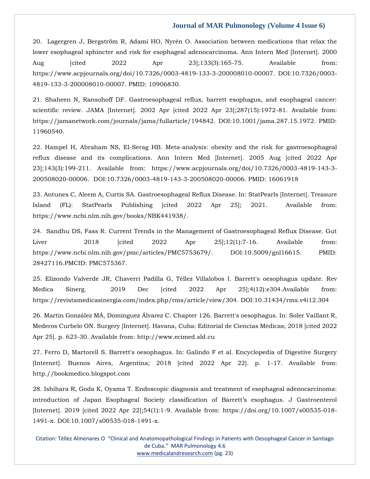[20. Lagergren J, Bergström R, Adami HO, Nyrén O. Association between medications that relax the](file:///C:/Users/Arief%20Mahimudh/Desktop/April/PY/20.%20%20Lagergren%20J,%20Bergström%20R,%20Adami%20HO,%20Nyrén%20O.%20Association%20between%20medications%20that%20relax%20the%20lower%20esophageal%20sphincter%20and%20risk%20for%20esophageal%20adenocarcinoma.%20Ann%20Intern%20Med%20%5bInternet%5d.%202000%20Aug%20%5bcited%202022%20Apr%2023%5d;133(3):165-75.%20Available%20from:%20https:/www.acpjournals.org/doi/10.7326/0003-4819-133-3-200008010-00007.%20DOI:10.7326/0003-4819-133-3-200008010-00007.%20PMID:%2010906830.)  [lower esophageal sphincter and risk for esophageal adenocarcinoma. Ann Intern Med \[Internet\]. 2000](file:///C:/Users/Arief%20Mahimudh/Desktop/April/PY/20.%20%20Lagergren%20J,%20Bergström%20R,%20Adami%20HO,%20Nyrén%20O.%20Association%20between%20medications%20that%20relax%20the%20lower%20esophageal%20sphincter%20and%20risk%20for%20esophageal%20adenocarcinoma.%20Ann%20Intern%20Med%20%5bInternet%5d.%202000%20Aug%20%5bcited%202022%20Apr%2023%5d;133(3):165-75.%20Available%20from:%20https:/www.acpjournals.org/doi/10.7326/0003-4819-133-3-200008010-00007.%20DOI:10.7326/0003-4819-133-3-200008010-00007.%20PMID:%2010906830.)  Aug [cited 2022 Apr 23];133(3):165-75. Available from: [https://www.acpjournals.org/doi/10.7326/0003-4819-133-3-200008010-00007. DOI:10.7326/0003-](file:///C:/Users/Arief%20Mahimudh/Desktop/April/PY/20.%20%20Lagergren%20J,%20Bergström%20R,%20Adami%20HO,%20Nyrén%20O.%20Association%20between%20medications%20that%20relax%20the%20lower%20esophageal%20sphincter%20and%20risk%20for%20esophageal%20adenocarcinoma.%20Ann%20Intern%20Med%20%5bInternet%5d.%202000%20Aug%20%5bcited%202022%20Apr%2023%5d;133(3):165-75.%20Available%20from:%20https:/www.acpjournals.org/doi/10.7326/0003-4819-133-3-200008010-00007.%20DOI:10.7326/0003-4819-133-3-200008010-00007.%20PMID:%2010906830.) [4819-133-3-200008010-00007. PMID: 10906830.](file:///C:/Users/Arief%20Mahimudh/Desktop/April/PY/20.%20%20Lagergren%20J,%20Bergström%20R,%20Adami%20HO,%20Nyrén%20O.%20Association%20between%20medications%20that%20relax%20the%20lower%20esophageal%20sphincter%20and%20risk%20for%20esophageal%20adenocarcinoma.%20Ann%20Intern%20Med%20%5bInternet%5d.%202000%20Aug%20%5bcited%202022%20Apr%2023%5d;133(3):165-75.%20Available%20from:%20https:/www.acpjournals.org/doi/10.7326/0003-4819-133-3-200008010-00007.%20DOI:10.7326/0003-4819-133-3-200008010-00007.%20PMID:%2010906830.)

[21. Shaheen N, Ransohoff DF. Gastroesophageal reflux, barrett esophagus, and esophageal cancer:](file:///C:/Users/Arief%20Mahimudh/Desktop/April/PY/21.%20Shaheen%20N,%20Ransohoff%20DF.%20Gastroesophageal%20reflux,%20barrett%20esophagus,%20and%20esophageal%20cancer:%20scientific%20review.%20JAMA%20%5bInternet%5d.%202002%20Apr%20%5bcited%202022%20Apr%2023%5d;287(15):1972-81.%20Available%20from:%20https:/jamanetwork.com/journals/jama/fullarticle/194842.%20DOI:10.1001/jama.287.15.1972.%20PMID:%2011960540.)  [scientific review. JAMA \[Internet\]. 2002 Apr \[cited 2022 Apr 23\];287\(15\):1972-81. Available from:](file:///C:/Users/Arief%20Mahimudh/Desktop/April/PY/21.%20Shaheen%20N,%20Ransohoff%20DF.%20Gastroesophageal%20reflux,%20barrett%20esophagus,%20and%20esophageal%20cancer:%20scientific%20review.%20JAMA%20%5bInternet%5d.%202002%20Apr%20%5bcited%202022%20Apr%2023%5d;287(15):1972-81.%20Available%20from:%20https:/jamanetwork.com/journals/jama/fullarticle/194842.%20DOI:10.1001/jama.287.15.1972.%20PMID:%2011960540.)  [https://jamanetwork.com/journals/jama/fullarticle/194842. DOI:10.1001/jama.287.15.1972. PMID:](file:///C:/Users/Arief%20Mahimudh/Desktop/April/PY/21.%20Shaheen%20N,%20Ransohoff%20DF.%20Gastroesophageal%20reflux,%20barrett%20esophagus,%20and%20esophageal%20cancer:%20scientific%20review.%20JAMA%20%5bInternet%5d.%202002%20Apr%20%5bcited%202022%20Apr%2023%5d;287(15):1972-81.%20Available%20from:%20https:/jamanetwork.com/journals/jama/fullarticle/194842.%20DOI:10.1001/jama.287.15.1972.%20PMID:%2011960540.)  [11960540.](file:///C:/Users/Arief%20Mahimudh/Desktop/April/PY/21.%20Shaheen%20N,%20Ransohoff%20DF.%20Gastroesophageal%20reflux,%20barrett%20esophagus,%20and%20esophageal%20cancer:%20scientific%20review.%20JAMA%20%5bInternet%5d.%202002%20Apr%20%5bcited%202022%20Apr%2023%5d;287(15):1972-81.%20Available%20from:%20https:/jamanetwork.com/journals/jama/fullarticle/194842.%20DOI:10.1001/jama.287.15.1972.%20PMID:%2011960540.)

[22. Hampel H, Abraham NS, El-Serag HB. Meta-analysis: obesity and the risk for gastroesophageal](file:///C:/Users/Arief%20Mahimudh/Desktop/April/PY/22.%20Hampel%20H,%20Abraham%20NS,%20El-Serag%20HB.%20Meta-analysis:%20obesity%20and%20the%20risk%20for%20gastroesophageal%20reflux%20disease%20and%20its%20complications.%20Ann%20Intern%20Med%20%5bInternet%5d.%202005%20Aug%20%5bcited%202022%20Apr%2023%5d;143(3):199-211.%20Available%20from:%20https:/www.acpjournals.org/doi/10.7326/0003-4819-143-3-200508020-00006.%20%20DOI:10.7326/0003-4819-143-3-200508020-00006.%20PMID:%2016061918)  [reflux disease and its complications. Ann Intern Med \[Internet\]. 2005 Aug \[cited 2022 Apr](file:///C:/Users/Arief%20Mahimudh/Desktop/April/PY/22.%20Hampel%20H,%20Abraham%20NS,%20El-Serag%20HB.%20Meta-analysis:%20obesity%20and%20the%20risk%20for%20gastroesophageal%20reflux%20disease%20and%20its%20complications.%20Ann%20Intern%20Med%20%5bInternet%5d.%202005%20Aug%20%5bcited%202022%20Apr%2023%5d;143(3):199-211.%20Available%20from:%20https:/www.acpjournals.org/doi/10.7326/0003-4819-143-3-200508020-00006.%20%20DOI:10.7326/0003-4819-143-3-200508020-00006.%20PMID:%2016061918)  [23\];143\(3\):199-211. Available from: https://www.acpjournals.org/doi/10.7326/0003-4819-143-3-](file:///C:/Users/Arief%20Mahimudh/Desktop/April/PY/22.%20Hampel%20H,%20Abraham%20NS,%20El-Serag%20HB.%20Meta-analysis:%20obesity%20and%20the%20risk%20for%20gastroesophageal%20reflux%20disease%20and%20its%20complications.%20Ann%20Intern%20Med%20%5bInternet%5d.%202005%20Aug%20%5bcited%202022%20Apr%2023%5d;143(3):199-211.%20Available%20from:%20https:/www.acpjournals.org/doi/10.7326/0003-4819-143-3-200508020-00006.%20%20DOI:10.7326/0003-4819-143-3-200508020-00006.%20PMID:%2016061918) [200508020-00006. DOI:10.7326/0003-4819-143-3-200508020-00006. PMID: 16061918](file:///C:/Users/Arief%20Mahimudh/Desktop/April/PY/22.%20Hampel%20H,%20Abraham%20NS,%20El-Serag%20HB.%20Meta-analysis:%20obesity%20and%20the%20risk%20for%20gastroesophageal%20reflux%20disease%20and%20its%20complications.%20Ann%20Intern%20Med%20%5bInternet%5d.%202005%20Aug%20%5bcited%202022%20Apr%2023%5d;143(3):199-211.%20Available%20from:%20https:/www.acpjournals.org/doi/10.7326/0003-4819-143-3-200508020-00006.%20%20DOI:10.7326/0003-4819-143-3-200508020-00006.%20PMID:%2016061918)

[23. Antunes C, Aleem A, Curtis SA. Gastroesophageal Reflux Disease. In: StatPearls \[Internet\]. Treasure](file:///C:/Users/Arief%20Mahimudh/Desktop/April/PY/23.%20Antunes%20C,%20Aleem%20A,%20Curtis%20SA.%20Gastroesophageal%20Reflux%20Disease.%20In:%20StatPearls%20%5bInternet%5d.%20Treasure%20Island%20(FL):%20StatPearls%20Publishing%20%5bcited%202022%20Apr%2025%5d;%202021.%20%20Available%20from:%20https:/www.ncbi.nlm.nih.gov/books/NBK441938/)  [Island \(FL\): StatPearls Publishing \[cited 2022 Apr 25\]; 2021. Available from:](file:///C:/Users/Arief%20Mahimudh/Desktop/April/PY/23.%20Antunes%20C,%20Aleem%20A,%20Curtis%20SA.%20Gastroesophageal%20Reflux%20Disease.%20In:%20StatPearls%20%5bInternet%5d.%20Treasure%20Island%20(FL):%20StatPearls%20Publishing%20%5bcited%202022%20Apr%2025%5d;%202021.%20%20Available%20from:%20https:/www.ncbi.nlm.nih.gov/books/NBK441938/)  [https://www.ncbi.nlm.nih.gov/books/NBK441938/.](file:///C:/Users/Arief%20Mahimudh/Desktop/April/PY/23.%20Antunes%20C,%20Aleem%20A,%20Curtis%20SA.%20Gastroesophageal%20Reflux%20Disease.%20In:%20StatPearls%20%5bInternet%5d.%20Treasure%20Island%20(FL):%20StatPearls%20Publishing%20%5bcited%202022%20Apr%2025%5d;%202021.%20%20Available%20from:%20https:/www.ncbi.nlm.nih.gov/books/NBK441938/)

[24. Sandhu DS, Fass R. Current Trends in the Management of Gastroesophageal Reflux Disease. Gut](file:///C:/Users/Arief%20Mahimudh/Desktop/April/PY/24.%20%20Sandhu%20DS,%20Fass%20R.%20Current%20Trends%20in%20the%20Management%20of%20Gastroesophageal%20Reflux%20Disease.%20Gut%20Liver%20%202018%20%5bcited%202022%20Apr%2025%5d;12(1):7-16.%20Available%20from:%20https:/www.ncbi.nlm.nih.gov/pmc/articles/PMC5753679/.%20DOI:10.5009/gnl16615.%20PMID:%2028427116.PMCID:%20PMC575367.)  [Liver 2018 \[cited 2022 Apr 25\];12\(1\):7-16. Available from:](file:///C:/Users/Arief%20Mahimudh/Desktop/April/PY/24.%20%20Sandhu%20DS,%20Fass%20R.%20Current%20Trends%20in%20the%20Management%20of%20Gastroesophageal%20Reflux%20Disease.%20Gut%20Liver%20%202018%20%5bcited%202022%20Apr%2025%5d;12(1):7-16.%20Available%20from:%20https:/www.ncbi.nlm.nih.gov/pmc/articles/PMC5753679/.%20DOI:10.5009/gnl16615.%20PMID:%2028427116.PMCID:%20PMC575367.)  [https://www.ncbi.nlm.nih.gov/pmc/articles/PMC5753679/. DOI:10.5009/gnl16615. PMID:](file:///C:/Users/Arief%20Mahimudh/Desktop/April/PY/24.%20%20Sandhu%20DS,%20Fass%20R.%20Current%20Trends%20in%20the%20Management%20of%20Gastroesophageal%20Reflux%20Disease.%20Gut%20Liver%20%202018%20%5bcited%202022%20Apr%2025%5d;12(1):7-16.%20Available%20from:%20https:/www.ncbi.nlm.nih.gov/pmc/articles/PMC5753679/.%20DOI:10.5009/gnl16615.%20PMID:%2028427116.PMCID:%20PMC575367.)  [28427116.PMCID: PMC575367.](file:///C:/Users/Arief%20Mahimudh/Desktop/April/PY/24.%20%20Sandhu%20DS,%20Fass%20R.%20Current%20Trends%20in%20the%20Management%20of%20Gastroesophageal%20Reflux%20Disease.%20Gut%20Liver%20%202018%20%5bcited%202022%20Apr%2025%5d;12(1):7-16.%20Available%20from:%20https:/www.ncbi.nlm.nih.gov/pmc/articles/PMC5753679/.%20DOI:10.5009/gnl16615.%20PMID:%2028427116.PMCID:%20PMC575367.)

[25. Elizondo Valverde JR, Chaverri Padilla G, Téllez Villalobos I. Barrett's oesophagus update. Rev](file:///C:/Users/Arief%20Mahimudh/Desktop/April/PY/25.%20Elizondo%20Valverde%20JR,%20Chaverri%20Padilla%20G,%20Téllez%20Villalobos%20I.%20Barrett)  [Medica Sinerg. 2019 Dec \[cited 2022 Apr 25\];4\(12\):e304.Available from:](file:///C:/Users/Arief%20Mahimudh/Desktop/April/PY/25.%20Elizondo%20Valverde%20JR,%20Chaverri%20Padilla%20G,%20Téllez%20Villalobos%20I.%20Barrett)  [https://revistamedicasinergia.com/index.php/rms/article/view/304. DOI:10.31434/rms.v4i12.304](file:///C:/Users/Arief%20Mahimudh/Desktop/April/PY/25.%20Elizondo%20Valverde%20JR,%20Chaverri%20Padilla%20G,%20Téllez%20Villalobos%20I.%20Barrett)

[26. Martín González MÁ, Domínguez Álvarez C. Chapter 126. Barrett's oesophagus. In: Soler Vaillant R,](file:///C:/Users/Arief%20Mahimudh/Desktop/April/PY/26.%20Martín%20González%20MÁ,%20Domínguez%20Álvarez%20C.%20Chapter%20126.%20Barrett)  [Mederos Curbelo ON. Surgery \[Internet\]. Havana, Cuba: Editorial de Ciencias Médicas; 2018 \[cited 2022](file:///C:/Users/Arief%20Mahimudh/Desktop/April/PY/26.%20Martín%20González%20MÁ,%20Domínguez%20Álvarez%20C.%20Chapter%20126.%20Barrett)  Apr 25]. p. 623-30. Available [from: http://www.ecimed.sld.cu](file:///C:/Users/Arief%20Mahimudh/Desktop/April/PY/26.%20Martín%20González%20MÁ,%20Domínguez%20Álvarez%20C.%20Chapter%20126.%20Barrett)

[27. Ferro D, Martorell S. Barrett's oesophagus. In: Galindo F et al. Encyclopedia of Digestive Surgery](file:///C:/Users/Arief%20Mahimudh/Desktop/April/PY/http/bookmedico.blogspot.com)  [\[Internet\]. Buenos Aires, Argentina; 2018 \[cited 2022 Apr 22\]. p. 1-17. Available from:](file:///C:/Users/Arief%20Mahimudh/Desktop/April/PY/http/bookmedico.blogspot.com)  [http.//bookmedico.blogspot.com](file:///C:/Users/Arief%20Mahimudh/Desktop/April/PY/http/bookmedico.blogspot.com)

[28. Ishihara R, Goda K, Oyama T. Endoscopic diagnosis and treatment of esophageal adenocarcinoma:](file:///C:/Users/Arief%20Mahimudh/Desktop/April/PY/28.%20Ishihara%20R,%20Goda%20K,%20Oyama%20T.%20Endoscopic%20diagnosis%20and%20treatment%20of%20esophageal%20adenocarcinoma:%20introduction%20of%20Japan%20Esophageal%20Society%20classification%20of%20Barrett’s%20esophagus.%20J%20Gastroenterol%20%5bInternet%5d.%202019%20%5bcited%202022%20Apr%2022%5d;54(1):1-9.%20Available%20from:%20https:/doi.org/10.1007/s00535-018-1491-x.%20DOI:10.1007/s00535-018-1491-x.)  [introduction of Japan Esophageal Society classification of Barrett's esophagus. J Gastroenterol](file:///C:/Users/Arief%20Mahimudh/Desktop/April/PY/28.%20Ishihara%20R,%20Goda%20K,%20Oyama%20T.%20Endoscopic%20diagnosis%20and%20treatment%20of%20esophageal%20adenocarcinoma:%20introduction%20of%20Japan%20Esophageal%20Society%20classification%20of%20Barrett’s%20esophagus.%20J%20Gastroenterol%20%5bInternet%5d.%202019%20%5bcited%202022%20Apr%2022%5d;54(1):1-9.%20Available%20from:%20https:/doi.org/10.1007/s00535-018-1491-x.%20DOI:10.1007/s00535-018-1491-x.)  [\[Internet\]. 2019 \[cited 2022 Apr 22\];54\(1\):1-9. Available from: https://doi.org/10.1007/s00535-018-](file:///C:/Users/Arief%20Mahimudh/Desktop/April/PY/28.%20Ishihara%20R,%20Goda%20K,%20Oyama%20T.%20Endoscopic%20diagnosis%20and%20treatment%20of%20esophageal%20adenocarcinoma:%20introduction%20of%20Japan%20Esophageal%20Society%20classification%20of%20Barrett’s%20esophagus.%20J%20Gastroenterol%20%5bInternet%5d.%202019%20%5bcited%202022%20Apr%2022%5d;54(1):1-9.%20Available%20from:%20https:/doi.org/10.1007/s00535-018-1491-x.%20DOI:10.1007/s00535-018-1491-x.) [1491-x. DOI:10.1007/s00535-018-1491-x.](file:///C:/Users/Arief%20Mahimudh/Desktop/April/PY/28.%20Ishihara%20R,%20Goda%20K,%20Oyama%20T.%20Endoscopic%20diagnosis%20and%20treatment%20of%20esophageal%20adenocarcinoma:%20introduction%20of%20Japan%20Esophageal%20Society%20classification%20of%20Barrett’s%20esophagus.%20J%20Gastroenterol%20%5bInternet%5d.%202019%20%5bcited%202022%20Apr%2022%5d;54(1):1-9.%20Available%20from:%20https:/doi.org/10.1007/s00535-018-1491-x.%20DOI:10.1007/s00535-018-1491-x.)

Citation: Téllez Almenares O "Clinical and Anatomopathological Findings in Patients with Oesophageal Cancer in Santiago de Cuba." MAR Pulmonology 4.6 [www.medicalandresearch.com](http://www.medicalandresearch.com/) (pg. 23)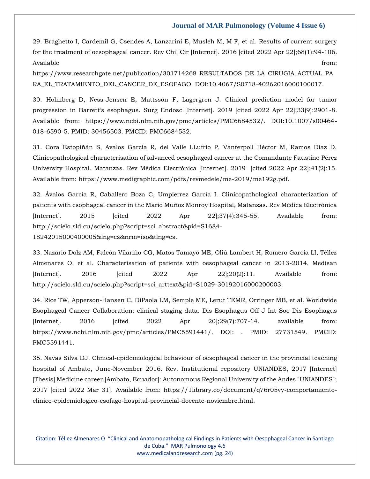[29. Braghetto I, Cardemil G, Csendes A, Lanzarini E, Musleh M, M F, et al. Results of current surgery](file:///C:/Users/Arief%20Mahimudh/Desktop/April/PY/29.%20Braghetto%20I,%20Cardemil%20G,%20Csendes%20A,%20Lanzarini%20E,%20Musleh%20M,%20M%20F,%20et%20al.%20Results%20of%20current%20surgery%20for%20the%20treatment%20of%20oesophageal%20cancer.%20Rev%20Chil%20Cir%20%5bInternet%5d.%202016%20%5bcited%202022%20Apr%2022%5d;68(1):94-106.%20Available%20from:%20https:/www.researchgate.net/publication/301714268_RESULTADOS_DE_LA_CIRUGIA_ACTUAL_PARA_EL_TRATAMIENTO_DEL_CANCER_DE_ESOFAGO.%20DOI:10.4067/S0718-40262016000100017.)  [for the treatment of oesophageal cancer. Rev Chil Cir \[Internet\]. 2016 \[cited](file:///C:/Users/Arief%20Mahimudh/Desktop/April/PY/29.%20Braghetto%20I,%20Cardemil%20G,%20Csendes%20A,%20Lanzarini%20E,%20Musleh%20M,%20M%20F,%20et%20al.%20Results%20of%20current%20surgery%20for%20the%20treatment%20of%20oesophageal%20cancer.%20Rev%20Chil%20Cir%20%5bInternet%5d.%202016%20%5bcited%202022%20Apr%2022%5d;68(1):94-106.%20Available%20from:%20https:/www.researchgate.net/publication/301714268_RESULTADOS_DE_LA_CIRUGIA_ACTUAL_PARA_EL_TRATAMIENTO_DEL_CANCER_DE_ESOFAGO.%20DOI:10.4067/S0718-40262016000100017.) 2022 Apr 22];68(1):94-106. [Available from:](file:///C:/Users/Arief%20Mahimudh/Desktop/April/PY/29.%20Braghetto%20I,%20Cardemil%20G,%20Csendes%20A,%20Lanzarini%20E,%20Musleh%20M,%20M%20F,%20et%20al.%20Results%20of%20current%20surgery%20for%20the%20treatment%20of%20oesophageal%20cancer.%20Rev%20Chil%20Cir%20%5bInternet%5d.%202016%20%5bcited%202022%20Apr%2022%5d;68(1):94-106.%20Available%20from:%20https:/www.researchgate.net/publication/301714268_RESULTADOS_DE_LA_CIRUGIA_ACTUAL_PARA_EL_TRATAMIENTO_DEL_CANCER_DE_ESOFAGO.%20DOI:10.4067/S0718-40262016000100017.) the contract of the contract of the contract of the contract of the contract of the contract of the contract of the contract of the contract of the contract of the contract of the contract of the contract o

[https://www.researchgate.net/publication/301714268\\_RESULTADOS\\_DE\\_LA\\_CIRUGIA\\_ACTUAL\\_PA](file:///C:/Users/Arief%20Mahimudh/Desktop/April/PY/29.%20Braghetto%20I,%20Cardemil%20G,%20Csendes%20A,%20Lanzarini%20E,%20Musleh%20M,%20M%20F,%20et%20al.%20Results%20of%20current%20surgery%20for%20the%20treatment%20of%20oesophageal%20cancer.%20Rev%20Chil%20Cir%20%5bInternet%5d.%202016%20%5bcited%202022%20Apr%2022%5d;68(1):94-106.%20Available%20from:%20https:/www.researchgate.net/publication/301714268_RESULTADOS_DE_LA_CIRUGIA_ACTUAL_PARA_EL_TRATAMIENTO_DEL_CANCER_DE_ESOFAGO.%20DOI:10.4067/S0718-40262016000100017.) [RA\\_EL\\_TRATAMIENTO\\_DEL\\_CANCER\\_DE\\_ESOFAGO. DOI:10.4067/S0718-40262016000100017.](file:///C:/Users/Arief%20Mahimudh/Desktop/April/PY/29.%20Braghetto%20I,%20Cardemil%20G,%20Csendes%20A,%20Lanzarini%20E,%20Musleh%20M,%20M%20F,%20et%20al.%20Results%20of%20current%20surgery%20for%20the%20treatment%20of%20oesophageal%20cancer.%20Rev%20Chil%20Cir%20%5bInternet%5d.%202016%20%5bcited%202022%20Apr%2022%5d;68(1):94-106.%20Available%20from:%20https:/www.researchgate.net/publication/301714268_RESULTADOS_DE_LA_CIRUGIA_ACTUAL_PARA_EL_TRATAMIENTO_DEL_CANCER_DE_ESOFAGO.%20DOI:10.4067/S0718-40262016000100017.)

[30. Holmberg D, Ness-Jensen E, Mattsson F, Lagergren J. Clinical prediction model for tumor](file:///C:/Users/Arief%20Mahimudh/Desktop/April/PY/30.%20Holmberg%20D,%20Ness-Jensen%20E,%20Mattsson%20F,%20Lagergren%20J.%20Clinical%20prediction%20model%20for%20tumor%20progression%20in%20Barrett’s%20esophagus.%20Surg%20Endosc%20%5bInternet%5d.%202019%20%5bcited%202022%20Apr%2022%5d;33(9):2901-8.%20Available%20from:%20https:/www.ncbi.nlm.nih.gov/pmc/articles/PMC6684532/.%20DOI:10.1007/s00464-018-6590-5.%20PMID:%2030456503.%20PMCID:%20PMC6684532.)  [progression in Barrett's esophagus. Surg Endosc \[Internet\]. 2019 \[cited 2022 Apr 22\];33\(9\):2901](file:///C:/Users/Arief%20Mahimudh/Desktop/April/PY/30.%20Holmberg%20D,%20Ness-Jensen%20E,%20Mattsson%20F,%20Lagergren%20J.%20Clinical%20prediction%20model%20for%20tumor%20progression%20in%20Barrett’s%20esophagus.%20Surg%20Endosc%20%5bInternet%5d.%202019%20%5bcited%202022%20Apr%2022%5d;33(9):2901-8.%20Available%20from:%20https:/www.ncbi.nlm.nih.gov/pmc/articles/PMC6684532/.%20DOI:10.1007/s00464-018-6590-5.%20PMID:%2030456503.%20PMCID:%20PMC6684532.)-8. [Available from: https://www.ncbi.nlm.nih.gov/pmc/articles/PMC6684532/. DOI:10.1007/s00464-](file:///C:/Users/Arief%20Mahimudh/Desktop/April/PY/30.%20Holmberg%20D,%20Ness-Jensen%20E,%20Mattsson%20F,%20Lagergren%20J.%20Clinical%20prediction%20model%20for%20tumor%20progression%20in%20Barrett’s%20esophagus.%20Surg%20Endosc%20%5bInternet%5d.%202019%20%5bcited%202022%20Apr%2022%5d;33(9):2901-8.%20Available%20from:%20https:/www.ncbi.nlm.nih.gov/pmc/articles/PMC6684532/.%20DOI:10.1007/s00464-018-6590-5.%20PMID:%2030456503.%20PMCID:%20PMC6684532.) [018-6590-5. PMID: 30456503. PMCID: PMC6684532.](file:///C:/Users/Arief%20Mahimudh/Desktop/April/PY/30.%20Holmberg%20D,%20Ness-Jensen%20E,%20Mattsson%20F,%20Lagergren%20J.%20Clinical%20prediction%20model%20for%20tumor%20progression%20in%20Barrett’s%20esophagus.%20Surg%20Endosc%20%5bInternet%5d.%202019%20%5bcited%202022%20Apr%2022%5d;33(9):2901-8.%20Available%20from:%20https:/www.ncbi.nlm.nih.gov/pmc/articles/PMC6684532/.%20DOI:10.1007/s00464-018-6590-5.%20PMID:%2030456503.%20PMCID:%20PMC6684532.)

[31. Cora Estopiñán S, Avalos García R, del Valle LLufrio P, Vanterpoll Héctor M, Ramos Díaz D.](file:///C:/Users/Arief%20Mahimudh/Desktop/April/PY/31.%20Cora%20Estopiñán%20S,%20Avalos%20García%20R,%20del%20Valle%20LLufrio%20P,%20Vanterpoll%20Héctor%20M,%20Ramos%20Díaz%20D.%20Clinicopathological%20characterisation%20of%20advanced%20oesophageal%20cancer%20at%20the%20Comandante%20Faustino%20Pérez%20University%20Hospital.%20Matanzas.%20Rev%20Médica%20Electrónica%20%5bInternet%5d.%202019%20%20%5bcited%202022%20Apr%2022%5d;41(2):15.%20Available%20from:%20https:/www.medigraphic.com/pdfs/revmedele/me-2019/me192g.pdf.)  [Clinicopathological characterisation of advanced oesophageal cancer at the Comandante Faustino Pérez](file:///C:/Users/Arief%20Mahimudh/Desktop/April/PY/31.%20Cora%20Estopiñán%20S,%20Avalos%20García%20R,%20del%20Valle%20LLufrio%20P,%20Vanterpoll%20Héctor%20M,%20Ramos%20Díaz%20D.%20Clinicopathological%20characterisation%20of%20advanced%20oesophageal%20cancer%20at%20the%20Comandante%20Faustino%20Pérez%20University%20Hospital.%20Matanzas.%20Rev%20Médica%20Electrónica%20%5bInternet%5d.%202019%20%20%5bcited%202022%20Apr%2022%5d;41(2):15.%20Available%20from:%20https:/www.medigraphic.com/pdfs/revmedele/me-2019/me192g.pdf.)  [University Hospital. Matanzas. Rev Médica Electrónica \[Internet\]. 2019 \[cited 2022 Apr 22\];41\(2\):15.](file:///C:/Users/Arief%20Mahimudh/Desktop/April/PY/31.%20Cora%20Estopiñán%20S,%20Avalos%20García%20R,%20del%20Valle%20LLufrio%20P,%20Vanterpoll%20Héctor%20M,%20Ramos%20Díaz%20D.%20Clinicopathological%20characterisation%20of%20advanced%20oesophageal%20cancer%20at%20the%20Comandante%20Faustino%20Pérez%20University%20Hospital.%20Matanzas.%20Rev%20Médica%20Electrónica%20%5bInternet%5d.%202019%20%20%5bcited%202022%20Apr%2022%5d;41(2):15.%20Available%20from:%20https:/www.medigraphic.com/pdfs/revmedele/me-2019/me192g.pdf.)  [Available from: https://www.medigraphic.com/pdfs/revmedele/me-2019/me192g.pdf.](file:///C:/Users/Arief%20Mahimudh/Desktop/April/PY/31.%20Cora%20Estopiñán%20S,%20Avalos%20García%20R,%20del%20Valle%20LLufrio%20P,%20Vanterpoll%20Héctor%20M,%20Ramos%20Díaz%20D.%20Clinicopathological%20characterisation%20of%20advanced%20oesophageal%20cancer%20at%20the%20Comandante%20Faustino%20Pérez%20University%20Hospital.%20Matanzas.%20Rev%20Médica%20Electrónica%20%5bInternet%5d.%202019%20%20%5bcited%202022%20Apr%2022%5d;41(2):15.%20Available%20from:%20https:/www.medigraphic.com/pdfs/revmedele/me-2019/me192g.pdf.)

[32. Ávalos García R, Caballero Boza C, Umpierrez García I. Clinicopathological characterization of](file:///C:/Users/Arief%20Mahimudh/Desktop/April/PY/32.%20Ávalos%20García%20R,%20Caballero%20Boza%20C,%20Umpierrez%20García%20I.%20Clinicopathological%20characterization%20of%20patients%20with%20esophageal%20cancer%20in%20the%20Mario%20Muñoz%20Monroy%20Hospital,%20Matanzas.%20Rev%20Médica%20Electrónica%20%5bInternet%5d.%202015%20%5bcited%202022%20Apr%2022%5d;37(4):345-55.%20Available%20from:%20http:/scielo.sld.cu/scielo.php?script=sci_abstract&pid=S1684-18242015000400005&lng=es&nrm=iso&tlng=es.)  [patients with esophageal cancer in the Mario Muñoz Monroy Hospital, Matanzas. Rev Médica Electrónica](file:///C:/Users/Arief%20Mahimudh/Desktop/April/PY/32.%20Ávalos%20García%20R,%20Caballero%20Boza%20C,%20Umpierrez%20García%20I.%20Clinicopathological%20characterization%20of%20patients%20with%20esophageal%20cancer%20in%20the%20Mario%20Muñoz%20Monroy%20Hospital,%20Matanzas.%20Rev%20Médica%20Electrónica%20%5bInternet%5d.%202015%20%5bcited%202022%20Apr%2022%5d;37(4):345-55.%20Available%20from:%20http:/scielo.sld.cu/scielo.php?script=sci_abstract&pid=S1684-18242015000400005&lng=es&nrm=iso&tlng=es.)  [\[Internet\]. 2015 \[cited 2022 Apr 22\];37\(4\):345-55. Available from:](file:///C:/Users/Arief%20Mahimudh/Desktop/April/PY/32.%20Ávalos%20García%20R,%20Caballero%20Boza%20C,%20Umpierrez%20García%20I.%20Clinicopathological%20characterization%20of%20patients%20with%20esophageal%20cancer%20in%20the%20Mario%20Muñoz%20Monroy%20Hospital,%20Matanzas.%20Rev%20Médica%20Electrónica%20%5bInternet%5d.%202015%20%5bcited%202022%20Apr%2022%5d;37(4):345-55.%20Available%20from:%20http:/scielo.sld.cu/scielo.php?script=sci_abstract&pid=S1684-18242015000400005&lng=es&nrm=iso&tlng=es.)  [http://scielo.sld.cu/scielo.php?script=sci\\_abstract&pid=S1684-](file:///C:/Users/Arief%20Mahimudh/Desktop/April/PY/32.%20Ávalos%20García%20R,%20Caballero%20Boza%20C,%20Umpierrez%20García%20I.%20Clinicopathological%20characterization%20of%20patients%20with%20esophageal%20cancer%20in%20the%20Mario%20Muñoz%20Monroy%20Hospital,%20Matanzas.%20Rev%20Médica%20Electrónica%20%5bInternet%5d.%202015%20%5bcited%202022%20Apr%2022%5d;37(4):345-55.%20Available%20from:%20http:/scielo.sld.cu/scielo.php?script=sci_abstract&pid=S1684-18242015000400005&lng=es&nrm=iso&tlng=es.) [18242015000400005&lng=es&nrm=iso&tlng=es.](file:///C:/Users/Arief%20Mahimudh/Desktop/April/PY/32.%20Ávalos%20García%20R,%20Caballero%20Boza%20C,%20Umpierrez%20García%20I.%20Clinicopathological%20characterization%20of%20patients%20with%20esophageal%20cancer%20in%20the%20Mario%20Muñoz%20Monroy%20Hospital,%20Matanzas.%20Rev%20Médica%20Electrónica%20%5bInternet%5d.%202015%20%5bcited%202022%20Apr%2022%5d;37(4):345-55.%20Available%20from:%20http:/scielo.sld.cu/scielo.php?script=sci_abstract&pid=S1684-18242015000400005&lng=es&nrm=iso&tlng=es.)

[33. Nazario Dolz AM, Falcón Vilariño CG, Matos Tamayo ME, Oliú Lambert H, Romero García LI, Téllez](file:///C:/Users/Arief%20Mahimudh/Desktop/April/PY/33.%20Nazario%20Dolz%20AM,%20Falcón%20Vilariño%20CG,%20Matos%20Tamayo%20ME,%20Oliú%20Lambert%20H,%20Romero%20García%20LI,%20Téllez%20Almenares%20O,%20et%20al.%20Characterisation%20of%20patients%20with%20oesophageal%20cancer%20in%202013-2014.%20Medisan%20%5bInternet%5d.%202016%20%5bcited%202022%20Apr%2022%5d;20(2):11.%20Available%20from:%20http:/scielo.sld.cu/scielo.php?script=sci_arttext&pid=S1029-30192016000200003.)  [Almenares O, et al. Characterisation of patients with oesophageal cancer in 2013-2014. Medisan](file:///C:/Users/Arief%20Mahimudh/Desktop/April/PY/33.%20Nazario%20Dolz%20AM,%20Falcón%20Vilariño%20CG,%20Matos%20Tamayo%20ME,%20Oliú%20Lambert%20H,%20Romero%20García%20LI,%20Téllez%20Almenares%20O,%20et%20al.%20Characterisation%20of%20patients%20with%20oesophageal%20cancer%20in%202013-2014.%20Medisan%20%5bInternet%5d.%202016%20%5bcited%202022%20Apr%2022%5d;20(2):11.%20Available%20from:%20http:/scielo.sld.cu/scielo.php?script=sci_arttext&pid=S1029-30192016000200003.)  [Internet].  $2016$  [cited  $2022$  Apr  $22 \cdot 20 \cdot 20 \cdot 11$ . Available from: [http://scielo.sld.cu/scielo.php?script=sci\\_arttext&pid=S1029-30192016000200003.](file:///C:/Users/Arief%20Mahimudh/Desktop/April/PY/33.%20Nazario%20Dolz%20AM,%20Falcón%20Vilariño%20CG,%20Matos%20Tamayo%20ME,%20Oliú%20Lambert%20H,%20Romero%20García%20LI,%20Téllez%20Almenares%20O,%20et%20al.%20Characterisation%20of%20patients%20with%20oesophageal%20cancer%20in%202013-2014.%20Medisan%20%5bInternet%5d.%202016%20%5bcited%202022%20Apr%2022%5d;20(2):11.%20Available%20from:%20http:/scielo.sld.cu/scielo.php?script=sci_arttext&pid=S1029-30192016000200003.)

[34. Rice TW, Apperson-Hansen C, DiPaola LM, Semple ME, Lerut TEMR, Orringer MB, et al. Worldwide](file:///C:/Users/Arief%20Mahimudh/Desktop/April/PY/34.%20Rice%20TW,%20Apperson-Hansen%20C,%20DiPaola%20LM,%20Semple%20ME,%20Lerut%20TEMR,%20Orringer%20MB,%20et%20al.%20Worldwide%20Esophageal%20Cancer%20Collaboration:%20clinical%20staging%20data.%20Dis%20Esophagus%20Off%20J%20Int%20Soc%20Dis%20Esophagus%20%5bInternet%5d.%202016%20%5bcited%202022%20Apr%2020%5d;29(7):707-14.%20available%20from:%20https:/www.ncbi.nlm.nih.gov/pmc/articles/PMC5591441/.%20DOI:%20.%20PMID:%2027731549.%20PMCID:%20PMC5591441.)  [Esophageal Cancer Collaboration: clinical staging data. Dis Esophagus Off J Int Soc Dis Esophagus](file:///C:/Users/Arief%20Mahimudh/Desktop/April/PY/34.%20Rice%20TW,%20Apperson-Hansen%20C,%20DiPaola%20LM,%20Semple%20ME,%20Lerut%20TEMR,%20Orringer%20MB,%20et%20al.%20Worldwide%20Esophageal%20Cancer%20Collaboration:%20clinical%20staging%20data.%20Dis%20Esophagus%20Off%20J%20Int%20Soc%20Dis%20Esophagus%20%5bInternet%5d.%202016%20%5bcited%202022%20Apr%2020%5d;29(7):707-14.%20available%20from:%20https:/www.ncbi.nlm.nih.gov/pmc/articles/PMC5591441/.%20DOI:%20.%20PMID:%2027731549.%20PMCID:%20PMC5591441.)  [\[Internet\]. 2016 \[cited 2022 Apr 20\];29\(7\):707-14. available from:](file:///C:/Users/Arief%20Mahimudh/Desktop/April/PY/34.%20Rice%20TW,%20Apperson-Hansen%20C,%20DiPaola%20LM,%20Semple%20ME,%20Lerut%20TEMR,%20Orringer%20MB,%20et%20al.%20Worldwide%20Esophageal%20Cancer%20Collaboration:%20clinical%20staging%20data.%20Dis%20Esophagus%20Off%20J%20Int%20Soc%20Dis%20Esophagus%20%5bInternet%5d.%202016%20%5bcited%202022%20Apr%2020%5d;29(7):707-14.%20available%20from:%20https:/www.ncbi.nlm.nih.gov/pmc/articles/PMC5591441/.%20DOI:%20.%20PMID:%2027731549.%20PMCID:%20PMC5591441.)  [https://www.ncbi.nlm.nih.gov/pmc/articles/PMC5591441/. DOI: . PMID: 27731549. PMCID:](file:///C:/Users/Arief%20Mahimudh/Desktop/April/PY/34.%20Rice%20TW,%20Apperson-Hansen%20C,%20DiPaola%20LM,%20Semple%20ME,%20Lerut%20TEMR,%20Orringer%20MB,%20et%20al.%20Worldwide%20Esophageal%20Cancer%20Collaboration:%20clinical%20staging%20data.%20Dis%20Esophagus%20Off%20J%20Int%20Soc%20Dis%20Esophagus%20%5bInternet%5d.%202016%20%5bcited%202022%20Apr%2020%5d;29(7):707-14.%20available%20from:%20https:/www.ncbi.nlm.nih.gov/pmc/articles/PMC5591441/.%20DOI:%20.%20PMID:%2027731549.%20PMCID:%20PMC5591441.)  [PMC5591441.](file:///C:/Users/Arief%20Mahimudh/Desktop/April/PY/34.%20Rice%20TW,%20Apperson-Hansen%20C,%20DiPaola%20LM,%20Semple%20ME,%20Lerut%20TEMR,%20Orringer%20MB,%20et%20al.%20Worldwide%20Esophageal%20Cancer%20Collaboration:%20clinical%20staging%20data.%20Dis%20Esophagus%20Off%20J%20Int%20Soc%20Dis%20Esophagus%20%5bInternet%5d.%202016%20%5bcited%202022%20Apr%2020%5d;29(7):707-14.%20available%20from:%20https:/www.ncbi.nlm.nih.gov/pmc/articles/PMC5591441/.%20DOI:%20.%20PMID:%2027731549.%20PMCID:%20PMC5591441.)

[35. Navas Silva DJ. Clinical-epidemiological behaviour of oesophageal cancer in the provincial teaching](file:///C:/Users/Arief%20Mahimudh/Desktop/April/PY/35.%20Navas%20Silva%20DJ.%20Clinical-epidemiological%20behaviour%20of%20oesophageal%20cancer%20in%20the%20provincial%20teaching%20hospital%20of%20Ambato,%20June-November%202016.%20Rev.%20Institutional%20repository%20UNIANDES,%202017%20%5bInternet%5d%20%5bThesis%5d%20Medicine%20career.%5bAmbato,%20Ecuador%5d:%20Autonomous%20Regional%20University%20of%20the%20Andes%20%22UNIANDES%22;%202017%20%5bcited%202022%20Mar%2031%5d.%20Available%20from:%20https:/1library.co/document/q76r05vy-comportamiento-clinico-epidemiologico-esofago-hospital-provincial-docente-noviembre.html.)  [hospital of Ambato, June-November 2016. Rev. Institutional repository UNIANDES, 2017 \[Internet\]](file:///C:/Users/Arief%20Mahimudh/Desktop/April/PY/35.%20Navas%20Silva%20DJ.%20Clinical-epidemiological%20behaviour%20of%20oesophageal%20cancer%20in%20the%20provincial%20teaching%20hospital%20of%20Ambato,%20June-November%202016.%20Rev.%20Institutional%20repository%20UNIANDES,%202017%20%5bInternet%5d%20%5bThesis%5d%20Medicine%20career.%5bAmbato,%20Ecuador%5d:%20Autonomous%20Regional%20University%20of%20the%20Andes%20%22UNIANDES%22;%202017%20%5bcited%202022%20Mar%2031%5d.%20Available%20from:%20https:/1library.co/document/q76r05vy-comportamiento-clinico-epidemiologico-esofago-hospital-provincial-docente-noviembre.html.)  [\[Thesis\] Medicine career.\[Ambato, Ecuador\]: Autonomous Regional University of the Andes "UNIANDES";](file:///C:/Users/Arief%20Mahimudh/Desktop/April/PY/35.%20Navas%20Silva%20DJ.%20Clinical-epidemiological%20behaviour%20of%20oesophageal%20cancer%20in%20the%20provincial%20teaching%20hospital%20of%20Ambato,%20June-November%202016.%20Rev.%20Institutional%20repository%20UNIANDES,%202017%20%5bInternet%5d%20%5bThesis%5d%20Medicine%20career.%5bAmbato,%20Ecuador%5d:%20Autonomous%20Regional%20University%20of%20the%20Andes%20%22UNIANDES%22;%202017%20%5bcited%202022%20Mar%2031%5d.%20Available%20from:%20https:/1library.co/document/q76r05vy-comportamiento-clinico-epidemiologico-esofago-hospital-provincial-docente-noviembre.html.)  [2017 \[cited 2022 Mar 31\]. Available from: https://1library.co/document/q76r05vy-comportamiento](file:///C:/Users/Arief%20Mahimudh/Desktop/April/PY/35.%20Navas%20Silva%20DJ.%20Clinical-epidemiological%20behaviour%20of%20oesophageal%20cancer%20in%20the%20provincial%20teaching%20hospital%20of%20Ambato,%20June-November%202016.%20Rev.%20Institutional%20repository%20UNIANDES,%202017%20%5bInternet%5d%20%5bThesis%5d%20Medicine%20career.%5bAmbato,%20Ecuador%5d:%20Autonomous%20Regional%20University%20of%20the%20Andes%20%22UNIANDES%22;%202017%20%5bcited%202022%20Mar%2031%5d.%20Available%20from:%20https:/1library.co/document/q76r05vy-comportamiento-clinico-epidemiologico-esofago-hospital-provincial-docente-noviembre.html.)[clinico-epidemiologico-esofago-hospital-provincial-docente-noviembre.html.](file:///C:/Users/Arief%20Mahimudh/Desktop/April/PY/35.%20Navas%20Silva%20DJ.%20Clinical-epidemiological%20behaviour%20of%20oesophageal%20cancer%20in%20the%20provincial%20teaching%20hospital%20of%20Ambato,%20June-November%202016.%20Rev.%20Institutional%20repository%20UNIANDES,%202017%20%5bInternet%5d%20%5bThesis%5d%20Medicine%20career.%5bAmbato,%20Ecuador%5d:%20Autonomous%20Regional%20University%20of%20the%20Andes%20%22UNIANDES%22;%202017%20%5bcited%202022%20Mar%2031%5d.%20Available%20from:%20https:/1library.co/document/q76r05vy-comportamiento-clinico-epidemiologico-esofago-hospital-provincial-docente-noviembre.html.)

Citation: Téllez Almenares O "Clinical and Anatomopathological Findings in Patients with Oesophageal Cancer in Santiago de Cuba." MAR Pulmonology 4.6 [www.medicalandresearch.com](http://www.medicalandresearch.com/) (pg. 24)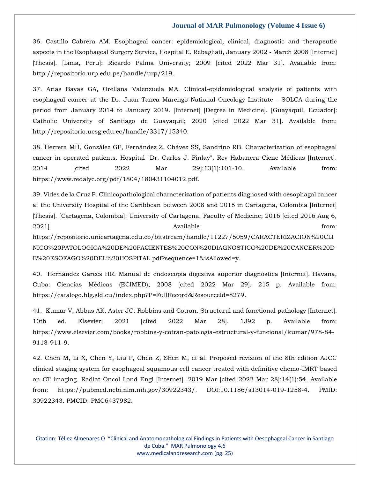[36. Castillo Cabrera AM. Esophageal cancer: epidemiological, clinical, diagnostic and therapeutic](file:///C:/Users/Arief%20Mahimudh/Desktop/April/PY/36.%20Castillo%20Cabrera%20AM.%20Esophageal%20cancer:%20epidemiological,%20clinical,%20diagnostic%20and%20therapeutic%20aspects%20in%20the%20Esophageal%20Surgery%20Service,%20Hospital%20E.%20Rebagliati,%20January%202002%20-%20March%202008%20%5bInternet%5d%20%5bThesis%5d.%20%5bLima,%20Peru%5d:%20Ricardo%20Palma%20University;%202009%20%5bcited%202022%20Mar%2031%5d.%20Available%20from:%20http:/repositorio.urp.edu.pe/handle/urp/219.)  [aspects in the Esophageal Surgery Service, Hospital E. Rebagliati, January 2002 -](file:///C:/Users/Arief%20Mahimudh/Desktop/April/PY/36.%20Castillo%20Cabrera%20AM.%20Esophageal%20cancer:%20epidemiological,%20clinical,%20diagnostic%20and%20therapeutic%20aspects%20in%20the%20Esophageal%20Surgery%20Service,%20Hospital%20E.%20Rebagliati,%20January%202002%20-%20March%202008%20%5bInternet%5d%20%5bThesis%5d.%20%5bLima,%20Peru%5d:%20Ricardo%20Palma%20University;%202009%20%5bcited%202022%20Mar%2031%5d.%20Available%20from:%20http:/repositorio.urp.edu.pe/handle/urp/219.) March 2008 [Internet] [\[Thesis\]. \[Lima, Peru\]: Ricardo Palma University; 2009 \[cited 2022 Mar 31\]. Available from:](file:///C:/Users/Arief%20Mahimudh/Desktop/April/PY/36.%20Castillo%20Cabrera%20AM.%20Esophageal%20cancer:%20epidemiological,%20clinical,%20diagnostic%20and%20therapeutic%20aspects%20in%20the%20Esophageal%20Surgery%20Service,%20Hospital%20E.%20Rebagliati,%20January%202002%20-%20March%202008%20%5bInternet%5d%20%5bThesis%5d.%20%5bLima,%20Peru%5d:%20Ricardo%20Palma%20University;%202009%20%5bcited%202022%20Mar%2031%5d.%20Available%20from:%20http:/repositorio.urp.edu.pe/handle/urp/219.)  [http://repositorio.urp.edu.pe/handle/urp/219.](file:///C:/Users/Arief%20Mahimudh/Desktop/April/PY/36.%20Castillo%20Cabrera%20AM.%20Esophageal%20cancer:%20epidemiological,%20clinical,%20diagnostic%20and%20therapeutic%20aspects%20in%20the%20Esophageal%20Surgery%20Service,%20Hospital%20E.%20Rebagliati,%20January%202002%20-%20March%202008%20%5bInternet%5d%20%5bThesis%5d.%20%5bLima,%20Peru%5d:%20Ricardo%20Palma%20University;%202009%20%5bcited%202022%20Mar%2031%5d.%20Available%20from:%20http:/repositorio.urp.edu.pe/handle/urp/219.)

[37. Arias Bayas GA, Orellana Valenzuela MA. Clinical-epidemiological analysis of patients with](file:///C:/Users/Arief%20Mahimudh/Desktop/April/PY/37.%20Arias%20Bayas%20GA,%20Orellana%20Valenzuela%20MA.%20Clinical-epidemiological%20analysis%20of%20patients%20with%20esophageal%20cancer%20at%20the%20Dr.%20Juan%20Tanca%20Marengo%20National%20Oncology%20Institute%20-%20SOLCA%20during%20the%20period%20from%20January%202014%20to%20January%202019.%20%5bInternet%5d%20%5bDegree%20in%20Medicine%5d.%20%5bGuayaquil,%20Ecuador%5d:%20Catholic%20University%20of%20Santiago%20de%20Guayaquil;%202020%20%5bcited%202022%20Mar%2031%5d.%20Available%20from:%20http:/repositorio.ucsg.edu.ec/handle/3317/15340.)  [esophageal cancer at the Dr. Juan Tanca Marengo National Oncology Institute -](file:///C:/Users/Arief%20Mahimudh/Desktop/April/PY/37.%20Arias%20Bayas%20GA,%20Orellana%20Valenzuela%20MA.%20Clinical-epidemiological%20analysis%20of%20patients%20with%20esophageal%20cancer%20at%20the%20Dr.%20Juan%20Tanca%20Marengo%20National%20Oncology%20Institute%20-%20SOLCA%20during%20the%20period%20from%20January%202014%20to%20January%202019.%20%5bInternet%5d%20%5bDegree%20in%20Medicine%5d.%20%5bGuayaquil,%20Ecuador%5d:%20Catholic%20University%20of%20Santiago%20de%20Guayaquil;%202020%20%5bcited%202022%20Mar%2031%5d.%20Available%20from:%20http:/repositorio.ucsg.edu.ec/handle/3317/15340.) SOLCA during the [period from January 2014 to January 2019. \[Internet\] \[Degree in Medicine\]. \[Guayaquil, Ecuador\]:](file:///C:/Users/Arief%20Mahimudh/Desktop/April/PY/37.%20Arias%20Bayas%20GA,%20Orellana%20Valenzuela%20MA.%20Clinical-epidemiological%20analysis%20of%20patients%20with%20esophageal%20cancer%20at%20the%20Dr.%20Juan%20Tanca%20Marengo%20National%20Oncology%20Institute%20-%20SOLCA%20during%20the%20period%20from%20January%202014%20to%20January%202019.%20%5bInternet%5d%20%5bDegree%20in%20Medicine%5d.%20%5bGuayaquil,%20Ecuador%5d:%20Catholic%20University%20of%20Santiago%20de%20Guayaquil;%202020%20%5bcited%202022%20Mar%2031%5d.%20Available%20from:%20http:/repositorio.ucsg.edu.ec/handle/3317/15340.)  [Catholic University of Santiago de Guayaquil; 2020 \[cited 2022 Mar 31\]. Available from:](file:///C:/Users/Arief%20Mahimudh/Desktop/April/PY/37.%20Arias%20Bayas%20GA,%20Orellana%20Valenzuela%20MA.%20Clinical-epidemiological%20analysis%20of%20patients%20with%20esophageal%20cancer%20at%20the%20Dr.%20Juan%20Tanca%20Marengo%20National%20Oncology%20Institute%20-%20SOLCA%20during%20the%20period%20from%20January%202014%20to%20January%202019.%20%5bInternet%5d%20%5bDegree%20in%20Medicine%5d.%20%5bGuayaquil,%20Ecuador%5d:%20Catholic%20University%20of%20Santiago%20de%20Guayaquil;%202020%20%5bcited%202022%20Mar%2031%5d.%20Available%20from:%20http:/repositorio.ucsg.edu.ec/handle/3317/15340.)  [http://repositorio.ucsg.edu.ec/handle/3317/15340.](file:///C:/Users/Arief%20Mahimudh/Desktop/April/PY/37.%20Arias%20Bayas%20GA,%20Orellana%20Valenzuela%20MA.%20Clinical-epidemiological%20analysis%20of%20patients%20with%20esophageal%20cancer%20at%20the%20Dr.%20Juan%20Tanca%20Marengo%20National%20Oncology%20Institute%20-%20SOLCA%20during%20the%20period%20from%20January%202014%20to%20January%202019.%20%5bInternet%5d%20%5bDegree%20in%20Medicine%5d.%20%5bGuayaquil,%20Ecuador%5d:%20Catholic%20University%20of%20Santiago%20de%20Guayaquil;%202020%20%5bcited%202022%20Mar%2031%5d.%20Available%20from:%20http:/repositorio.ucsg.edu.ec/handle/3317/15340.)

[38. Herrera MH, González GF, Fernández Z, Chávez SS, Sandrino RB. Characterization of esophageal](file:///C:/Users/Arief%20Mahimudh/Desktop/April/PY/38.%20Herrera%20MH,%20González%20GF,%20Fernández%20Z,%20Chávez%20SS,%20Sandrino%20RB.%20Characterization%20of%20esophageal%20cancer%20in%20operated%20patients.%20Hospital%20%22Dr.%20Carlos%20J.%20Finlay%22.%20Rev%20Habanera%20Cienc%20Médicas%20%5bInternet%5d.%202014%20%5bcited%202022%20Mar%2029%5d;13(1):101-10.%20Available%20from:%20https:/www.redalyc.org/pdf/1804/180431104012.pdf.)  [cancer in operated patients. Hospital "Dr. Carlos J. Finlay". Rev Habanera Cienc Médicas \[Internet\].](file:///C:/Users/Arief%20Mahimudh/Desktop/April/PY/38.%20Herrera%20MH,%20González%20GF,%20Fernández%20Z,%20Chávez%20SS,%20Sandrino%20RB.%20Characterization%20of%20esophageal%20cancer%20in%20operated%20patients.%20Hospital%20%22Dr.%20Carlos%20J.%20Finlay%22.%20Rev%20Habanera%20Cienc%20Médicas%20%5bInternet%5d.%202014%20%5bcited%202022%20Mar%2029%5d;13(1):101-10.%20Available%20from:%20https:/www.redalyc.org/pdf/1804/180431104012.pdf.)  2014 [cited 2022 Mar 29];13(1):101-10. Available from: [https://www.redalyc.org/pdf/1804/180431104012.pdf.](file:///C:/Users/Arief%20Mahimudh/Desktop/April/PY/38.%20Herrera%20MH,%20González%20GF,%20Fernández%20Z,%20Chávez%20SS,%20Sandrino%20RB.%20Characterization%20of%20esophageal%20cancer%20in%20operated%20patients.%20Hospital%20%22Dr.%20Carlos%20J.%20Finlay%22.%20Rev%20Habanera%20Cienc%20Médicas%20%5bInternet%5d.%202014%20%5bcited%202022%20Mar%2029%5d;13(1):101-10.%20Available%20from:%20https:/www.redalyc.org/pdf/1804/180431104012.pdf.)

[39. Vides de la Cruz P. Clinicopathological characterization of patients diagnosed with oesophagal cancer](file:///C:/Users/Arief%20Mahimudh/Desktop/April/PY/39.%20Vides%20de%20la%20Cruz%20P.%20Clinicopathological%20characterization%20of%20patients%20diagnosed%20with%20oesophagal%20cancer%20at%20the%20University%20Hospital%20of%20the%20Caribbean%20between%202008%20and%202015%20in%20Cartagena,%20Colombia%20%5bInternet%5d%20%5bThesis%5d.%20%5bCartagena,%20Colombia%5d:%20University%20of%20Cartagena.%20Faculty%20of%20Medicine;%202016%20%5bcited%202016%20Aug%206,%202021%5d.%20Available%20from:%20https:/repositorio.unicartagena.edu.co/bitstream/handle/11227/5059/CARACTERIZACION%20CLINICO%20PATOLOGICA%20DE%20PACIENTES%20CON%20DIAGNOSTICO%20DE%20CANCER%20DE%20ESOFAGO%20DEL%20HOSPITAL.pdf?sequence=1&isAllowed=y.)  [at the University Hospital of the Caribbean between 2008 and 2015 in Cartagena, Colombia \[Internet\]](file:///C:/Users/Arief%20Mahimudh/Desktop/April/PY/39.%20Vides%20de%20la%20Cruz%20P.%20Clinicopathological%20characterization%20of%20patients%20diagnosed%20with%20oesophagal%20cancer%20at%20the%20University%20Hospital%20of%20the%20Caribbean%20between%202008%20and%202015%20in%20Cartagena,%20Colombia%20%5bInternet%5d%20%5bThesis%5d.%20%5bCartagena,%20Colombia%5d:%20University%20of%20Cartagena.%20Faculty%20of%20Medicine;%202016%20%5bcited%202016%20Aug%206,%202021%5d.%20Available%20from:%20https:/repositorio.unicartagena.edu.co/bitstream/handle/11227/5059/CARACTERIZACION%20CLINICO%20PATOLOGICA%20DE%20PACIENTES%20CON%20DIAGNOSTICO%20DE%20CANCER%20DE%20ESOFAGO%20DEL%20HOSPITAL.pdf?sequence=1&isAllowed=y.)  [\[Thesis\]. \[Cartagena, Colombia\]: University of Cartagena. Faculty of Medicine; 2016 \[cited 2016 Aug 6,](file:///C:/Users/Arief%20Mahimudh/Desktop/April/PY/39.%20Vides%20de%20la%20Cruz%20P.%20Clinicopathological%20characterization%20of%20patients%20diagnosed%20with%20oesophagal%20cancer%20at%20the%20University%20Hospital%20of%20the%20Caribbean%20between%202008%20and%202015%20in%20Cartagena,%20Colombia%20%5bInternet%5d%20%5bThesis%5d.%20%5bCartagena,%20Colombia%5d:%20University%20of%20Cartagena.%20Faculty%20of%20Medicine;%202016%20%5bcited%202016%20Aug%206,%202021%5d.%20Available%20from:%20https:/repositorio.unicartagena.edu.co/bitstream/handle/11227/5059/CARACTERIZACION%20CLINICO%20PATOLOGICA%20DE%20PACIENTES%20CON%20DIAGNOSTICO%20DE%20CANCER%20DE%20ESOFAGO%20DEL%20HOSPITAL.pdf?sequence=1&isAllowed=y.)  2021]. [Available from:](file:///C:/Users/Arief%20Mahimudh/Desktop/April/PY/39.%20Vides%20de%20la%20Cruz%20P.%20Clinicopathological%20characterization%20of%20patients%20diagnosed%20with%20oesophagal%20cancer%20at%20the%20University%20Hospital%20of%20the%20Caribbean%20between%202008%20and%202015%20in%20Cartagena,%20Colombia%20%5bInternet%5d%20%5bThesis%5d.%20%5bCartagena,%20Colombia%5d:%20University%20of%20Cartagena.%20Faculty%20of%20Medicine;%202016%20%5bcited%202016%20Aug%206,%202021%5d.%20Available%20from:%20https:/repositorio.unicartagena.edu.co/bitstream/handle/11227/5059/CARACTERIZACION%20CLINICO%20PATOLOGICA%20DE%20PACIENTES%20CON%20DIAGNOSTICO%20DE%20CANCER%20DE%20ESOFAGO%20DEL%20HOSPITAL.pdf?sequence=1&isAllowed=y.)  [https://repositorio.unicartagena.edu.co/bitstream/handle/11227/5059/CARACTERIZACION%20CLI](file:///C:/Users/Arief%20Mahimudh/Desktop/April/PY/39.%20Vides%20de%20la%20Cruz%20P.%20Clinicopathological%20characterization%20of%20patients%20diagnosed%20with%20oesophagal%20cancer%20at%20the%20University%20Hospital%20of%20the%20Caribbean%20between%202008%20and%202015%20in%20Cartagena,%20Colombia%20%5bInternet%5d%20%5bThesis%5d.%20%5bCartagena,%20Colombia%5d:%20University%20of%20Cartagena.%20Faculty%20of%20Medicine;%202016%20%5bcited%202016%20Aug%206,%202021%5d.%20Available%20from:%20https:/repositorio.unicartagena.edu.co/bitstream/handle/11227/5059/CARACTERIZACION%20CLINICO%20PATOLOGICA%20DE%20PACIENTES%20CON%20DIAGNOSTICO%20DE%20CANCER%20DE%20ESOFAGO%20DEL%20HOSPITAL.pdf?sequence=1&isAllowed=y.) [NICO%20PATOLOGICA%20DE%20PACIENTES%20CON%20DIAGNOSTICO%20DE%20CANCER%20D](file:///C:/Users/Arief%20Mahimudh/Desktop/April/PY/39.%20Vides%20de%20la%20Cruz%20P.%20Clinicopathological%20characterization%20of%20patients%20diagnosed%20with%20oesophagal%20cancer%20at%20the%20University%20Hospital%20of%20the%20Caribbean%20between%202008%20and%202015%20in%20Cartagena,%20Colombia%20%5bInternet%5d%20%5bThesis%5d.%20%5bCartagena,%20Colombia%5d:%20University%20of%20Cartagena.%20Faculty%20of%20Medicine;%202016%20%5bcited%202016%20Aug%206,%202021%5d.%20Available%20from:%20https:/repositorio.unicartagena.edu.co/bitstream/handle/11227/5059/CARACTERIZACION%20CLINICO%20PATOLOGICA%20DE%20PACIENTES%20CON%20DIAGNOSTICO%20DE%20CANCER%20DE%20ESOFAGO%20DEL%20HOSPITAL.pdf?sequence=1&isAllowed=y.)

[E%20ESOFAGO%20DEL%20HOSPITAL.pdf?sequence=1&isAllowed=y.](file:///C:/Users/Arief%20Mahimudh/Desktop/April/PY/39.%20Vides%20de%20la%20Cruz%20P.%20Clinicopathological%20characterization%20of%20patients%20diagnosed%20with%20oesophagal%20cancer%20at%20the%20University%20Hospital%20of%20the%20Caribbean%20between%202008%20and%202015%20in%20Cartagena,%20Colombia%20%5bInternet%5d%20%5bThesis%5d.%20%5bCartagena,%20Colombia%5d:%20University%20of%20Cartagena.%20Faculty%20of%20Medicine;%202016%20%5bcited%202016%20Aug%206,%202021%5d.%20Available%20from:%20https:/repositorio.unicartagena.edu.co/bitstream/handle/11227/5059/CARACTERIZACION%20CLINICO%20PATOLOGICA%20DE%20PACIENTES%20CON%20DIAGNOSTICO%20DE%20CANCER%20DE%20ESOFAGO%20DEL%20HOSPITAL.pdf?sequence=1&isAllowed=y.)

40. Hernández Garcés [HR. Manual de endoscopia digestiva superior diagnóstica \[Internet\]. Havana,](file:///C:/Users/Arief%20Mahimudh/Desktop/April/PY/40.%20%20Hernández%20Garcés%20HR.%20Manual%20de%20endoscopia%20digestiva%20superior%20diagnóstica%20%5bInternet%5d.%20Havana,%20Cuba:%20Ciencias%20Médicas%20(ECIMED);%202008%20%5bcited%202022%20Mar%2029%5d.%20215%20p.%20Available%20from:%20https:/catalogo.hlg.sld.cu/index.php?P=FullRecord&ResourceId=8279.)  [Cuba: Ciencias Médicas \(ECIMED\); 2008 \[cited 2022 Mar 29\]. 215 p. Available from:](file:///C:/Users/Arief%20Mahimudh/Desktop/April/PY/40.%20%20Hernández%20Garcés%20HR.%20Manual%20de%20endoscopia%20digestiva%20superior%20diagnóstica%20%5bInternet%5d.%20Havana,%20Cuba:%20Ciencias%20Médicas%20(ECIMED);%202008%20%5bcited%202022%20Mar%2029%5d.%20215%20p.%20Available%20from:%20https:/catalogo.hlg.sld.cu/index.php?P=FullRecord&ResourceId=8279.)  [https://catalogo.hlg.sld.cu/index.php?P=FullRecord&ResourceId=8279.](file:///C:/Users/Arief%20Mahimudh/Desktop/April/PY/40.%20%20Hernández%20Garcés%20HR.%20Manual%20de%20endoscopia%20digestiva%20superior%20diagnóstica%20%5bInternet%5d.%20Havana,%20Cuba:%20Ciencias%20Médicas%20(ECIMED);%202008%20%5bcited%202022%20Mar%2029%5d.%20215%20p.%20Available%20from:%20https:/catalogo.hlg.sld.cu/index.php?P=FullRecord&ResourceId=8279.)

41. Kumar V, Abbas AK, Aster [JC. Robbins and Cotran. Structural and functional pathology \[Internet\].](file:///C:/Users/Arief%20Mahimudh/Desktop/April/PY/41.%20%20Kumar%20V,%20Abbas%20AK,%20Aster%20JC.%20Robbins%20and%20Cotran.%20Structural%20and%20functional%20pathology%20%5bInternet%5d.%2010th%20ed.%20Elsevier;%202021%20%5bcited%202022%20Mar%2028%5d.%201392%20p.%20Available%20from:%20https:/www.elsevier.com/books/robbins-y-cotran-patologia-estructural-y-funcional/kumar/978-84-9113-911-9.)  [10th ed. Elsevier; 2021 \[cited 2022 Mar 28\]. 1392 p. Available from:](file:///C:/Users/Arief%20Mahimudh/Desktop/April/PY/41.%20%20Kumar%20V,%20Abbas%20AK,%20Aster%20JC.%20Robbins%20and%20Cotran.%20Structural%20and%20functional%20pathology%20%5bInternet%5d.%2010th%20ed.%20Elsevier;%202021%20%5bcited%202022%20Mar%2028%5d.%201392%20p.%20Available%20from:%20https:/www.elsevier.com/books/robbins-y-cotran-patologia-estructural-y-funcional/kumar/978-84-9113-911-9.)  [https://www.elsevier.com/books/robbins-y-cotran-patologia-estructural-y-funcional/kumar/978-84-](file:///C:/Users/Arief%20Mahimudh/Desktop/April/PY/41.%20%20Kumar%20V,%20Abbas%20AK,%20Aster%20JC.%20Robbins%20and%20Cotran.%20Structural%20and%20functional%20pathology%20%5bInternet%5d.%2010th%20ed.%20Elsevier;%202021%20%5bcited%202022%20Mar%2028%5d.%201392%20p.%20Available%20from:%20https:/www.elsevier.com/books/robbins-y-cotran-patologia-estructural-y-funcional/kumar/978-84-9113-911-9.) [9113-911-9.](file:///C:/Users/Arief%20Mahimudh/Desktop/April/PY/41.%20%20Kumar%20V,%20Abbas%20AK,%20Aster%20JC.%20Robbins%20and%20Cotran.%20Structural%20and%20functional%20pathology%20%5bInternet%5d.%2010th%20ed.%20Elsevier;%202021%20%5bcited%202022%20Mar%2028%5d.%201392%20p.%20Available%20from:%20https:/www.elsevier.com/books/robbins-y-cotran-patologia-estructural-y-funcional/kumar/978-84-9113-911-9.)

[42. Chen M, Li X, Chen Y, Liu P, Chen Z, Shen M, et al. Proposed revision of the 8th edition AJCC](file:///C:/Users/Arief%20Mahimudh/Desktop/April/PY/42.%20Chen%20M,%20Li%20X,%20Chen%20Y,%20Liu%20P,%20Chen%20Z,%20Shen%20M,%20et%20al.%20Proposed%20revision%20of%20the%208th%20edition%20AJCC%20clinical%20staging%20system%20for%20esophageal%20squamous%20cell%20cancer%20treated%20with%20definitive%20chemo-IMRT%20based%20on%20CT%20imaging.%20Radiat%20Oncol%20Lond%20Engl%20%5bInternet%5d.%202019%20Mar%20%5bcited%202022%20Mar%2028%5d;14(1):54.%20Available%20from:%20https:/pubmed.ncbi.nlm.nih.gov/30922343/.%20DOI:10.1186/s13014-019-1258-4.%20PMID:%2030922343.%20PMCID:%20PMC6437982.)  [clinical staging system for esophageal squamous cell cancer treated with definitive chemo-IMRT based](file:///C:/Users/Arief%20Mahimudh/Desktop/April/PY/42.%20Chen%20M,%20Li%20X,%20Chen%20Y,%20Liu%20P,%20Chen%20Z,%20Shen%20M,%20et%20al.%20Proposed%20revision%20of%20the%208th%20edition%20AJCC%20clinical%20staging%20system%20for%20esophageal%20squamous%20cell%20cancer%20treated%20with%20definitive%20chemo-IMRT%20based%20on%20CT%20imaging.%20Radiat%20Oncol%20Lond%20Engl%20%5bInternet%5d.%202019%20Mar%20%5bcited%202022%20Mar%2028%5d;14(1):54.%20Available%20from:%20https:/pubmed.ncbi.nlm.nih.gov/30922343/.%20DOI:10.1186/s13014-019-1258-4.%20PMID:%2030922343.%20PMCID:%20PMC6437982.)  [on CT imaging. Radiat Oncol Lond Engl \[Internet\]. 2019 Mar \[cited 2022 Mar 28\];14\(1\):54. Available](file:///C:/Users/Arief%20Mahimudh/Desktop/April/PY/42.%20Chen%20M,%20Li%20X,%20Chen%20Y,%20Liu%20P,%20Chen%20Z,%20Shen%20M,%20et%20al.%20Proposed%20revision%20of%20the%208th%20edition%20AJCC%20clinical%20staging%20system%20for%20esophageal%20squamous%20cell%20cancer%20treated%20with%20definitive%20chemo-IMRT%20based%20on%20CT%20imaging.%20Radiat%20Oncol%20Lond%20Engl%20%5bInternet%5d.%202019%20Mar%20%5bcited%202022%20Mar%2028%5d;14(1):54.%20Available%20from:%20https:/pubmed.ncbi.nlm.nih.gov/30922343/.%20DOI:10.1186/s13014-019-1258-4.%20PMID:%2030922343.%20PMCID:%20PMC6437982.)  [from: https://pubmed.ncbi.nlm.nih.gov/30922343/. DOI:10.1186/s13014-019-1258-4. PMID:](file:///C:/Users/Arief%20Mahimudh/Desktop/April/PY/42.%20Chen%20M,%20Li%20X,%20Chen%20Y,%20Liu%20P,%20Chen%20Z,%20Shen%20M,%20et%20al.%20Proposed%20revision%20of%20the%208th%20edition%20AJCC%20clinical%20staging%20system%20for%20esophageal%20squamous%20cell%20cancer%20treated%20with%20definitive%20chemo-IMRT%20based%20on%20CT%20imaging.%20Radiat%20Oncol%20Lond%20Engl%20%5bInternet%5d.%202019%20Mar%20%5bcited%202022%20Mar%2028%5d;14(1):54.%20Available%20from:%20https:/pubmed.ncbi.nlm.nih.gov/30922343/.%20DOI:10.1186/s13014-019-1258-4.%20PMID:%2030922343.%20PMCID:%20PMC6437982.)  [30922343. PMCID: PMC6437982.](file:///C:/Users/Arief%20Mahimudh/Desktop/April/PY/42.%20Chen%20M,%20Li%20X,%20Chen%20Y,%20Liu%20P,%20Chen%20Z,%20Shen%20M,%20et%20al.%20Proposed%20revision%20of%20the%208th%20edition%20AJCC%20clinical%20staging%20system%20for%20esophageal%20squamous%20cell%20cancer%20treated%20with%20definitive%20chemo-IMRT%20based%20on%20CT%20imaging.%20Radiat%20Oncol%20Lond%20Engl%20%5bInternet%5d.%202019%20Mar%20%5bcited%202022%20Mar%2028%5d;14(1):54.%20Available%20from:%20https:/pubmed.ncbi.nlm.nih.gov/30922343/.%20DOI:10.1186/s13014-019-1258-4.%20PMID:%2030922343.%20PMCID:%20PMC6437982.)

Citation: Téllez Almenares O "Clinical and Anatomopathological Findings in Patients with Oesophageal Cancer in Santiago de Cuba." MAR Pulmonology 4.6 [www.medicalandresearch.com](http://www.medicalandresearch.com/) (pg. 25)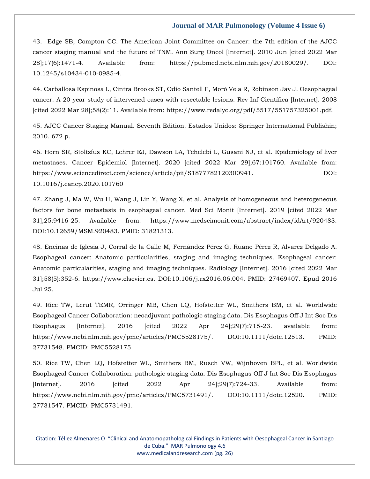[43. Edge SB, Compton CC. The American Joint Committee on Cancer: the 7th edition of the AJCC](file:///C:/Users/Arief%20Mahimudh/Desktop/April/PY/43.%20%20Edge%20SB,%20Compton%20CC.%20The%20American%20Joint%20Committee%20on%20Cancer:%20the%207th%20edition%20of%20the%20AJCC%20cancer%20staging%20manual%20and%20the%20future%20of%20TNM.%20Ann%20Surg%20Oncol%20%5bInternet%5d.%202010%20Jun%20%5bcited%202022%20Mar%2028%5d;17(6):1471-4.%20Available%20from:%20https:/pubmed.ncbi.nlm.nih.gov/20180029/.%20DOI:%2010.1245/s10434-010-0985-4.)  [cancer staging manual and the future of TNM. Ann Surg Oncol \[Internet\]. 2010 Jun \[cited 2022 Mar](file:///C:/Users/Arief%20Mahimudh/Desktop/April/PY/43.%20%20Edge%20SB,%20Compton%20CC.%20The%20American%20Joint%20Committee%20on%20Cancer:%20the%207th%20edition%20of%20the%20AJCC%20cancer%20staging%20manual%20and%20the%20future%20of%20TNM.%20Ann%20Surg%20Oncol%20%5bInternet%5d.%202010%20Jun%20%5bcited%202022%20Mar%2028%5d;17(6):1471-4.%20Available%20from:%20https:/pubmed.ncbi.nlm.nih.gov/20180029/.%20DOI:%2010.1245/s10434-010-0985-4.)  [28\];17\(6\):1471-4. Available from: https://pubmed.ncbi.nlm.nih.gov/20180029/. DOI:](file:///C:/Users/Arief%20Mahimudh/Desktop/April/PY/43.%20%20Edge%20SB,%20Compton%20CC.%20The%20American%20Joint%20Committee%20on%20Cancer:%20the%207th%20edition%20of%20the%20AJCC%20cancer%20staging%20manual%20and%20the%20future%20of%20TNM.%20Ann%20Surg%20Oncol%20%5bInternet%5d.%202010%20Jun%20%5bcited%202022%20Mar%2028%5d;17(6):1471-4.%20Available%20from:%20https:/pubmed.ncbi.nlm.nih.gov/20180029/.%20DOI:%2010.1245/s10434-010-0985-4.)  [10.1245/s10434-010-0985-4.](file:///C:/Users/Arief%20Mahimudh/Desktop/April/PY/43.%20%20Edge%20SB,%20Compton%20CC.%20The%20American%20Joint%20Committee%20on%20Cancer:%20the%207th%20edition%20of%20the%20AJCC%20cancer%20staging%20manual%20and%20the%20future%20of%20TNM.%20Ann%20Surg%20Oncol%20%5bInternet%5d.%202010%20Jun%20%5bcited%202022%20Mar%2028%5d;17(6):1471-4.%20Available%20from:%20https:/pubmed.ncbi.nlm.nih.gov/20180029/.%20DOI:%2010.1245/s10434-010-0985-4.)

[44. Carballosa Espinosa L, Cintra Brooks ST, Odio Santell F,](file:///C:/Users/Arief%20Mahimudh/Desktop/April/PY/44.%20Carballosa%20Espinosa%20L,%20Cintra%20Brooks%20ST,%20Odio%20Santell%20F,%20Moró%20Vela%20R,%20Robinson%20Jay%20J.%20Oesophageal%20cancer.%20A%2020-year%20study%20of%20intervened%20cases%20with%20resectable%20lesions.%20Rev%20Inf%20Científica%20%5bInternet%5d.%202008%20%5bcited%202022%20Mar%2028%5d;58(2):11.%20Available%20from:%20https:/www.redalyc.org/pdf/5517/551757325001.pdf.) Moró Vela R, Robinson Jay J. Oesophageal [cancer. A 20-year study of intervened cases with resectable lesions. Rev Inf Científica \[Internet\]. 2008](file:///C:/Users/Arief%20Mahimudh/Desktop/April/PY/44.%20Carballosa%20Espinosa%20L,%20Cintra%20Brooks%20ST,%20Odio%20Santell%20F,%20Moró%20Vela%20R,%20Robinson%20Jay%20J.%20Oesophageal%20cancer.%20A%2020-year%20study%20of%20intervened%20cases%20with%20resectable%20lesions.%20Rev%20Inf%20Científica%20%5bInternet%5d.%202008%20%5bcited%202022%20Mar%2028%5d;58(2):11.%20Available%20from:%20https:/www.redalyc.org/pdf/5517/551757325001.pdf.)  [\[cited 2022 Mar 28\];58\(2\):11. Available from: https://www.redalyc.org/pdf/5517/551757325001.pdf.](file:///C:/Users/Arief%20Mahimudh/Desktop/April/PY/44.%20Carballosa%20Espinosa%20L,%20Cintra%20Brooks%20ST,%20Odio%20Santell%20F,%20Moró%20Vela%20R,%20Robinson%20Jay%20J.%20Oesophageal%20cancer.%20A%2020-year%20study%20of%20intervened%20cases%20with%20resectable%20lesions.%20Rev%20Inf%20Científica%20%5bInternet%5d.%202008%20%5bcited%202022%20Mar%2028%5d;58(2):11.%20Available%20from:%20https:/www.redalyc.org/pdf/5517/551757325001.pdf.)

[45. AJCC Cancer Staging Manual. Seventh Edition. Estados Unidos: Springer International Publishin;](https://www.google.com/search?q=Estados+Unidos%3A+Springer+International+Publishin&sxsrf=ALiCzsbVFwkzrzq-LgfG0RSI39_T6r27Xg%3A1651479261552&ei=3ZJvYsy5IYihseMPr-iP-AY&ved=0ahUKEwiMnPTVr8D3AhWIUGwGHS_0A28Q4dUDCA4&oq=Estados+Unidos%3A+Springer+International+Publishin&gs_lcp=Cgdnd3Mtd2l6EAwyBwghEAoQoAEyBwghEAoQoAE6BwgjEOoCECc6DQguEMcBENEDEOoCECdKBAhBGABKBAhGGABQlQNYlQNgoAZoAXABeACAAX-IAX-SAQMwLjGYAQCgAQGgAQKwAQrAAQE&sclient=gws-wiz)  [2010. 672 p.](https://www.google.com/search?q=Estados+Unidos%3A+Springer+International+Publishin&sxsrf=ALiCzsbVFwkzrzq-LgfG0RSI39_T6r27Xg%3A1651479261552&ei=3ZJvYsy5IYihseMPr-iP-AY&ved=0ahUKEwiMnPTVr8D3AhWIUGwGHS_0A28Q4dUDCA4&oq=Estados+Unidos%3A+Springer+International+Publishin&gs_lcp=Cgdnd3Mtd2l6EAwyBwghEAoQoAEyBwghEAoQoAE6BwgjEOoCECc6DQguEMcBENEDEOoCECdKBAhBGABKBAhGGABQlQNYlQNgoAZoAXABeACAAX-IAX-SAQMwLjGYAQCgAQGgAQKwAQrAAQE&sclient=gws-wiz)

46. [Horn SR, Stoltzfus KC, Lehrer EJ, Dawson LA, Tchelebi L, Gusani NJ, et al. Epidemiology of liver](file:///C:/Users/Arief%20Mahimudh/Desktop/April/PY/46.%20Horn%20SR,%20Stoltzfus%20KC,%20Lehrer%20EJ,%20Dawson%20LA,%20Tchelebi%20L,%20Gusani%20NJ,%20et%20al.%20Epidemiology%20of%20liver%20metastases.%20Cancer%20Epidemiol%20%5bInternet%5d.%202020%20%5bcited%202022%20Mar%2029%5d;67:101760.%20Available%20from:%20https:/www.sciencedirect.com/science/article/pii/S1877782120300941.%20DOI:%2010.1016/j.canep.2020.101760)  [metastases. Cancer Epidemiol \[Internet\]. 2020 \[cited 2022 Mar 29\];67:101760. Available from:](file:///C:/Users/Arief%20Mahimudh/Desktop/April/PY/46.%20Horn%20SR,%20Stoltzfus%20KC,%20Lehrer%20EJ,%20Dawson%20LA,%20Tchelebi%20L,%20Gusani%20NJ,%20et%20al.%20Epidemiology%20of%20liver%20metastases.%20Cancer%20Epidemiol%20%5bInternet%5d.%202020%20%5bcited%202022%20Mar%2029%5d;67:101760.%20Available%20from:%20https:/www.sciencedirect.com/science/article/pii/S1877782120300941.%20DOI:%2010.1016/j.canep.2020.101760)  [https://www.sciencedirect.com/science/article/pii/S1877782120300941. DOI:](file:///C:/Users/Arief%20Mahimudh/Desktop/April/PY/46.%20Horn%20SR,%20Stoltzfus%20KC,%20Lehrer%20EJ,%20Dawson%20LA,%20Tchelebi%20L,%20Gusani%20NJ,%20et%20al.%20Epidemiology%20of%20liver%20metastases.%20Cancer%20Epidemiol%20%5bInternet%5d.%202020%20%5bcited%202022%20Mar%2029%5d;67:101760.%20Available%20from:%20https:/www.sciencedirect.com/science/article/pii/S1877782120300941.%20DOI:%2010.1016/j.canep.2020.101760)  [10.1016/j.canep.2020.101760](file:///C:/Users/Arief%20Mahimudh/Desktop/April/PY/46.%20Horn%20SR,%20Stoltzfus%20KC,%20Lehrer%20EJ,%20Dawson%20LA,%20Tchelebi%20L,%20Gusani%20NJ,%20et%20al.%20Epidemiology%20of%20liver%20metastases.%20Cancer%20Epidemiol%20%5bInternet%5d.%202020%20%5bcited%202022%20Mar%2029%5d;67:101760.%20Available%20from:%20https:/www.sciencedirect.com/science/article/pii/S1877782120300941.%20DOI:%2010.1016/j.canep.2020.101760)

[47. Zhang J, Ma W, Wu H, Wang J, Lin Y, Wang X, et al. Analysis of homogeneous and heterogeneous](file:///C:/Users/Arief%20Mahimudh/Desktop/April/PY/47.%20Zhang%20J,%20Ma%20W,%20Wu%20H,%20Wang%20J,%20Lin%20Y,%20Wang%20X,%20et%20al.%20Analysis%20of%20homogeneous%20and%20heterogeneous%20factors%20for%20bone%20metastasis%20in%20esophageal%20cancer.%20Med%20Sci%20Monit%20%5bInternet%5d.%202019%20%5bcited%202022%20Mar%2031%5d;25:9416-25.%20Available%20from:%20https:/www.medscimonit.com/abstract/index/idArt/920483.%20DOI:10.12659/MSM.920483.%20PMID:%2031821313.)  factors for bone [metastasis in esophageal cancer. Med Sci Monit \[Internet\]. 2019 \[cited 2022 Mar](file:///C:/Users/Arief%20Mahimudh/Desktop/April/PY/47.%20Zhang%20J,%20Ma%20W,%20Wu%20H,%20Wang%20J,%20Lin%20Y,%20Wang%20X,%20et%20al.%20Analysis%20of%20homogeneous%20and%20heterogeneous%20factors%20for%20bone%20metastasis%20in%20esophageal%20cancer.%20Med%20Sci%20Monit%20%5bInternet%5d.%202019%20%5bcited%202022%20Mar%2031%5d;25:9416-25.%20Available%20from:%20https:/www.medscimonit.com/abstract/index/idArt/920483.%20DOI:10.12659/MSM.920483.%20PMID:%2031821313.)  [31\];25:9416-25. Available from: https://www.medscimonit.com/abstract/index/idArt/920483.](file:///C:/Users/Arief%20Mahimudh/Desktop/April/PY/47.%20Zhang%20J,%20Ma%20W,%20Wu%20H,%20Wang%20J,%20Lin%20Y,%20Wang%20X,%20et%20al.%20Analysis%20of%20homogeneous%20and%20heterogeneous%20factors%20for%20bone%20metastasis%20in%20esophageal%20cancer.%20Med%20Sci%20Monit%20%5bInternet%5d.%202019%20%5bcited%202022%20Mar%2031%5d;25:9416-25.%20Available%20from:%20https:/www.medscimonit.com/abstract/index/idArt/920483.%20DOI:10.12659/MSM.920483.%20PMID:%2031821313.)  [DOI:10.12659/MSM.920483. PMID: 31821313.](file:///C:/Users/Arief%20Mahimudh/Desktop/April/PY/47.%20Zhang%20J,%20Ma%20W,%20Wu%20H,%20Wang%20J,%20Lin%20Y,%20Wang%20X,%20et%20al.%20Analysis%20of%20homogeneous%20and%20heterogeneous%20factors%20for%20bone%20metastasis%20in%20esophageal%20cancer.%20Med%20Sci%20Monit%20%5bInternet%5d.%202019%20%5bcited%202022%20Mar%2031%5d;25:9416-25.%20Available%20from:%20https:/www.medscimonit.com/abstract/index/idArt/920483.%20DOI:10.12659/MSM.920483.%20PMID:%2031821313.)

[48. Encinas de Iglesia J, Corral de la Calle M, Fernández Pérez G, Ruano Pérez R, Álvarez Delgado A.](file:///C:/Users/Arief%20Mahimudh/Desktop/April/PY/48.%20Encinas%20de%20Iglesia%20J,%20Corral%20de%20la%20Calle%20M,%20Fernández%20Pérez%20G,%20Ruano%20Pérez%20R,%20Álvarez%20Delgado%20A.%20Esophageal%20cancer:%20Anatomic%20particularities,%20staging%20and%20imaging%20techniques.%20Esophageal%20cancer:%20Anatomic%20particularities,%20staging%20and%20imaging%20techniques.%20Radiology%20%5bInternet%5d.%202016%20%5bcited%202022%20Mar%2031%5d;58(5):352-6.%20https:/www.elsevier.es.%20DOI:10.106/j.rx2016.06.004.%20PMID:%2027469407.%20Epud%202016%20Jul%2025.)  [Esophageal cancer: Anatomic particularities, staging and imaging techniques. Esophageal cancer:](file:///C:/Users/Arief%20Mahimudh/Desktop/April/PY/48.%20Encinas%20de%20Iglesia%20J,%20Corral%20de%20la%20Calle%20M,%20Fernández%20Pérez%20G,%20Ruano%20Pérez%20R,%20Álvarez%20Delgado%20A.%20Esophageal%20cancer:%20Anatomic%20particularities,%20staging%20and%20imaging%20techniques.%20Esophageal%20cancer:%20Anatomic%20particularities,%20staging%20and%20imaging%20techniques.%20Radiology%20%5bInternet%5d.%202016%20%5bcited%202022%20Mar%2031%5d;58(5):352-6.%20https:/www.elsevier.es.%20DOI:10.106/j.rx2016.06.004.%20PMID:%2027469407.%20Epud%202016%20Jul%2025.)  [Anatomic particularities, staging and imaging techniques. Radiology \[Internet\]. 2016 \[cited 2022 Mar](file:///C:/Users/Arief%20Mahimudh/Desktop/April/PY/48.%20Encinas%20de%20Iglesia%20J,%20Corral%20de%20la%20Calle%20M,%20Fernández%20Pérez%20G,%20Ruano%20Pérez%20R,%20Álvarez%20Delgado%20A.%20Esophageal%20cancer:%20Anatomic%20particularities,%20staging%20and%20imaging%20techniques.%20Esophageal%20cancer:%20Anatomic%20particularities,%20staging%20and%20imaging%20techniques.%20Radiology%20%5bInternet%5d.%202016%20%5bcited%202022%20Mar%2031%5d;58(5):352-6.%20https:/www.elsevier.es.%20DOI:10.106/j.rx2016.06.004.%20PMID:%2027469407.%20Epud%202016%20Jul%2025.)  [31\];58\(5\):352-6. https://www.elsevier.es. DOI:10.106/j.rx2016.06.004. PMID: 27469407. Epud 2016](file:///C:/Users/Arief%20Mahimudh/Desktop/April/PY/48.%20Encinas%20de%20Iglesia%20J,%20Corral%20de%20la%20Calle%20M,%20Fernández%20Pérez%20G,%20Ruano%20Pérez%20R,%20Álvarez%20Delgado%20A.%20Esophageal%20cancer:%20Anatomic%20particularities,%20staging%20and%20imaging%20techniques.%20Esophageal%20cancer:%20Anatomic%20particularities,%20staging%20and%20imaging%20techniques.%20Radiology%20%5bInternet%5d.%202016%20%5bcited%202022%20Mar%2031%5d;58(5):352-6.%20https:/www.elsevier.es.%20DOI:10.106/j.rx2016.06.004.%20PMID:%2027469407.%20Epud%202016%20Jul%2025.)  [Jul 25.](file:///C:/Users/Arief%20Mahimudh/Desktop/April/PY/48.%20Encinas%20de%20Iglesia%20J,%20Corral%20de%20la%20Calle%20M,%20Fernández%20Pérez%20G,%20Ruano%20Pérez%20R,%20Álvarez%20Delgado%20A.%20Esophageal%20cancer:%20Anatomic%20particularities,%20staging%20and%20imaging%20techniques.%20Esophageal%20cancer:%20Anatomic%20particularities,%20staging%20and%20imaging%20techniques.%20Radiology%20%5bInternet%5d.%202016%20%5bcited%202022%20Mar%2031%5d;58(5):352-6.%20https:/www.elsevier.es.%20DOI:10.106/j.rx2016.06.004.%20PMID:%2027469407.%20Epud%202016%20Jul%2025.)

[49. Rice TW, Lerut TEMR, Orringer MB, Chen LQ, Hofstetter WL, Smithers BM, et al. Worldwide](file:///C:/Users/Arief%20Mahimudh/Desktop/April/PY/49.%20Rice%20TW,%20Lerut%20TEMR,%20Orringer%20MB,%20Chen%20LQ,%20Hofstetter%20WL,%20Smithers%20BM,%20et%20al.%20Worldwide%20Esophageal%20Cancer%20Collaboration:%20neoadjuvant%20pathologic%20staging%20data.%20Dis%20Esophagus%20Off%20J%20Int%20Soc%20Dis%20Esophagus%20%5bInternet%5d.%202016%20%5bcited%202022%20Apr%2024%5d;29(7):715-23.%20available%20from:%20https:/www.ncbi.nlm.nih.gov/pmc/articles/PMC5528175/.%20DOI:10.1111/dote.12513.%20PMID:%2027731548.%20PMCID:%20PMC5528175)  [Esophageal Cancer Collaboration: neoadjuvant pathologic staging data. Dis Esophagus Off J Int Soc Dis](file:///C:/Users/Arief%20Mahimudh/Desktop/April/PY/49.%20Rice%20TW,%20Lerut%20TEMR,%20Orringer%20MB,%20Chen%20LQ,%20Hofstetter%20WL,%20Smithers%20BM,%20et%20al.%20Worldwide%20Esophageal%20Cancer%20Collaboration:%20neoadjuvant%20pathologic%20staging%20data.%20Dis%20Esophagus%20Off%20J%20Int%20Soc%20Dis%20Esophagus%20%5bInternet%5d.%202016%20%5bcited%202022%20Apr%2024%5d;29(7):715-23.%20available%20from:%20https:/www.ncbi.nlm.nih.gov/pmc/articles/PMC5528175/.%20DOI:10.1111/dote.12513.%20PMID:%2027731548.%20PMCID:%20PMC5528175)  [Esophagus \[Internet\]. 2016 \[cited 2022 Apr 24\];29\(7\):715-23. available from:](file:///C:/Users/Arief%20Mahimudh/Desktop/April/PY/49.%20Rice%20TW,%20Lerut%20TEMR,%20Orringer%20MB,%20Chen%20LQ,%20Hofstetter%20WL,%20Smithers%20BM,%20et%20al.%20Worldwide%20Esophageal%20Cancer%20Collaboration:%20neoadjuvant%20pathologic%20staging%20data.%20Dis%20Esophagus%20Off%20J%20Int%20Soc%20Dis%20Esophagus%20%5bInternet%5d.%202016%20%5bcited%202022%20Apr%2024%5d;29(7):715-23.%20available%20from:%20https:/www.ncbi.nlm.nih.gov/pmc/articles/PMC5528175/.%20DOI:10.1111/dote.12513.%20PMID:%2027731548.%20PMCID:%20PMC5528175)  [https://www.ncbi.nlm.nih.gov/pmc/articles/PMC5528175/. DOI:10.1111/dote.12513. PMID:](file:///C:/Users/Arief%20Mahimudh/Desktop/April/PY/49.%20Rice%20TW,%20Lerut%20TEMR,%20Orringer%20MB,%20Chen%20LQ,%20Hofstetter%20WL,%20Smithers%20BM,%20et%20al.%20Worldwide%20Esophageal%20Cancer%20Collaboration:%20neoadjuvant%20pathologic%20staging%20data.%20Dis%20Esophagus%20Off%20J%20Int%20Soc%20Dis%20Esophagus%20%5bInternet%5d.%202016%20%5bcited%202022%20Apr%2024%5d;29(7):715-23.%20available%20from:%20https:/www.ncbi.nlm.nih.gov/pmc/articles/PMC5528175/.%20DOI:10.1111/dote.12513.%20PMID:%2027731548.%20PMCID:%20PMC5528175)  [27731548. PMCID: PMC5528175](file:///C:/Users/Arief%20Mahimudh/Desktop/April/PY/49.%20Rice%20TW,%20Lerut%20TEMR,%20Orringer%20MB,%20Chen%20LQ,%20Hofstetter%20WL,%20Smithers%20BM,%20et%20al.%20Worldwide%20Esophageal%20Cancer%20Collaboration:%20neoadjuvant%20pathologic%20staging%20data.%20Dis%20Esophagus%20Off%20J%20Int%20Soc%20Dis%20Esophagus%20%5bInternet%5d.%202016%20%5bcited%202022%20Apr%2024%5d;29(7):715-23.%20available%20from:%20https:/www.ncbi.nlm.nih.gov/pmc/articles/PMC5528175/.%20DOI:10.1111/dote.12513.%20PMID:%2027731548.%20PMCID:%20PMC5528175)

[50. Rice TW, Chen LQ, Hofstetter WL, Smithers BM, Rusch VW, Wijnhoven BPL, et al. Worldwide](file:///C:/Users/Arief%20Mahimudh/Desktop/April/PY/50.%20Rice%20TW,%20Chen%20LQ,%20Hofstetter%20WL,%20Smithers%20BM,%20Rusch%20VW,%20Wijnhoven%20BPL,%20et%20al.%20Worldwide%20Esophageal%20Cancer%20Collaboration:%20pathologic%20staging%20data.%20Dis%20Esophagus%20Off%20J%20Int%20Soc%20Dis%20Esophagus%20%5bInternet%5d.%202016%20%5bcited%202022%20Apr%2024%5d;29(7):724-33.%20Available%20from:%20https:/www.ncbi.nlm.nih.gov/pmc/articles/PMC5731491/.%20DOI:10.1111/dote.12520.%20PMID:%2027731547.%20PMCID:%20PMC5731491.)  [Esophageal Cancer Collaboration: pathologic staging data. Dis Esophagus Off J Int Soc Dis Esophagus](file:///C:/Users/Arief%20Mahimudh/Desktop/April/PY/50.%20Rice%20TW,%20Chen%20LQ,%20Hofstetter%20WL,%20Smithers%20BM,%20Rusch%20VW,%20Wijnhoven%20BPL,%20et%20al.%20Worldwide%20Esophageal%20Cancer%20Collaboration:%20pathologic%20staging%20data.%20Dis%20Esophagus%20Off%20J%20Int%20Soc%20Dis%20Esophagus%20%5bInternet%5d.%202016%20%5bcited%202022%20Apr%2024%5d;29(7):724-33.%20Available%20from:%20https:/www.ncbi.nlm.nih.gov/pmc/articles/PMC5731491/.%20DOI:10.1111/dote.12520.%20PMID:%2027731547.%20PMCID:%20PMC5731491.)  [\[Internet\]. 2016 \[cited 2022 Apr 24\];29\(7\):724-33. Available from:](file:///C:/Users/Arief%20Mahimudh/Desktop/April/PY/50.%20Rice%20TW,%20Chen%20LQ,%20Hofstetter%20WL,%20Smithers%20BM,%20Rusch%20VW,%20Wijnhoven%20BPL,%20et%20al.%20Worldwide%20Esophageal%20Cancer%20Collaboration:%20pathologic%20staging%20data.%20Dis%20Esophagus%20Off%20J%20Int%20Soc%20Dis%20Esophagus%20%5bInternet%5d.%202016%20%5bcited%202022%20Apr%2024%5d;29(7):724-33.%20Available%20from:%20https:/www.ncbi.nlm.nih.gov/pmc/articles/PMC5731491/.%20DOI:10.1111/dote.12520.%20PMID:%2027731547.%20PMCID:%20PMC5731491.)  [https://www.ncbi.nlm.nih.gov/pmc/articles/PMC5731491/. DOI:10.1111/dote.12520. PMID:](file:///C:/Users/Arief%20Mahimudh/Desktop/April/PY/50.%20Rice%20TW,%20Chen%20LQ,%20Hofstetter%20WL,%20Smithers%20BM,%20Rusch%20VW,%20Wijnhoven%20BPL,%20et%20al.%20Worldwide%20Esophageal%20Cancer%20Collaboration:%20pathologic%20staging%20data.%20Dis%20Esophagus%20Off%20J%20Int%20Soc%20Dis%20Esophagus%20%5bInternet%5d.%202016%20%5bcited%202022%20Apr%2024%5d;29(7):724-33.%20Available%20from:%20https:/www.ncbi.nlm.nih.gov/pmc/articles/PMC5731491/.%20DOI:10.1111/dote.12520.%20PMID:%2027731547.%20PMCID:%20PMC5731491.)  [27731547. PMCID: PMC5731491.](file:///C:/Users/Arief%20Mahimudh/Desktop/April/PY/50.%20Rice%20TW,%20Chen%20LQ,%20Hofstetter%20WL,%20Smithers%20BM,%20Rusch%20VW,%20Wijnhoven%20BPL,%20et%20al.%20Worldwide%20Esophageal%20Cancer%20Collaboration:%20pathologic%20staging%20data.%20Dis%20Esophagus%20Off%20J%20Int%20Soc%20Dis%20Esophagus%20%5bInternet%5d.%202016%20%5bcited%202022%20Apr%2024%5d;29(7):724-33.%20Available%20from:%20https:/www.ncbi.nlm.nih.gov/pmc/articles/PMC5731491/.%20DOI:10.1111/dote.12520.%20PMID:%2027731547.%20PMCID:%20PMC5731491.)

Citation: Téllez Almenares O "Clinical and Anatomopathological Findings in Patients with Oesophageal Cancer in Santiago de Cuba." MAR Pulmonology 4.6 [www.medicalandresearch.com](http://www.medicalandresearch.com/) (pg. 26)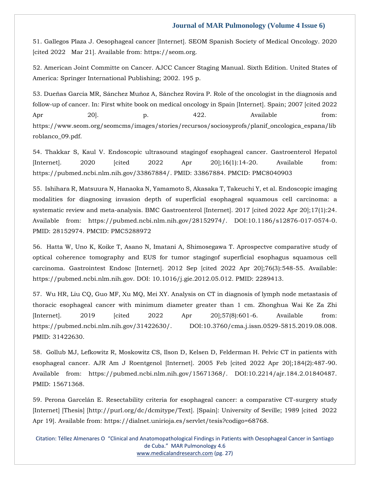[51. Gallegos Plaza J. Oesophageal cancer \[Internet\]. SEOM Spanish Society of Medical Oncology. 2020](file:///C:/Users/Arief%20Mahimudh/Desktop/April/PY/51.%20Gallegos%20Plaza%20J.%20Oesophageal%20cancer%20%5bInternet%5d.%20SEOM%20Spanish%20Society%20of%20Medical%20Oncology.%202020%20%5bcited%202022%20%20%20Mar%2021%5d.%20Available%20from:%20https:/seom.org)  [\[cited 2022 Mar 21\]. Available from: https://seom.org.](file:///C:/Users/Arief%20Mahimudh/Desktop/April/PY/51.%20Gallegos%20Plaza%20J.%20Oesophageal%20cancer%20%5bInternet%5d.%20SEOM%20Spanish%20Society%20of%20Medical%20Oncology.%202020%20%5bcited%202022%20%20%20Mar%2021%5d.%20Available%20from:%20https:/seom.org)

[52. American Joint Committe on Cancer. AJCC Cancer Staging Manual. Sixth Edition. United States of](https://www.google.com/search?q=American+Joint+Committe+on+Cancer.+AJCC+Cancer+Staging+Manual.+Sixth+Edition&sxsrf=ALiCzsYwQnyNyhErJZHPo-m9BM6eM8QFHw%3A1651479813679&ei=BZVvYrr7KMaMseMP5_GpSA&ved=0ahUKEwj6kZfdscD3AhVGRmwGHed4CgkQ4dUDCA4&oq=American+Joint+Committe+on+Cancer.+AJCC+Cancer+Staging+Manual.+Sixth+Edition&gs_lcp=Cgdnd3Mtd2l6EAw6BwgjEOoCECc6DQguEMcBENEDEOoCECdKBAhBGABKBAhGGABQ_AJY_AJgmgZoAXABeACAAWCIAWCSAQExmAEAoAEBoAECsAEKwAEB&sclient=gws-wiz)  [America: Springer International Publishing; 2002. 195 p.](https://www.google.com/search?q=American+Joint+Committe+on+Cancer.+AJCC+Cancer+Staging+Manual.+Sixth+Edition&sxsrf=ALiCzsYwQnyNyhErJZHPo-m9BM6eM8QFHw%3A1651479813679&ei=BZVvYrr7KMaMseMP5_GpSA&ved=0ahUKEwj6kZfdscD3AhVGRmwGHed4CgkQ4dUDCA4&oq=American+Joint+Committe+on+Cancer.+AJCC+Cancer+Staging+Manual.+Sixth+Edition&gs_lcp=Cgdnd3Mtd2l6EAw6BwgjEOoCECc6DQguEMcBENEDEOoCECdKBAhBGABKBAhGGABQ_AJY_AJgmgZoAXABeACAAWCIAWCSAQExmAEAoAEBoAECsAEKwAEB&sclient=gws-wiz)

[53. Dueñas García MR, Sánchez Muñoz A, Sánchez Rovira P. Role of the oncologist in the diagnosis and](file:///C:/Users/Arief%20Mahimudh/Desktop/April/PY/53.%20Dueñas%20García%20MR,%20Sánchez%20Muñoz%20A,%20Sánchez%20Rovira%20P.%20Role%20of%20the%20oncologist%20in%20the%20diagnosis%20and%20follow-up%20of%20cancer.%20In:%20First%20white%20book%20on%20medical%20oncology%20in%20Spain%20%5bInternet%5d.%20Spain;%202007%20%5bcited%202022%20Apr%2020%5d.%20p.%20422.%20Available%20from:%20https:/www.seom.org/seomcms/images/stories/recursos/sociosyprofs/planif_oncologica_espana/libroblanco_09.pdf.)  [follow-up of cancer. In: First white book on medical oncology in Spain \[Internet\]. Spain; 2007 \[cited 2022](file:///C:/Users/Arief%20Mahimudh/Desktop/April/PY/53.%20Dueñas%20García%20MR,%20Sánchez%20Muñoz%20A,%20Sánchez%20Rovira%20P.%20Role%20of%20the%20oncologist%20in%20the%20diagnosis%20and%20follow-up%20of%20cancer.%20In:%20First%20white%20book%20on%20medical%20oncology%20in%20Spain%20%5bInternet%5d.%20Spain;%202007%20%5bcited%202022%20Apr%2020%5d.%20p.%20422.%20Available%20from:%20https:/www.seom.org/seomcms/images/stories/recursos/sociosyprofs/planif_oncologica_espana/libroblanco_09.pdf.)  Apr 20]. p. 422. Available from: [https://www.seom.org/seomcms/images/stories/recursos/sociosyprofs/planif\\_oncologica\\_espana/lib](file:///C:/Users/Arief%20Mahimudh/Desktop/April/PY/53.%20Dueñas%20García%20MR,%20Sánchez%20Muñoz%20A,%20Sánchez%20Rovira%20P.%20Role%20of%20the%20oncologist%20in%20the%20diagnosis%20and%20follow-up%20of%20cancer.%20In:%20First%20white%20book%20on%20medical%20oncology%20in%20Spain%20%5bInternet%5d.%20Spain;%202007%20%5bcited%202022%20Apr%2020%5d.%20p.%20422.%20Available%20from:%20https:/www.seom.org/seomcms/images/stories/recursos/sociosyprofs/planif_oncologica_espana/libroblanco_09.pdf.) [roblanco\\_09.pdf.](file:///C:/Users/Arief%20Mahimudh/Desktop/April/PY/53.%20Dueñas%20García%20MR,%20Sánchez%20Muñoz%20A,%20Sánchez%20Rovira%20P.%20Role%20of%20the%20oncologist%20in%20the%20diagnosis%20and%20follow-up%20of%20cancer.%20In:%20First%20white%20book%20on%20medical%20oncology%20in%20Spain%20%5bInternet%5d.%20Spain;%202007%20%5bcited%202022%20Apr%2020%5d.%20p.%20422.%20Available%20from:%20https:/www.seom.org/seomcms/images/stories/recursos/sociosyprofs/planif_oncologica_espana/libroblanco_09.pdf.)

[54. Thakkar S, Kaul V. Endoscopic ultrasound stagingof esophageal cancer. Gastroenterol Hepatol](file:///C:/Users/Arief%20Mahimudh/Desktop/April/PY/54.%20Thakkar%20S,%20Kaul%20V.%20Endoscopic%20ultrasound%20stagingof%20esophageal%20cancer.%20Gastroenterol%20Hepatol%20%5bInternet%5d.%202020%20%5bcited%202022%20Apr%2020%5d;16(1):14-20.%20Available%20from:%20https:/pubmed.ncbi.nlm.nih.gov/33867884/.%20PMID:%2033867884.%20PMCID:%20PMC8040903)  [\[Internet\]. 2020 \[cited 2022 Apr 20\];16\(1\):14-20. Available from:](file:///C:/Users/Arief%20Mahimudh/Desktop/April/PY/54.%20Thakkar%20S,%20Kaul%20V.%20Endoscopic%20ultrasound%20stagingof%20esophageal%20cancer.%20Gastroenterol%20Hepatol%20%5bInternet%5d.%202020%20%5bcited%202022%20Apr%2020%5d;16(1):14-20.%20Available%20from:%20https:/pubmed.ncbi.nlm.nih.gov/33867884/.%20PMID:%2033867884.%20PMCID:%20PMC8040903)  [https://pubmed.ncbi.nlm.nih.gov/33867884/. PMID: 33867884. PMCID: PMC8040903](file:///C:/Users/Arief%20Mahimudh/Desktop/April/PY/54.%20Thakkar%20S,%20Kaul%20V.%20Endoscopic%20ultrasound%20stagingof%20esophageal%20cancer.%20Gastroenterol%20Hepatol%20%5bInternet%5d.%202020%20%5bcited%202022%20Apr%2020%5d;16(1):14-20.%20Available%20from:%20https:/pubmed.ncbi.nlm.nih.gov/33867884/.%20PMID:%2033867884.%20PMCID:%20PMC8040903)

[55. Ishihara R, Matsuura N, Hanaoka N, Yamamoto S, Akasaka T, Takeuchi Y, et al. Endoscopic imaging](file:///C:/Users/Arief%20Mahimudh/Desktop/April/PY/55.%20%20Ishihara%20R,%20Matsuura%20N,%20Hanaoka%20N,%20Yamamoto%20S,%20Akasaka%20T,%20Takeuchi%20Y,%20et%20al.%20Endoscopic%20imaging%20modalities%20for%20diagnosing%20invasion%20depth%20of%20superficial%20esophageal%20squamous%20cell%20carcinoma:%20a%20systematic%20review%20and%20meta-analysis.%20BMC%20Gastroenterol%20%5bInternet%5d.%202017%20%5bcited%202022%20Apr%2020%5d;17(1):24.%20Available%20from:%20https:/pubmed.ncbi.nlm.nih.gov/28152974/.%20DOI:10.1186/s12876-017-0574-0.%20PMID:%2028152974.%20PMCID:%20PMC5288972)  [modalities for diagnosing invasion depth of superficial esophageal squamous](file:///C:/Users/Arief%20Mahimudh/Desktop/April/PY/55.%20%20Ishihara%20R,%20Matsuura%20N,%20Hanaoka%20N,%20Yamamoto%20S,%20Akasaka%20T,%20Takeuchi%20Y,%20et%20al.%20Endoscopic%20imaging%20modalities%20for%20diagnosing%20invasion%20depth%20of%20superficial%20esophageal%20squamous%20cell%20carcinoma:%20a%20systematic%20review%20and%20meta-analysis.%20BMC%20Gastroenterol%20%5bInternet%5d.%202017%20%5bcited%202022%20Apr%2020%5d;17(1):24.%20Available%20from:%20https:/pubmed.ncbi.nlm.nih.gov/28152974/.%20DOI:10.1186/s12876-017-0574-0.%20PMID:%2028152974.%20PMCID:%20PMC5288972) cell carcinoma: a [systematic review and meta-analysis. BMC Gastroenterol \[Internet\]. 2017 \[cited 2022 Apr 20\];17\(1\):24.](file:///C:/Users/Arief%20Mahimudh/Desktop/April/PY/55.%20%20Ishihara%20R,%20Matsuura%20N,%20Hanaoka%20N,%20Yamamoto%20S,%20Akasaka%20T,%20Takeuchi%20Y,%20et%20al.%20Endoscopic%20imaging%20modalities%20for%20diagnosing%20invasion%20depth%20of%20superficial%20esophageal%20squamous%20cell%20carcinoma:%20a%20systematic%20review%20and%20meta-analysis.%20BMC%20Gastroenterol%20%5bInternet%5d.%202017%20%5bcited%202022%20Apr%2020%5d;17(1):24.%20Available%20from:%20https:/pubmed.ncbi.nlm.nih.gov/28152974/.%20DOI:10.1186/s12876-017-0574-0.%20PMID:%2028152974.%20PMCID:%20PMC5288972)  [Available from: https://pubmed.ncbi.nlm.nih.gov/28152974/. DOI:10.1186/s12876-017-0574-0.](file:///C:/Users/Arief%20Mahimudh/Desktop/April/PY/55.%20%20Ishihara%20R,%20Matsuura%20N,%20Hanaoka%20N,%20Yamamoto%20S,%20Akasaka%20T,%20Takeuchi%20Y,%20et%20al.%20Endoscopic%20imaging%20modalities%20for%20diagnosing%20invasion%20depth%20of%20superficial%20esophageal%20squamous%20cell%20carcinoma:%20a%20systematic%20review%20and%20meta-analysis.%20BMC%20Gastroenterol%20%5bInternet%5d.%202017%20%5bcited%202022%20Apr%2020%5d;17(1):24.%20Available%20from:%20https:/pubmed.ncbi.nlm.nih.gov/28152974/.%20DOI:10.1186/s12876-017-0574-0.%20PMID:%2028152974.%20PMCID:%20PMC5288972)  [PMID: 28152974. PMCID: PMC5288972](file:///C:/Users/Arief%20Mahimudh/Desktop/April/PY/55.%20%20Ishihara%20R,%20Matsuura%20N,%20Hanaoka%20N,%20Yamamoto%20S,%20Akasaka%20T,%20Takeuchi%20Y,%20et%20al.%20Endoscopic%20imaging%20modalities%20for%20diagnosing%20invasion%20depth%20of%20superficial%20esophageal%20squamous%20cell%20carcinoma:%20a%20systematic%20review%20and%20meta-analysis.%20BMC%20Gastroenterol%20%5bInternet%5d.%202017%20%5bcited%202022%20Apr%2020%5d;17(1):24.%20Available%20from:%20https:/pubmed.ncbi.nlm.nih.gov/28152974/.%20DOI:10.1186/s12876-017-0574-0.%20PMID:%2028152974.%20PMCID:%20PMC5288972)

[56. Hatta W, Uno K, Koike T, Asano N, Imatani A, Shimosegawa T. Aprospectve comparative study of](file:///C:/Users/Arief%20Mahimudh/Desktop/April/PY/56.%20%20Hatta%20W,%20Uno%20K,%20Koike%20T,%20Asano%20N,%20Imatani%20A,%20Shimosegawa%20T.%20Aprospectve%20comparative%20study%20of%20optical%20coherence%20tomography%20and%20EUS%20for%20tumor%20stagingof%20superficial%20esophagus%20squamous%20cell%20carcinoma.%20Gastrointest%20Endosc%20%5bInternet%5d.%202012%20Sep%20%5bcited%202022%20Apr%2020%5d;76(3):548-55.%20Available:%20https:/pubmed.ncbi.nlm.nih.gov.%20DOI:%2010.1016/j.gie.2012.05.012.%20PMID:%202289413.)  [optical coherence tomography and EUS for tumor stagingof superficial esophagus squamous cell](file:///C:/Users/Arief%20Mahimudh/Desktop/April/PY/56.%20%20Hatta%20W,%20Uno%20K,%20Koike%20T,%20Asano%20N,%20Imatani%20A,%20Shimosegawa%20T.%20Aprospectve%20comparative%20study%20of%20optical%20coherence%20tomography%20and%20EUS%20for%20tumor%20stagingof%20superficial%20esophagus%20squamous%20cell%20carcinoma.%20Gastrointest%20Endosc%20%5bInternet%5d.%202012%20Sep%20%5bcited%202022%20Apr%2020%5d;76(3):548-55.%20Available:%20https:/pubmed.ncbi.nlm.nih.gov.%20DOI:%2010.1016/j.gie.2012.05.012.%20PMID:%202289413.)  [carcinoma. Gastrointest Endosc \[Internet\]. 2012 Sep \[cited 2022 Apr 20\];76\(3\):548-55. Available:](file:///C:/Users/Arief%20Mahimudh/Desktop/April/PY/56.%20%20Hatta%20W,%20Uno%20K,%20Koike%20T,%20Asano%20N,%20Imatani%20A,%20Shimosegawa%20T.%20Aprospectve%20comparative%20study%20of%20optical%20coherence%20tomography%20and%20EUS%20for%20tumor%20stagingof%20superficial%20esophagus%20squamous%20cell%20carcinoma.%20Gastrointest%20Endosc%20%5bInternet%5d.%202012%20Sep%20%5bcited%202022%20Apr%2020%5d;76(3):548-55.%20Available:%20https:/pubmed.ncbi.nlm.nih.gov.%20DOI:%2010.1016/j.gie.2012.05.012.%20PMID:%202289413.)  [https://pubmed.ncbi.nlm.nih.gov. DOI: 10.1016/j.gie.2012.05.012. PMID: 2289413.](file:///C:/Users/Arief%20Mahimudh/Desktop/April/PY/56.%20%20Hatta%20W,%20Uno%20K,%20Koike%20T,%20Asano%20N,%20Imatani%20A,%20Shimosegawa%20T.%20Aprospectve%20comparative%20study%20of%20optical%20coherence%20tomography%20and%20EUS%20for%20tumor%20stagingof%20superficial%20esophagus%20squamous%20cell%20carcinoma.%20Gastrointest%20Endosc%20%5bInternet%5d.%202012%20Sep%20%5bcited%202022%20Apr%2020%5d;76(3):548-55.%20Available:%20https:/pubmed.ncbi.nlm.nih.gov.%20DOI:%2010.1016/j.gie.2012.05.012.%20PMID:%202289413.)

[57. Wu HR, Liu CQ, Guo MF, Xu MQ, Mei XY. Analysis on CT in diagnosis of lymph node metastasis of](file:///C:/Users/Arief%20Mahimudh/Desktop/April/PY/57.%20%20Wu%20HR,%20Liu%20CQ,%20Guo%20MF,%20Xu%20MQ,%20Mei%20XY.%20Analysis%20on%20CT%20in%20diagnosis%20of%20lymph%20node%20metastasis%20of%20thoracic%20esophageal%20cancer%20with%20minimum%20diameter%20greater%20than%201%20cm.%20Zhonghua%20Wai%20Ke%20Za%20Zhi%20%5bInternet%5d.%202019%20%5bcited%202022%20Apr%2020%5d;57(8):601-6.%20Available%20from:%20https:/pubmed.ncbi.nlm.nih.gov/31422630/.%20DOI:10.3760/cma.j.issn.0529-5815.2019.08.008.%20PMID:%2031422630.)  [thoracic esophageal cancer with minimum diameter greater](file:///C:/Users/Arief%20Mahimudh/Desktop/April/PY/57.%20%20Wu%20HR,%20Liu%20CQ,%20Guo%20MF,%20Xu%20MQ,%20Mei%20XY.%20Analysis%20on%20CT%20in%20diagnosis%20of%20lymph%20node%20metastasis%20of%20thoracic%20esophageal%20cancer%20with%20minimum%20diameter%20greater%20than%201%20cm.%20Zhonghua%20Wai%20Ke%20Za%20Zhi%20%5bInternet%5d.%202019%20%5bcited%202022%20Apr%2020%5d;57(8):601-6.%20Available%20from:%20https:/pubmed.ncbi.nlm.nih.gov/31422630/.%20DOI:10.3760/cma.j.issn.0529-5815.2019.08.008.%20PMID:%2031422630.) than 1 cm. Zhonghua Wai Ke Za Zhi [\[Internet\]. 2019 \[cited 2022 Apr 20\];57\(8\):601-6. Available from:](file:///C:/Users/Arief%20Mahimudh/Desktop/April/PY/57.%20%20Wu%20HR,%20Liu%20CQ,%20Guo%20MF,%20Xu%20MQ,%20Mei%20XY.%20Analysis%20on%20CT%20in%20diagnosis%20of%20lymph%20node%20metastasis%20of%20thoracic%20esophageal%20cancer%20with%20minimum%20diameter%20greater%20than%201%20cm.%20Zhonghua%20Wai%20Ke%20Za%20Zhi%20%5bInternet%5d.%202019%20%5bcited%202022%20Apr%2020%5d;57(8):601-6.%20Available%20from:%20https:/pubmed.ncbi.nlm.nih.gov/31422630/.%20DOI:10.3760/cma.j.issn.0529-5815.2019.08.008.%20PMID:%2031422630.)  [https://pubmed.ncbi.nlm.nih.gov/31422630/. DOI:10.3760/cma.j.issn.0529-5815.2019.08.008.](file:///C:/Users/Arief%20Mahimudh/Desktop/April/PY/57.%20%20Wu%20HR,%20Liu%20CQ,%20Guo%20MF,%20Xu%20MQ,%20Mei%20XY.%20Analysis%20on%20CT%20in%20diagnosis%20of%20lymph%20node%20metastasis%20of%20thoracic%20esophageal%20cancer%20with%20minimum%20diameter%20greater%20than%201%20cm.%20Zhonghua%20Wai%20Ke%20Za%20Zhi%20%5bInternet%5d.%202019%20%5bcited%202022%20Apr%2020%5d;57(8):601-6.%20Available%20from:%20https:/pubmed.ncbi.nlm.nih.gov/31422630/.%20DOI:10.3760/cma.j.issn.0529-5815.2019.08.008.%20PMID:%2031422630.)  [PMID: 31422630.](file:///C:/Users/Arief%20Mahimudh/Desktop/April/PY/57.%20%20Wu%20HR,%20Liu%20CQ,%20Guo%20MF,%20Xu%20MQ,%20Mei%20XY.%20Analysis%20on%20CT%20in%20diagnosis%20of%20lymph%20node%20metastasis%20of%20thoracic%20esophageal%20cancer%20with%20minimum%20diameter%20greater%20than%201%20cm.%20Zhonghua%20Wai%20Ke%20Za%20Zhi%20%5bInternet%5d.%202019%20%5bcited%202022%20Apr%2020%5d;57(8):601-6.%20Available%20from:%20https:/pubmed.ncbi.nlm.nih.gov/31422630/.%20DOI:10.3760/cma.j.issn.0529-5815.2019.08.008.%20PMID:%2031422630.)

[58. Gollub MJ, Lefkowitz R, Moskowitz CS, Ilson D, Kelsen D, Felderman H. Pelvic CT in patients with](file:///C:/Users/Arief%20Mahimudh/Desktop/April/PY/58.%20%20Gollub%20MJ,%20Lefkowitz%20R,%20Moskowitz%20CS,%20Ilson%20D,%20Kelsen%20D,%20Felderman%20H.%20Pelvic%20CT%20in%20patients%20with%20esophageal%20cancer.%20AJR%20Am%20J%20Roentgenol%20%5bInternet%5d.%202005%20Feb%20%5bcited%202022%20Apr%2020%5d;184(2):487-90.%20Available%20from:%20https:/pubmed.ncbi.nlm.nih.gov/15671368/.%20DOI:10.2214/ajr.184.2.01840487.%20PMID:%2015671368.)  [esophageal cancer. AJR Am J Roentgenol \[Internet\]. 2005 Feb \[cited 2022 Apr 20\];184\(2\):487-90.](file:///C:/Users/Arief%20Mahimudh/Desktop/April/PY/58.%20%20Gollub%20MJ,%20Lefkowitz%20R,%20Moskowitz%20CS,%20Ilson%20D,%20Kelsen%20D,%20Felderman%20H.%20Pelvic%20CT%20in%20patients%20with%20esophageal%20cancer.%20AJR%20Am%20J%20Roentgenol%20%5bInternet%5d.%202005%20Feb%20%5bcited%202022%20Apr%2020%5d;184(2):487-90.%20Available%20from:%20https:/pubmed.ncbi.nlm.nih.gov/15671368/.%20DOI:10.2214/ajr.184.2.01840487.%20PMID:%2015671368.)  [Available from: https://pubmed.ncbi.nlm.nih.gov/15671368/. DOI:10.2214/ajr.184.2.01840487.](file:///C:/Users/Arief%20Mahimudh/Desktop/April/PY/58.%20%20Gollub%20MJ,%20Lefkowitz%20R,%20Moskowitz%20CS,%20Ilson%20D,%20Kelsen%20D,%20Felderman%20H.%20Pelvic%20CT%20in%20patients%20with%20esophageal%20cancer.%20AJR%20Am%20J%20Roentgenol%20%5bInternet%5d.%202005%20Feb%20%5bcited%202022%20Apr%2020%5d;184(2):487-90.%20Available%20from:%20https:/pubmed.ncbi.nlm.nih.gov/15671368/.%20DOI:10.2214/ajr.184.2.01840487.%20PMID:%2015671368.)  [PMID: 15671368.](file:///C:/Users/Arief%20Mahimudh/Desktop/April/PY/58.%20%20Gollub%20MJ,%20Lefkowitz%20R,%20Moskowitz%20CS,%20Ilson%20D,%20Kelsen%20D,%20Felderman%20H.%20Pelvic%20CT%20in%20patients%20with%20esophageal%20cancer.%20AJR%20Am%20J%20Roentgenol%20%5bInternet%5d.%202005%20Feb%20%5bcited%202022%20Apr%2020%5d;184(2):487-90.%20Available%20from:%20https:/pubmed.ncbi.nlm.nih.gov/15671368/.%20DOI:10.2214/ajr.184.2.01840487.%20PMID:%2015671368.)

[59. Perona Garcelán E. Resectability criteria for esophageal cancer: a comparative CT-surgery study](file:///C:/Users/Arief%20Mahimudh/Desktop/April/PY/59.%20Perona%20Garcelán%20E.%20Resectability%20criteria%20for%20esophageal%20cancer:%20a%20comparative%20CT-surgery%20study%20%5bInternet%5d%20%5bThesis%5d%20%5bhttp:/purl.org/dc/dcmitype/Text%5d.%20%5bSpain%5d:%20University%20of%20Seville;%201989%20%5bcited%20%202022%20Apr%2019%5d.%20Available%20from:%20https:/dialnet.unirioja.es/servlet/tesis?codigo=68768.)  [\[Internet\] \[Thesis\] \[http://purl.org/dc/dcmitype/Text\]. \[Spain\]: University of Seville; 1989 \[cited 2022](file:///C:/Users/Arief%20Mahimudh/Desktop/April/PY/59.%20Perona%20Garcelán%20E.%20Resectability%20criteria%20for%20esophageal%20cancer:%20a%20comparative%20CT-surgery%20study%20%5bInternet%5d%20%5bThesis%5d%20%5bhttp:/purl.org/dc/dcmitype/Text%5d.%20%5bSpain%5d:%20University%20of%20Seville;%201989%20%5bcited%20%202022%20Apr%2019%5d.%20Available%20from:%20https:/dialnet.unirioja.es/servlet/tesis?codigo=68768.)  [Apr 19\]. Available from: https://dialnet.unirioja.es/servlet/tesis?codigo=68768.](file:///C:/Users/Arief%20Mahimudh/Desktop/April/PY/59.%20Perona%20Garcelán%20E.%20Resectability%20criteria%20for%20esophageal%20cancer:%20a%20comparative%20CT-surgery%20study%20%5bInternet%5d%20%5bThesis%5d%20%5bhttp:/purl.org/dc/dcmitype/Text%5d.%20%5bSpain%5d:%20University%20of%20Seville;%201989%20%5bcited%20%202022%20Apr%2019%5d.%20Available%20from:%20https:/dialnet.unirioja.es/servlet/tesis?codigo=68768.)